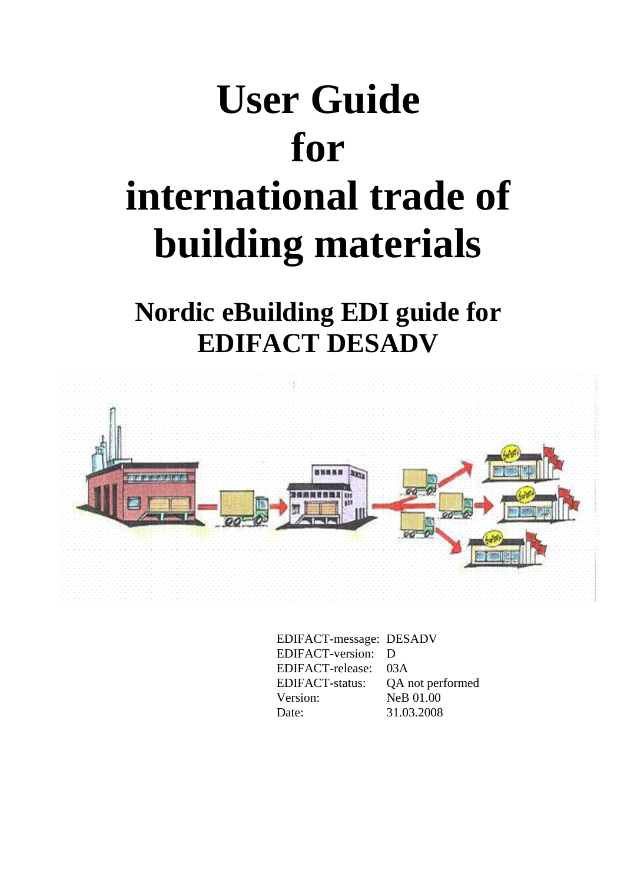# **User Guide for international trade of building materials**

**Nordic eBuilding EDI guide for EDIFACT DESADV** 



EDIFACT-message: DESADV EDIFACT-version: D EDIFACT-release: 03A EDIFACT-status: QA not performed Version: NeB 01.00 Date: 31.03.2008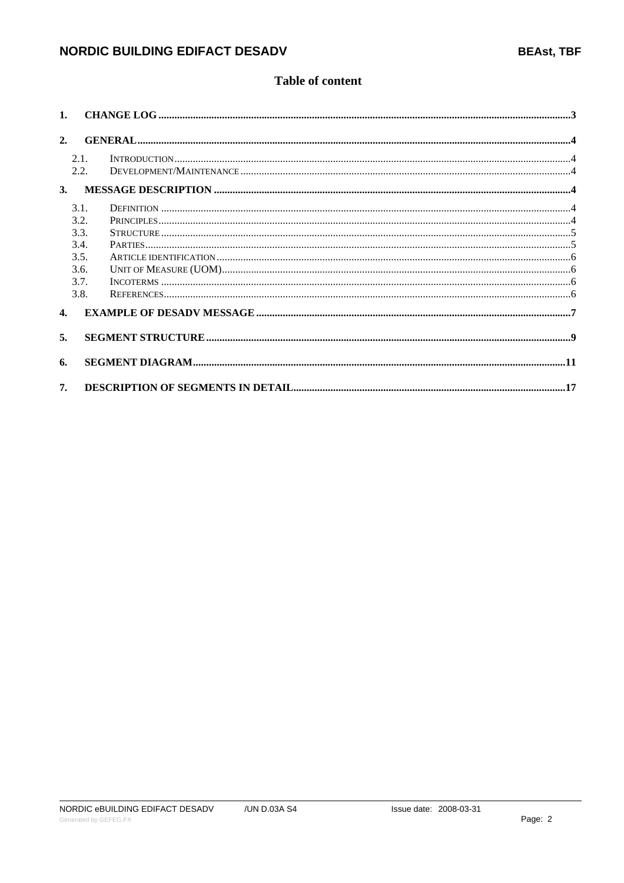#### Table of content

| 2.             |      |                                                                                                                                                                                                                                                                                                                                                                                                                                              |  |  |  |  |  |  |
|----------------|------|----------------------------------------------------------------------------------------------------------------------------------------------------------------------------------------------------------------------------------------------------------------------------------------------------------------------------------------------------------------------------------------------------------------------------------------------|--|--|--|--|--|--|
|                | 2.1. | $\textbf{INTRODUCTION}.\textcolor{red}{\textbf{I} \textbf{N} \textbf{T} \textbf{R} \textbf{D} \textbf{U} \textbf{C} \textbf{T} \textbf{I} \textbf{O} \textbf{N}.\textcolor{red}{\textbf{I} \textbf{N} \textbf{I} \textbf{R} \textbf{D} \textbf{I}} \textbf{I} \textbf{I} \textbf{I} \textbf{I} \textbf{I} \textbf{I} \textbf{I} \textbf{I} \textbf{I} \textbf{I} \textbf{I} \textbf{I} \textbf{I} \textbf{I} \textbf{I} \textbf{I} \textbf{$ |  |  |  |  |  |  |
|                | 2.2. |                                                                                                                                                                                                                                                                                                                                                                                                                                              |  |  |  |  |  |  |
| 3.             |      |                                                                                                                                                                                                                                                                                                                                                                                                                                              |  |  |  |  |  |  |
|                | 3.1. |                                                                                                                                                                                                                                                                                                                                                                                                                                              |  |  |  |  |  |  |
|                | 3.2. |                                                                                                                                                                                                                                                                                                                                                                                                                                              |  |  |  |  |  |  |
|                | 3.3. |                                                                                                                                                                                                                                                                                                                                                                                                                                              |  |  |  |  |  |  |
|                | 3.4. | $\texttt{PARTIES} \texttt{}{\texttt{}} \texttt{}{\texttt{}} \texttt{}{\texttt{}} \texttt{}{\texttt{}} \texttt{}{\texttt{}} \texttt{}{\texttt{}} \texttt{}{\texttt{}} \texttt{}\\ \texttt{--15} \texttt{--25} \texttt{--35} \texttt{--36} \texttt{--46} \texttt{--47} \texttt{--48} \texttt{--49} \texttt{--49} \texttt{--40} \texttt{--40} \texttt{--40} \texttt{--40} \texttt{--40} \texttt{--40} \texttt$                                  |  |  |  |  |  |  |
|                | 3.5. |                                                                                                                                                                                                                                                                                                                                                                                                                                              |  |  |  |  |  |  |
|                | 3.6. |                                                                                                                                                                                                                                                                                                                                                                                                                                              |  |  |  |  |  |  |
|                | 3.7. |                                                                                                                                                                                                                                                                                                                                                                                                                                              |  |  |  |  |  |  |
|                | 3.8. |                                                                                                                                                                                                                                                                                                                                                                                                                                              |  |  |  |  |  |  |
| $\mathbf{4}$ . |      |                                                                                                                                                                                                                                                                                                                                                                                                                                              |  |  |  |  |  |  |
| 5.             |      |                                                                                                                                                                                                                                                                                                                                                                                                                                              |  |  |  |  |  |  |
| 6.             |      |                                                                                                                                                                                                                                                                                                                                                                                                                                              |  |  |  |  |  |  |
| 7.             |      |                                                                                                                                                                                                                                                                                                                                                                                                                                              |  |  |  |  |  |  |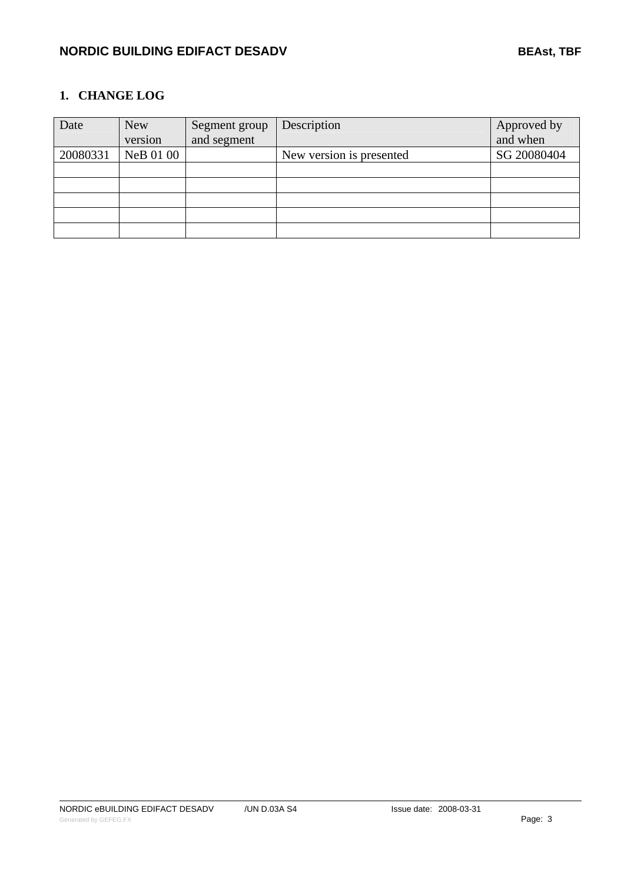### <span id="page-2-1"></span><span id="page-2-0"></span>**1. CHANGE LOG**

| Date     | <b>New</b><br>version | Segment group<br>and segment | Description              | Approved by<br>and when |
|----------|-----------------------|------------------------------|--------------------------|-------------------------|
| 20080331 | NeB 01 00             |                              | New version is presented | SG 20080404             |
|          |                       |                              |                          |                         |
|          |                       |                              |                          |                         |
|          |                       |                              |                          |                         |
|          |                       |                              |                          |                         |
|          |                       |                              |                          |                         |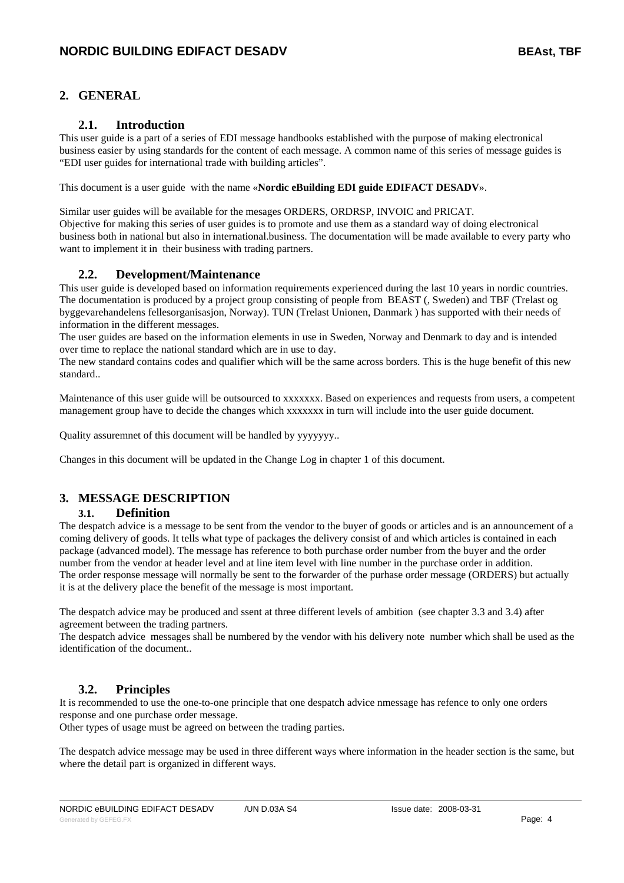#### <span id="page-3-1"></span><span id="page-3-0"></span>**2. GENERAL**

#### **2.1. Introduction**

<span id="page-3-2"></span>This user guide is a part of a series of EDI message handbooks established with the purpose of making electronical business easier by using standards for the content of each message. A common name of this series of message guides is "EDI user guides for international trade with building articles".

This document is a user guide with the name «**Nordic eBuilding EDI guide EDIFACT DESADV**».

Similar user guides will be available for the mesages ORDERS, ORDRSP, INVOIC and PRICAT. Objective for making this series of user guides is to promote and use them as a standard way of doing electronical business both in national but also in international.business. The documentation will be made available to every party who want to implement it in their business with trading partners.

#### **2.2. Development/Maintenance**

<span id="page-3-3"></span>This user guide is developed based on information requirements experienced during the last 10 years in nordic countries. The documentation is produced by a project group consisting of people from BEAST (, Sweden) and TBF (Trelast og byggevarehandelens fellesorganisasjon, Norway). TUN (Trelast Unionen, Danmark ) has supported with their needs of information in the different messages.

The user guides are based on the information elements in use in Sweden, Norway and Denmark to day and is intended over time to replace the national standard which are in use to day.

The new standard contains codes and qualifier which will be the same across borders. This is the huge benefit of this new standard..

Maintenance of this user guide will be outsourced to xxxxxxx. Based on experiences and requests from users, a competent management group have to decide the changes which xxxxxxx in turn will include into the user guide document.

Quality assuremnet of this document will be handled by yyyyyyy..

Changes in this document will be updated in the Change Log in chapter 1 of this document.

#### <span id="page-3-4"></span>**3. MESSAGE DESCRIPTION**

#### **3.1. Definition**

<span id="page-3-5"></span>The despatch advice is a message to be sent from the vendor to the buyer of goods or articles and is an announcement of a coming delivery of goods. It tells what type of packages the delivery consist of and which articles is contained in each package (advanced model). The message has reference to both purchase order number from the buyer and the order number from the vendor at header level and at line item level with line number in the purchase order in addition. The order response message will normally be sent to the forwarder of the purhase order message (ORDERS) but actually it is at the delivery place the benefit of the message is most important.

The despatch advice may be produced and ssent at three different levels of ambition (see chapter 3.3 and 3.4) after agreement between the trading partners.

The despatch advice messages shall be numbered by the vendor with his delivery note number which shall be used as the identification of the document..

#### **3.2. Principles**

<span id="page-3-6"></span>It is recommended to use the one-to-one principle that one despatch advice nmessage has refence to only one orders response and one purchase order message.

Other types of usage must be agreed on between the trading parties.

The despatch advice message may be used in three different ways where information in the header section is the same, but where the detail part is organized in different ways.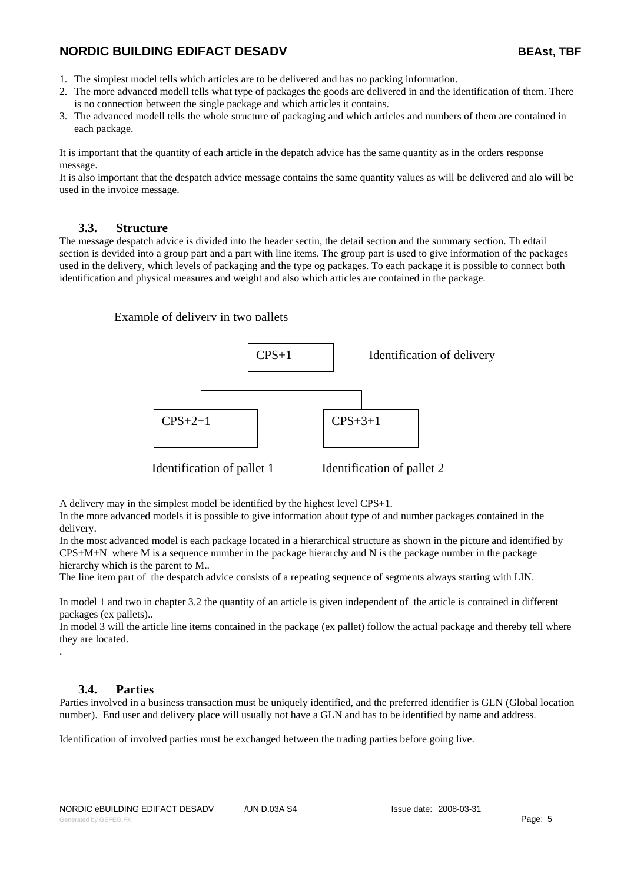- <span id="page-4-0"></span>1. The simplest model tells which articles are to be delivered and has no packing information.
- 2. The more advanced modell tells what type of packages the goods are delivered in and the identification of them. There is no connection between the single package and which articles it contains.
- 3. The advanced modell tells the whole structure of packaging and which articles and numbers of them are contained in each package.

It is important that the quantity of each article in the depatch advice has the same quantity as in the orders response message.

It is also important that the despatch advice message contains the same quantity values as will be delivered and alo will be used in the invoice message.

#### **3.3. Structure**

<span id="page-4-1"></span>The message despatch advice is divided into the header sectin, the detail section and the summary section. Th edtail section is devided into a group part and a part with line items. The group part is used to give information of the packages used in the delivery, which levels of packaging and the type og packages. To each package it is possible to connect both identification and physical measures and weight and also which articles are contained in the package.

#### Example of delivery in two pallets



Identification of pallet 1 Identification of pallet 2

A delivery may in the simplest model be identified by the highest level CPS+1.

In the more advanced models it is possible to give information about type of and number packages contained in the delivery.

In the most advanced model is each package located in a hierarchical structure as shown in the picture and identified by CPS+M+N where M is a sequence number in the package hierarchy and N is the package number in the package hierarchy which is the parent to M..

The line item part of the despatch advice consists of a repeating sequence of segments always starting with LIN.

In model 1 and two in chapter 3.2 the quantity of an article is given independent of the article is contained in different packages (ex pallets)..

In model 3 will the article line items contained in the package (ex pallet) follow the actual package and thereby tell where they are located.

#### **3.4. Parties**

.

<span id="page-4-2"></span>Parties involved in a business transaction must be uniquely identified, and the preferred identifier is GLN (Global location number). End user and delivery place will usually not have a GLN and has to be identified by name and address.

Identification of involved parties must be exchanged between the trading parties before going live.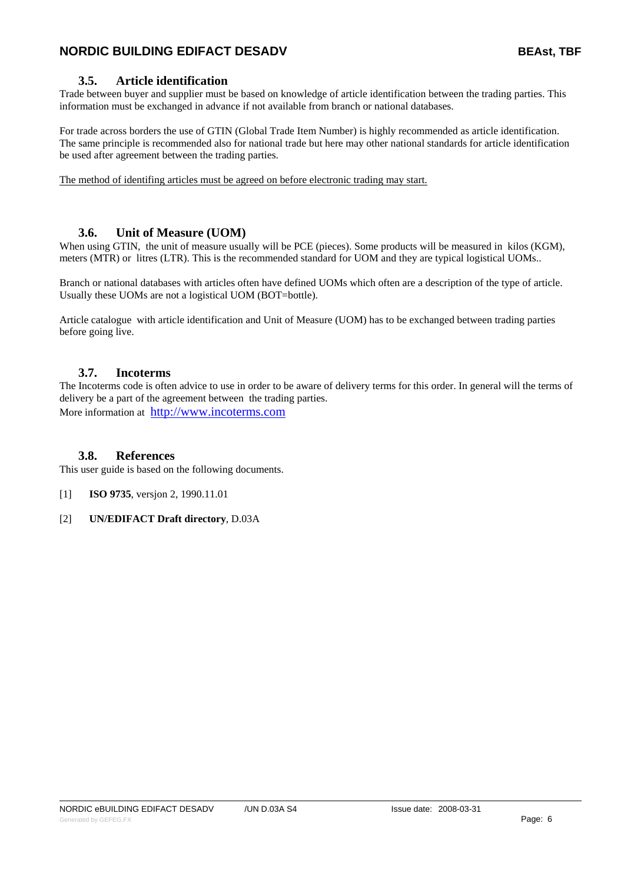#### **3.5. Article identification**

<span id="page-5-1"></span><span id="page-5-0"></span>Trade between buyer and supplier must be based on knowledge of article identification between the trading parties. This information must be exchanged in advance if not available from branch or national databases.

For trade across borders the use of GTIN (Global Trade Item Number) is highly recommended as article identification. The same principle is recommended also for national trade but here may other national standards for article identification be used after agreement between the trading parties.

The method of identifing articles must be agreed on before electronic trading may start.

#### **3.6. Unit of Measure (UOM)**

<span id="page-5-2"></span>When using GTIN, the unit of measure usually will be PCE (pieces). Some products will be measured in kilos (KGM), meters (MTR) or litres (LTR). This is the recommended standard for UOM and they are typical logistical UOMs..

Branch or national databases with articles often have defined UOMs which often are a description of the type of article. Usually these UOMs are not a logistical UOM (BOT=bottle).

Article catalogue with article identification and Unit of Measure (UOM) has to be exchanged between trading parties before going live.

#### **3.7. Incoterms**

<span id="page-5-3"></span>The Incoterms code is often advice to use in order to be aware of delivery terms for this order. In general will the terms of delivery be a part of the agreement between the trading parties. More information at http://www.incoterms.com

#### **3.8. References**

<span id="page-5-4"></span>This user guide is based on the following documents.

- [1] **ISO 9735**, versjon 2, 1990.11.01
- [2] **UN/EDIFACT Draft directory**, D.03A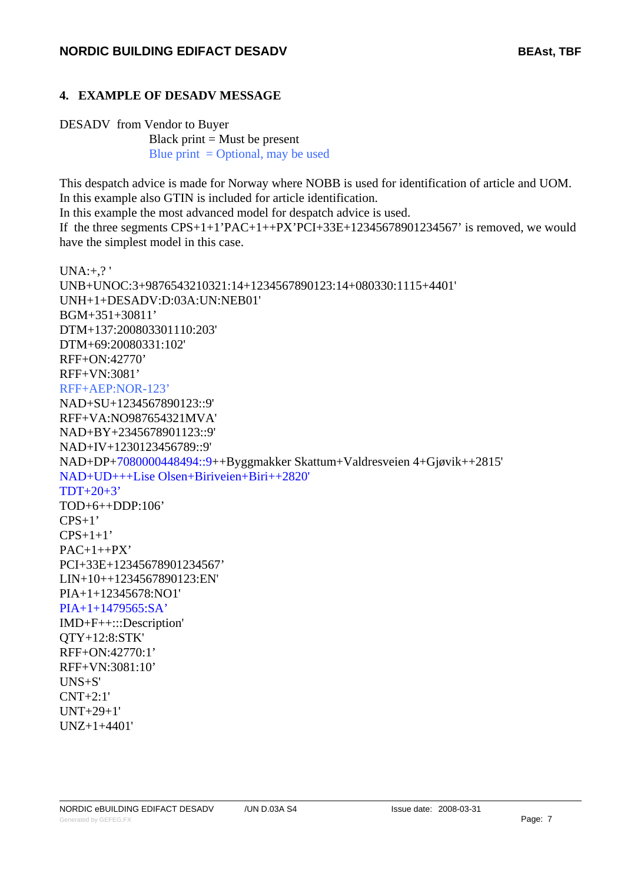### <span id="page-6-1"></span><span id="page-6-0"></span>**4. EXAMPLE OF DESADV MESSAGE**

#### DESADV from Vendor to Buyer Black print  $=$  Must be present Blue print  $=$  Optional, may be used

This despatch advice is made for Norway where NOBB is used for identification of article and UOM. In this example also GTIN is included for article identification.

In this example the most advanced model for despatch advice is used.

If the three segments  $CPS+1+1'PAC+1++PX'PCI+33E+12345678901234567'$  is removed, we would have the simplest model in this case.

```
UNA:+, ?UNB+UNOC:3+9876543210321:14+1234567890123:14+080330:1115+4401' 
UNH+1+DESADV:D:03A:UN:NEB01' 
BGM+351+30811' 
DTM+137:200803301110:203' 
DTM+69:20080331:102' 
RFF+ON:42770' 
RFF+VN:3081' 
RFF+AEP:NOR-123' 
NAD+SU+1234567890123::9' 
RFF+VA:NO987654321MVA' 
NAD+BY+2345678901123::9'
NAD+IV+1230123456789::9'
NAD+DP+7080000448494::9++Byggmakker Skattum+Valdresveien 4+Gjøvik++2815' 
NAD+UD+++Lise Olsen+Biriveien+Biri++2820' 
TDT+20+3' 
TOD+6++DDP:106' 
CPS+1'CPS+1+1'PAC+1++PX'PCI+33E+12345678901234567'
LIN+10++1234567890123:EN' 
PIA+1+12345678:NO1'
PIA+1+1479565:SA'
IMD+F++:::Description'
QTY+12:8:STK' 
RFF+ON:42770:1' 
RFF+VN:3081:10' 
UNS+S' 
CNT+2:1'
UNT+29+1'
UNZ+1+4401'
```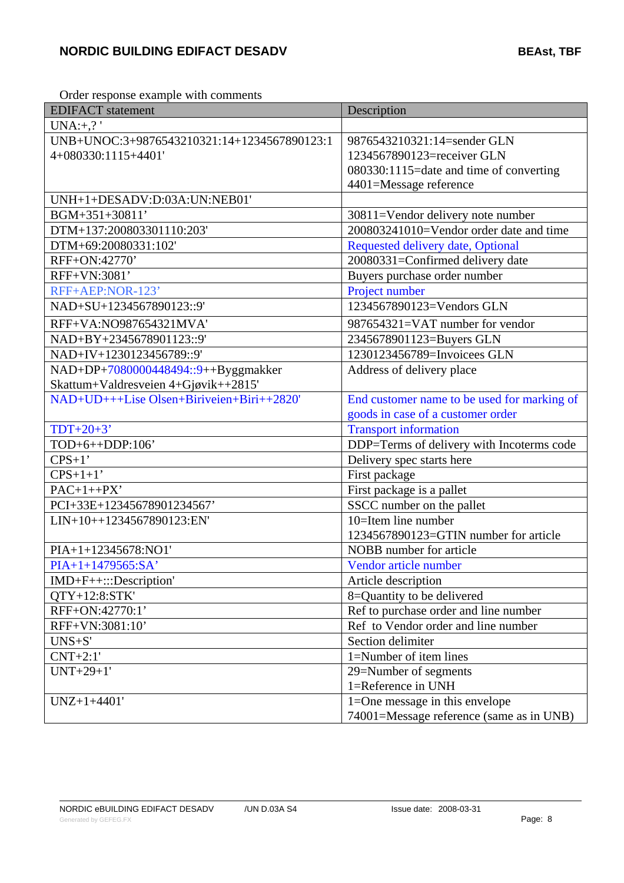Order response example with comments

| <b>EDIFACT</b> statement                    | Description                                 |
|---------------------------------------------|---------------------------------------------|
| $UNA:+,?$                                   |                                             |
| UNB+UNOC:3+9876543210321:14+1234567890123:1 | 9876543210321:14=sender GLN                 |
| 4+080330:1115+4401'                         | 1234567890123=receiver GLN                  |
|                                             | 080330:1115=date and time of converting     |
|                                             | 4401=Message reference                      |
| UNH+1+DESADV:D:03A:UN:NEB01'                |                                             |
| BGM+351+30811'                              | 30811=Vendor delivery note number           |
| DTM+137:200803301110:203'                   | 200803241010=Vendor order date and time     |
| DTM+69:20080331:102'                        | Requested delivery date, Optional           |
| RFF+ON:42770'                               | 20080331=Confirmed delivery date            |
| RFF+VN:3081'                                | Buyers purchase order number                |
| RFF+AEP:NOR-123'                            | Project number                              |
| NAD+SU+1234567890123::9'                    | 1234567890123=Vendors GLN                   |
| RFF+VA:NO987654321MVA'                      | 987654321=VAT number for vendor             |
| NAD+BY+2345678901123::9'                    | 2345678901123=Buyers GLN                    |
| NAD+IV+1230123456789::9'                    | 1230123456789=Invoicees GLN                 |
| NAD+DP+7080000448494::9++Byggmakker         | Address of delivery place                   |
| Skattum+Valdresveien 4+Gjøvik++2815'        |                                             |
| NAD+UD+++Lise Olsen+Biriveien+Biri++2820'   | End customer name to be used for marking of |
|                                             | goods in case of a customer order           |
| $TDT+20+3'$                                 | <b>Transport information</b>                |
| TOD+6++DDP:106'                             | DDP=Terms of delivery with Incoterms code   |
| $CPS+1'$                                    | Delivery spec starts here                   |
| $CPS+1+1'$                                  | First package                               |
| $PAC+1++PX'$                                | First package is a pallet                   |
| PCI+33E+12345678901234567'                  | SSCC number on the pallet                   |
| LIN+10++1234567890123:EN'                   | 10=Item line number                         |
|                                             | 1234567890123=GTIN number for article       |
| PIA+1+12345678:NO1'                         | NOBB number for article                     |
| $PIA+1+1479565:SA'$                         | Vendor article number                       |
| IMD+F++:::Description'                      | Article description                         |
| <b>QTY+12:8:STK'</b>                        | 8=Quantity to be delivered                  |
| RFF+ON:42770:1'                             | Ref to purchase order and line number       |
| RFF+VN:3081:10'                             | Ref to Vendor order and line number         |
| $UNS + S'$                                  | Section delimiter                           |
| $CNT+2:1'$                                  | 1=Number of item lines                      |
| $UNT+29+1'$                                 | 29=Number of segments                       |
|                                             | 1=Reference in UNH                          |
| $UNZ+1+4401'$                               | 1=One message in this envelope              |
|                                             | 74001=Message reference (same as in UNB)    |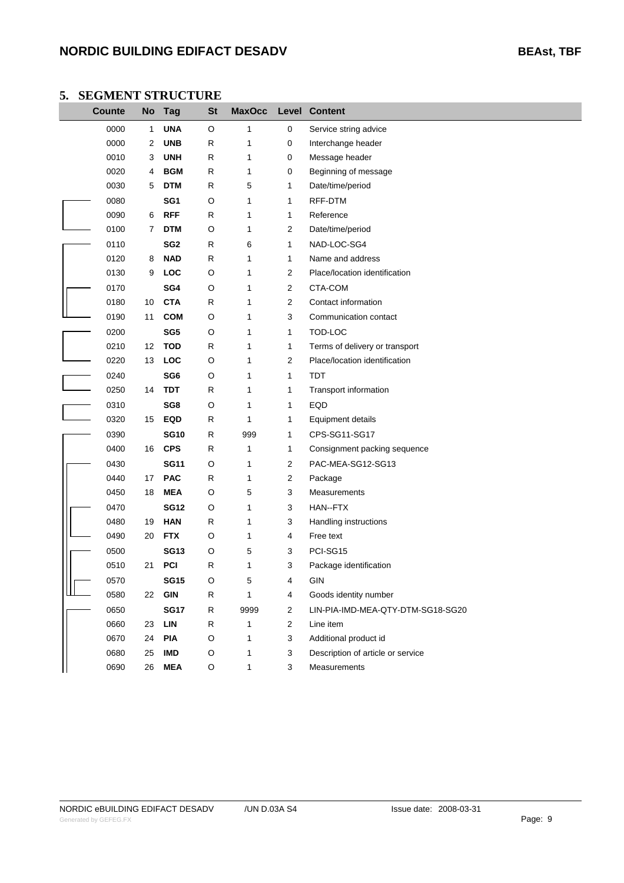#### <span id="page-8-1"></span><span id="page-8-0"></span>**5. SEGMENT STRUCTURE**

| Counte | No | Tag             | <b>St</b>    | <b>MaxOcc</b> | Level          | <b>Content</b>                    |
|--------|----|-----------------|--------------|---------------|----------------|-----------------------------------|
| 0000   | 1  | <b>UNA</b>      | O            | 1             | 0              | Service string advice             |
| 0000   | 2  | <b>UNB</b>      | $\mathsf{R}$ | 1             | 0              | Interchange header                |
| 0010   | 3  | <b>UNH</b>      | R            | 1             | 0              | Message header                    |
| 0020   | 4  | <b>BGM</b>      | R            | 1             | 0              | Beginning of message              |
| 0030   | 5  | <b>DTM</b>      | R            | 5             | 1              | Date/time/period                  |
| 0080   |    | SG <sub>1</sub> | O            | 1             | 1              | RFF-DTM                           |
| 0090   | 6  | <b>RFF</b>      | R            | 1             | 1              | Reference                         |
| 0100   | 7  | <b>DTM</b>      | O            | 1             | 2              | Date/time/period                  |
| 0110   |    | SG <sub>2</sub> | R            | 6             | 1              | NAD-LOC-SG4                       |
| 0120   | 8  | <b>NAD</b>      | $\mathsf R$  | 1             | 1              | Name and address                  |
| 0130   | 9  | LOC             | O            | 1             | $\overline{c}$ | Place/location identification     |
| 0170   |    | SG4             | O            | 1             | $\overline{c}$ | CTA-COM                           |
| 0180   | 10 | <b>CTA</b>      | R            | 1             | 2              | Contact information               |
| 0190   | 11 | <b>COM</b>      | O            | 1             | 3              | Communication contact             |
| 0200   |    | SG <sub>5</sub> | $\circ$      | 1             | 1              | TOD-LOC                           |
| 0210   | 12 | <b>TOD</b>      | R            | 1             | 1              | Terms of delivery or transport    |
| 0220   | 13 | LOC             | O            | 1             | 2              | Place/location identification     |
| 0240   |    | SG <sub>6</sub> | O            | 1             | 1              | <b>TDT</b>                        |
| 0250   | 14 | <b>TDT</b>      | R            | 1             | 1              | Transport information             |
| 0310   |    | SG8             | O            | $\mathbf 1$   | 1              | EQD                               |
| 0320   | 15 | <b>EQD</b>      | R            | 1             | 1              | Equipment details                 |
| 0390   |    | <b>SG10</b>     | R            | 999           | 1              | CPS-SG11-SG17                     |
| 0400   | 16 | <b>CPS</b>      | R            | 1             | 1              | Consignment packing sequence      |
| 0430   |    | <b>SG11</b>     | O            | 1             | 2              | PAC-MEA-SG12-SG13                 |
| 0440   | 17 | <b>PAC</b>      | R            | 1             | 2              | Package                           |
| 0450   | 18 | <b>MEA</b>      | O            | 5             | 3              | Measurements                      |
| 0470   |    | <b>SG12</b>     | O            | 1             | 3              | HAN--FTX                          |
| 0480   | 19 | <b>HAN</b>      | R            | 1             | 3              | Handling instructions             |
| 0490   | 20 | <b>FTX</b>      | O            | 1             | 4              | Free text                         |
| 0500   |    | <b>SG13</b>     | O            | 5             | 3              | PCI-SG15                          |
| 0510   | 21 | <b>PCI</b>      | R            | 1             | 3              | Package identification            |
| 0570   |    | <b>SG15</b>     | O            | 5             | 4              | GIN                               |
| 0580   | 22 | <b>GIN</b>      | R            | 1             | 4              | Goods identity number             |
| 0650   |    | <b>SG17</b>     | R            | 9999          | 2              | LIN-PIA-IMD-MEA-QTY-DTM-SG18-SG20 |
| 0660   | 23 | <b>LIN</b>      | R            | 1             | 2              | Line item                         |
| 0670   | 24 | <b>PIA</b>      | O            | 1             | 3              | Additional product id             |
| 0680   | 25 | <b>IMD</b>      | O            | 1             | 3              | Description of article or service |
| 0690   | 26 | <b>MEA</b>      | $\mathsf O$  | 1             | 3              | Measurements                      |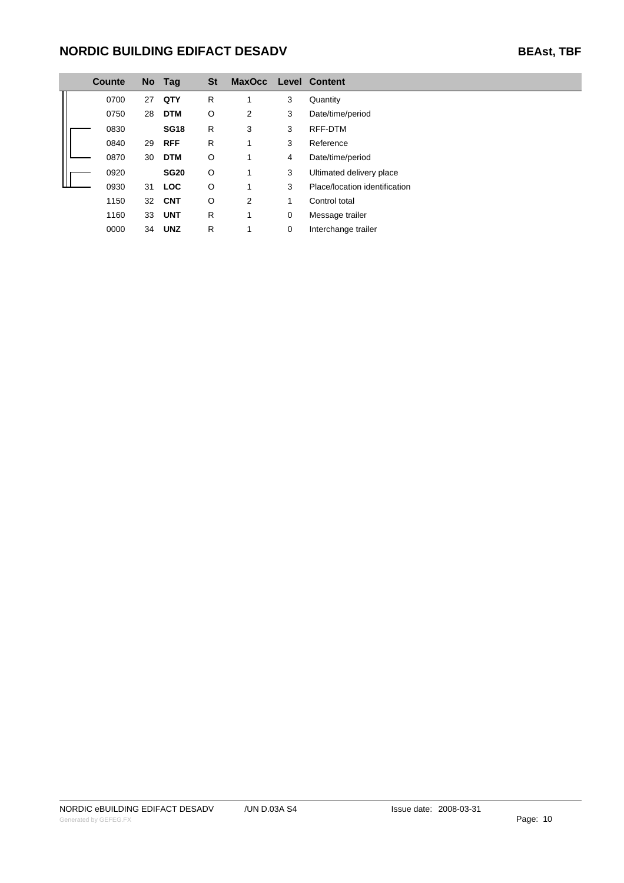|  | Counte |    | No Tag      | <b>St</b> | <b>MaxOcc</b> |   | <b>Level Content</b>          |
|--|--------|----|-------------|-----------|---------------|---|-------------------------------|
|  | 0700   | 27 | QTY         | R         |               | 3 | Quantity                      |
|  | 0750   | 28 | <b>DTM</b>  | O         | 2             | 3 | Date/time/period              |
|  | 0830   |    | <b>SG18</b> | R         | 3             | 3 | RFF-DTM                       |
|  | 0840   | 29 | <b>RFF</b>  | R         | 1             | 3 | Reference                     |
|  | 0870   | 30 | <b>DTM</b>  | O         | 1             | 4 | Date/time/period              |
|  | 0920   |    | <b>SG20</b> | O         | 1             | 3 | Ultimated delivery place      |
|  | 0930   | 31 | <b>LOC</b>  | O         | 1             | 3 | Place/location identification |
|  | 1150   | 32 | <b>CNT</b>  | O         | 2             |   | Control total                 |
|  | 1160   | 33 | <b>UNT</b>  | R         | 1             | 0 | Message trailer               |
|  | 0000   | 34 | <b>UNZ</b>  | R         | 4             | 0 | Interchange trailer           |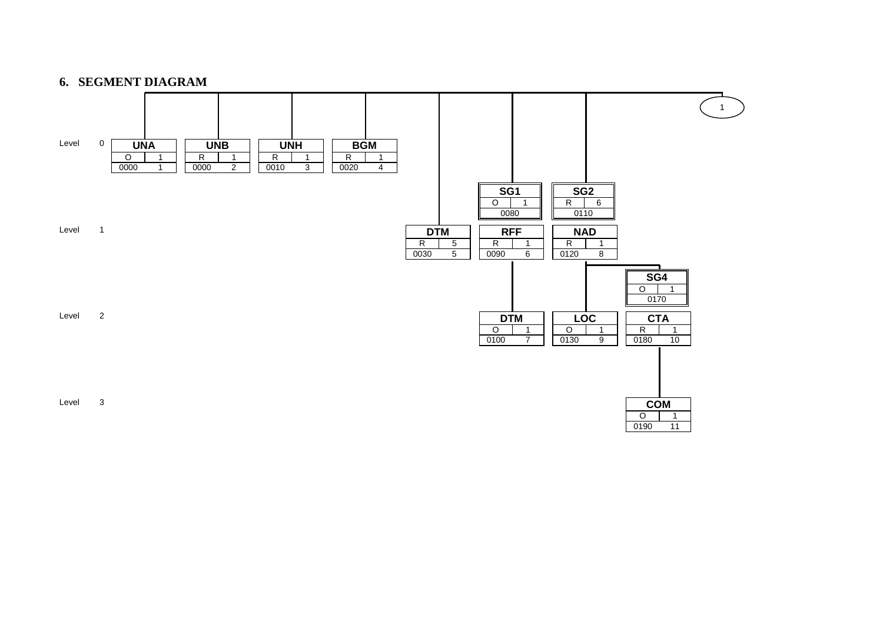#### **6. SEGMENT DIAGRAM**

<span id="page-10-1"></span><span id="page-10-0"></span>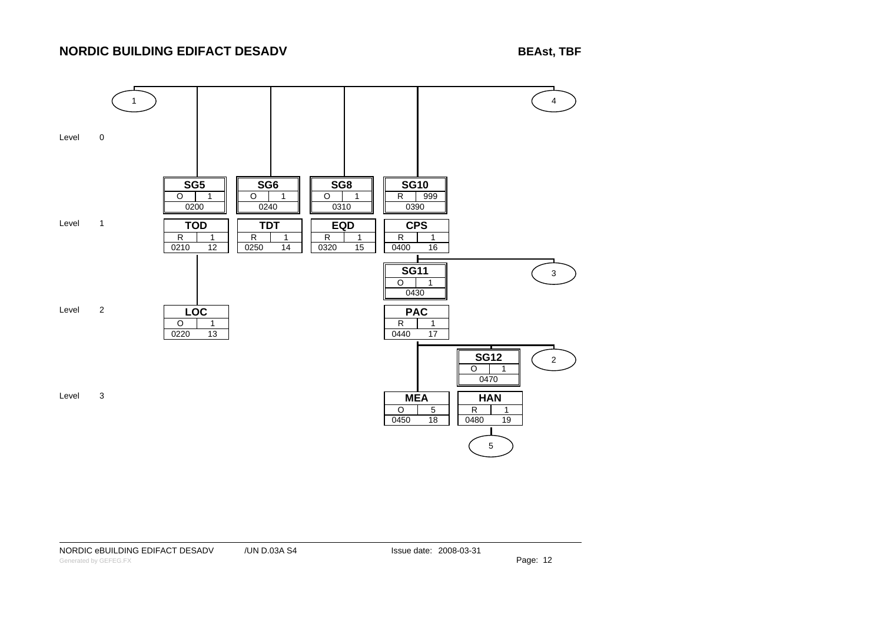**BEAst, TBF**

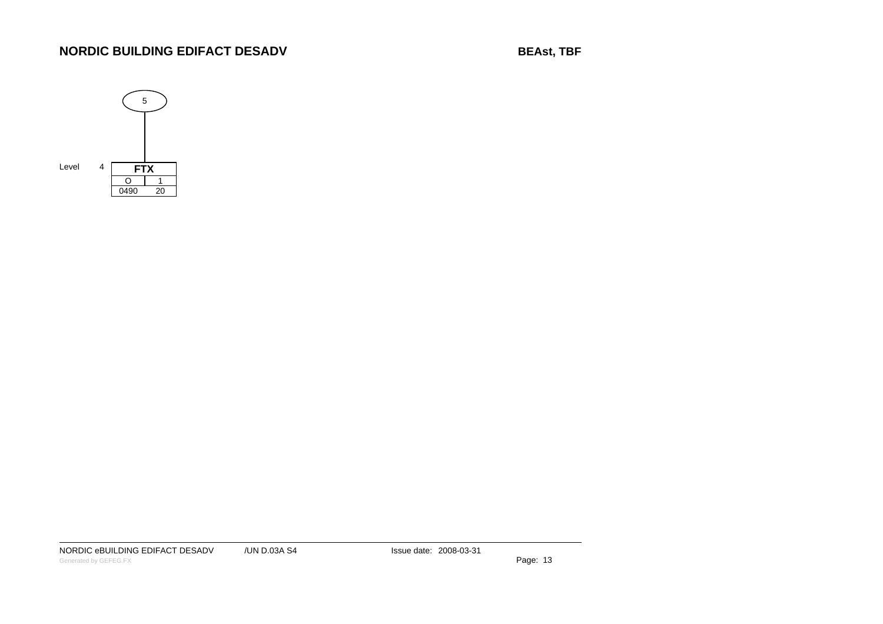**BEAst, TBF**



NORDIC eBUILDING EDIFACT DESADV / UN D.03A S4

Issue date: 2008-03-31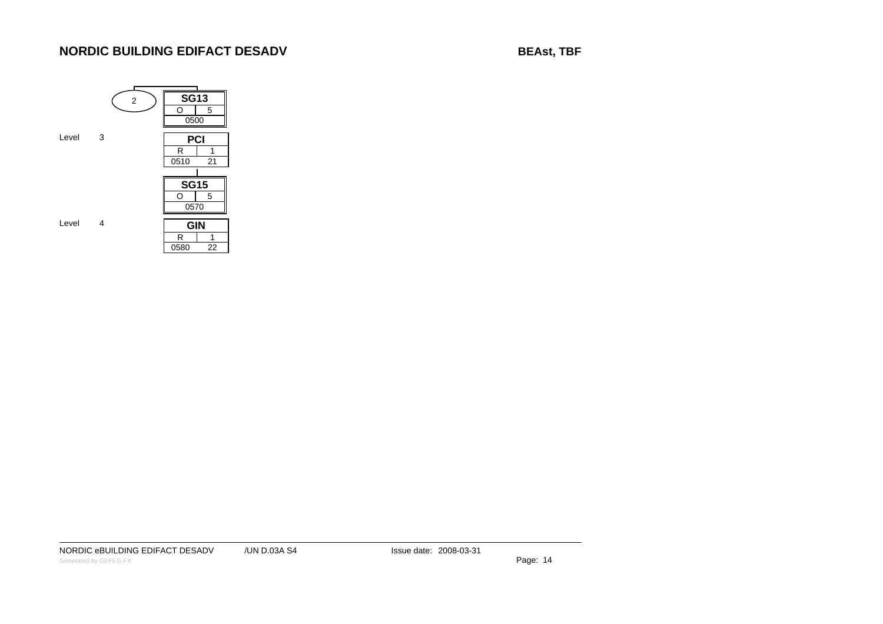**BEAst, TBF**



NORDIC eBUILDING EDIFACT DESADV / UN D.03A S4

Issue date: 2008-03-31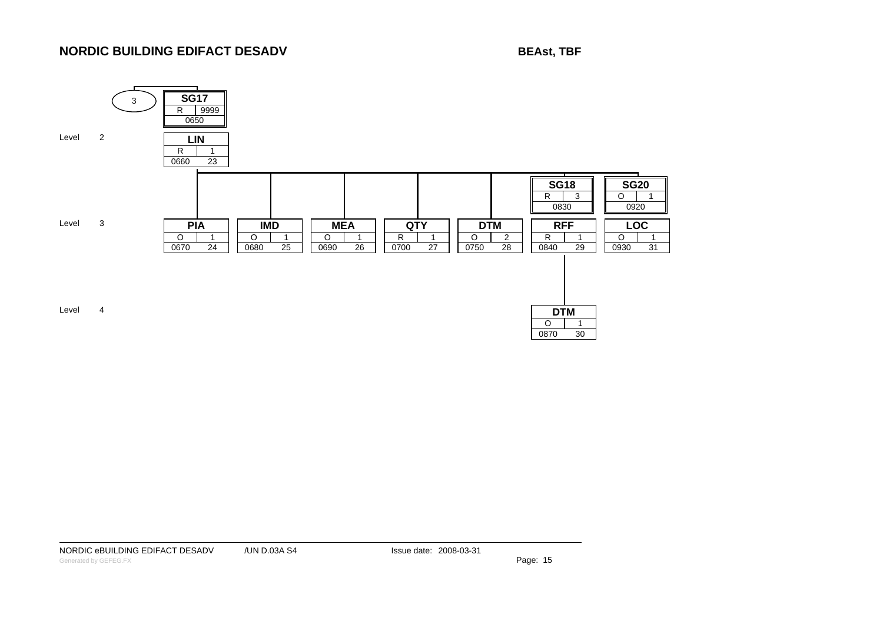**BEAst, TBF**



NORDIC eBUILDING EDIFACT DESADV /UN D.03A S4 / Issue date: 2008-03-31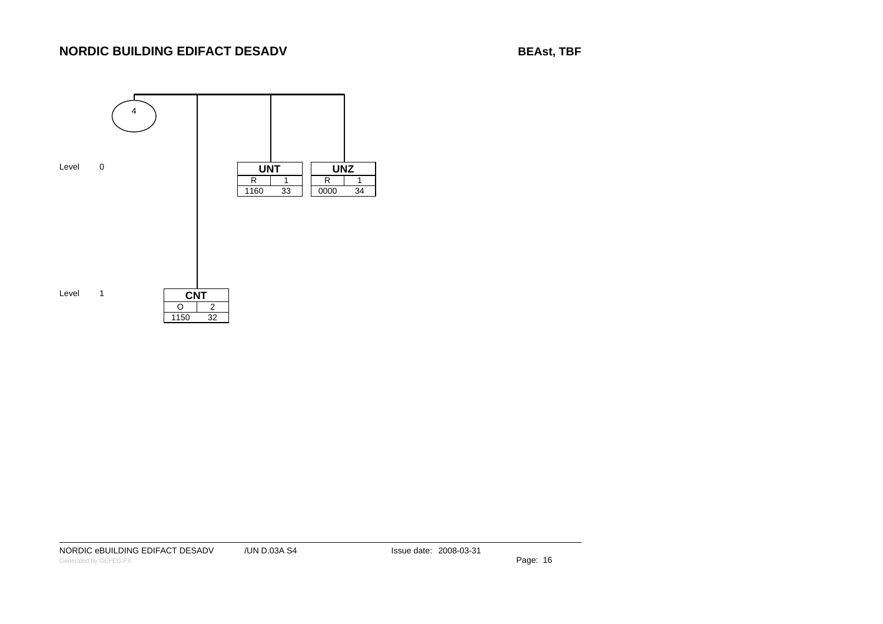

NORDIC eBUILDING EDIFACT DESADV / UN D.03A S4 Generated by GEFEG.FX **Page: 16** 

Issue date: 2008-03-31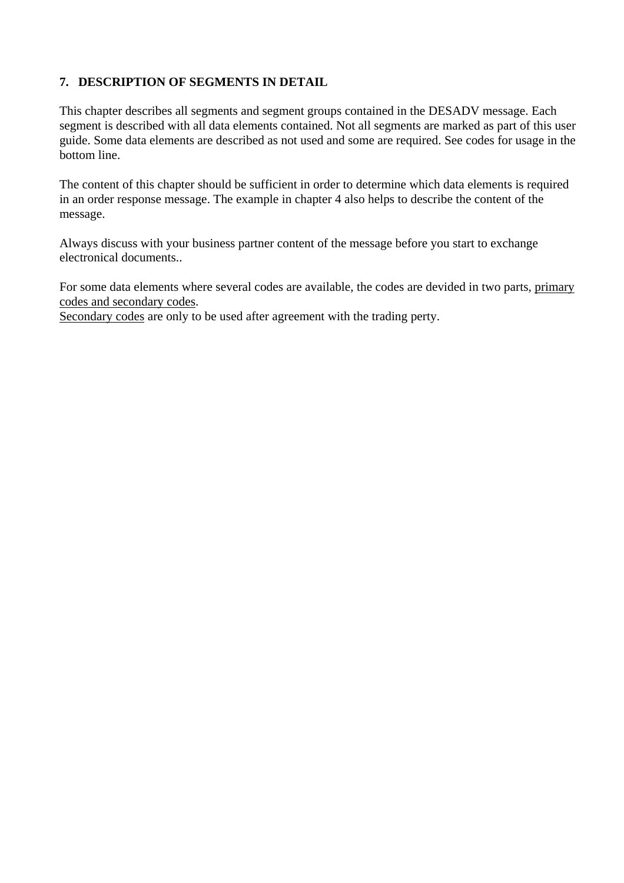#### <span id="page-16-1"></span><span id="page-16-0"></span>**7. DESCRIPTION OF SEGMENTS IN DETAIL**

This chapter describes all segments and segment groups contained in the DESADV message. Each segment is described with all data elements contained. Not all segments are marked as part of this user guide. Some data elements are described as not used and some are required. See codes for usage in the bottom line.

The content of this chapter should be sufficient in order to determine which data elements is required in an order response message. The example in chapter 4 also helps to describe the content of the message.

Always discuss with your business partner content of the message before you start to exchange electronical documents..

For some data elements where several codes are available, the codes are devided in two parts, primary codes and secondary codes.

Secondary codes are only to be used after agreement with the trading perty.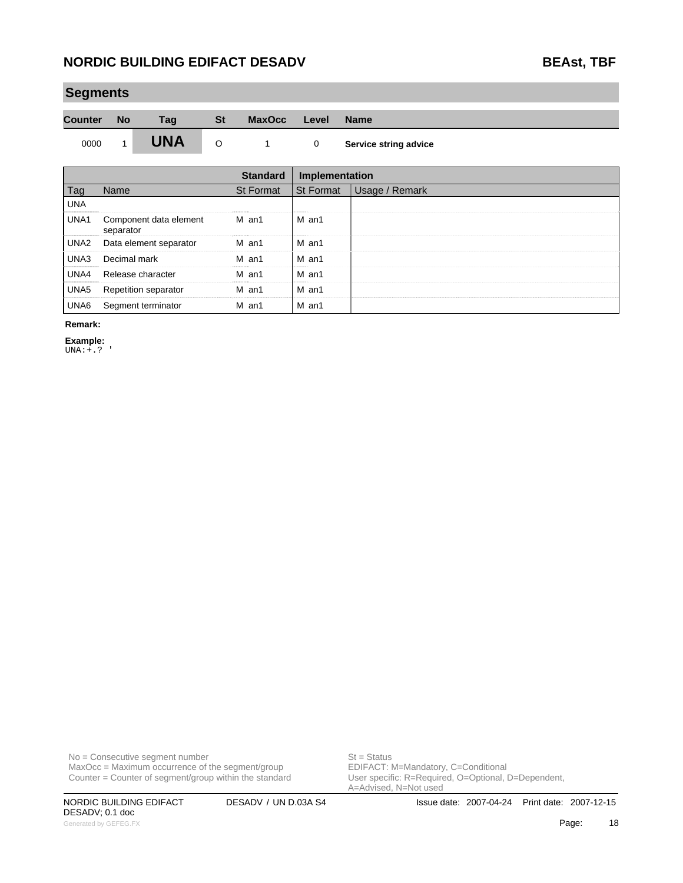#### **Segments**

| <b>Counter</b> | No | Tag        | <b>MaxOcc</b> | Level | <b>Name</b>           |
|----------------|----|------------|---------------|-------|-----------------------|
| 0000           |    | <b>UNA</b> |               |       | Service string advice |

|                  |                                     | <b>Standard</b> | Implementation   |                |
|------------------|-------------------------------------|-----------------|------------------|----------------|
| l ag             | Name                                | St Format       | <b>St Format</b> | Usage / Remark |
| <b>UNA</b>       |                                     |                 |                  |                |
| UNA1             | Component data element<br>separator | M an1           | M an1            |                |
| UNA <sub>2</sub> | Data element separator              | M an1           | M an1            |                |
| UNA3             | Decimal mark                        | M an1           | M an1            |                |
| UNA4             | Release character                   | M an1           | M an1            |                |
| UNA <sub>5</sub> | <b>Repetition separator</b>         | M an1           | M an1            |                |
| UNA6             | Segment terminator                  | M an1           | M an1            |                |

**Remark:**

**Example:**

UNA:+.? '

No = Consecutive segment number<br>
MaxOcc = Maximum occurrence of the segment/group<br>
EDIFACT: M=Mandatory, C=Conditional  $MaxOcc = Maximum$  occurrence of the segment/group Counter = Counter of segment/group within the standard

User specific: R=Required, O=Optional, D=Dependent,<br>A=Advised, N=Not used

DESADV; 0.1 doc Generated by GEFEG.FX **Page:** 18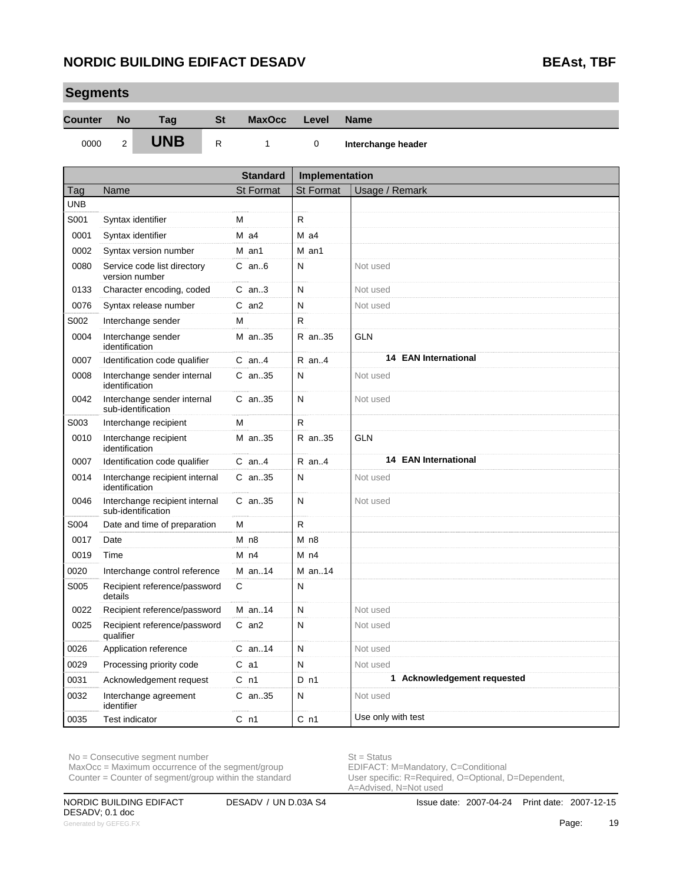**Segments**

| ບຬ໘πτιπο       |                |                                                      |              |                  |                  |                             |
|----------------|----------------|------------------------------------------------------|--------------|------------------|------------------|-----------------------------|
| <b>Counter</b> | <b>No</b>      | Tag                                                  | <b>St</b>    | <b>MaxOcc</b>    | Level            | <b>Name</b>                 |
| 0000           | $\overline{2}$ | <b>UNB</b>                                           | $\mathsf{R}$ | 1                | 0                | Interchange header          |
|                |                |                                                      |              | <b>Standard</b>  | Implementation   |                             |
| Tag            | Name           |                                                      |              | <b>St Format</b> | <b>St Format</b> | Usage / Remark              |
| <b>UNB</b>     |                |                                                      |              |                  |                  |                             |
| S001           |                | Syntax identifier                                    |              | М                | $\mathsf{R}$     |                             |
| 0001           |                | Syntax identifier                                    |              | $M$ a4           | $M$ a4           |                             |
| 0002           |                | Syntax version number                                |              | M an1            | M an1            |                             |
| 0080           |                | Service code list directory<br>version number        |              | $C$ an $6$       | N                | Not used                    |
| 0133           |                | Character encoding, coded                            |              | $C$ an3          | N                | Not used                    |
| 0076           |                | Syntax release number                                |              | $C$ an $2$       | N                | Not used                    |
| S002           |                | Interchange sender                                   |              | M                | R                |                             |
| 0004           | identification | Interchange sender                                   |              | M an35           | R an35           | <b>GLN</b>                  |
| 0007           |                | Identification code qualifier                        |              | $C$ an $4$       | $R$ an. 4        | <b>14 EAN International</b> |
| 0008           | identification | Interchange sender internal                          |              | $C$ an. 35       | N                | Not used                    |
| 0042           |                | Interchange sender internal<br>sub-identification    |              | $C$ an. 35       | N                | Not used                    |
| S003           |                | Interchange recipient                                |              | м                | R.               |                             |
| 0010           | identification | Interchange recipient                                |              | M an35           | R an35           | <b>GLN</b>                  |
| 0007           |                | Identification code qualifier                        |              | $C$ an $4$       | $R$ an4          | <b>14 EAN International</b> |
| 0014           | identification | Interchange recipient internal                       |              | C an35           | N                | Not used                    |
| 0046           |                | Interchange recipient internal<br>sub-identification |              | $C$ an35         | N                | Not used                    |
| S004           |                | Date and time of preparation                         |              | м                | R.               |                             |
| 0017           | Date           |                                                      |              | M <sub>n8</sub>  | M <sub>n8</sub>  |                             |
| 0019           | Time           |                                                      |              | $M$ n4           | M <sub>n4</sub>  |                             |
| 0020           |                | Interchange control reference                        |              | M an14           | M an14           |                             |
| S005           | details        | Recipient reference/password                         |              | C                | Ν                |                             |
| 0022           |                | Recipient reference/password                         |              | M an14           | N                | Not used                    |
| 0025           | qualifier      | Recipient reference/password                         |              | C an2            | N                | Not used                    |
| 0026           |                | Application reference                                |              | $C$ an14         | N                | Not used                    |
| 0029           |                | Processing priority code                             |              | $C$ a1           | N                | Not used                    |
| 0031           |                | Acknowledgement request                              |              | C <sub>n1</sub>  | $D_{n1}$         | 1 Acknowledgement requested |
| 0032           | identifier     | Interchange agreement                                |              | C an35           | N                | Not used                    |
| 0035           | Test indicator |                                                      |              | C <sub>n1</sub>  | C <sub>n1</sub>  | Use only with test          |

 $MaxOcc = Maximum occurrence of the segment/group$ 

Counter = Counter of segment/group within the standard

DESADV; 0.1 doc Generated by GEFEG.FX **Page:** 19

No = Consecutive segment number<br>
MaxOcc = Maximum occurrence of the segment/group<br>
EDIFACT: M=Mandatory, C=Conditional User specific: R=Required, O=Optional, D=Dependent,<br>A=Advised, N=Not used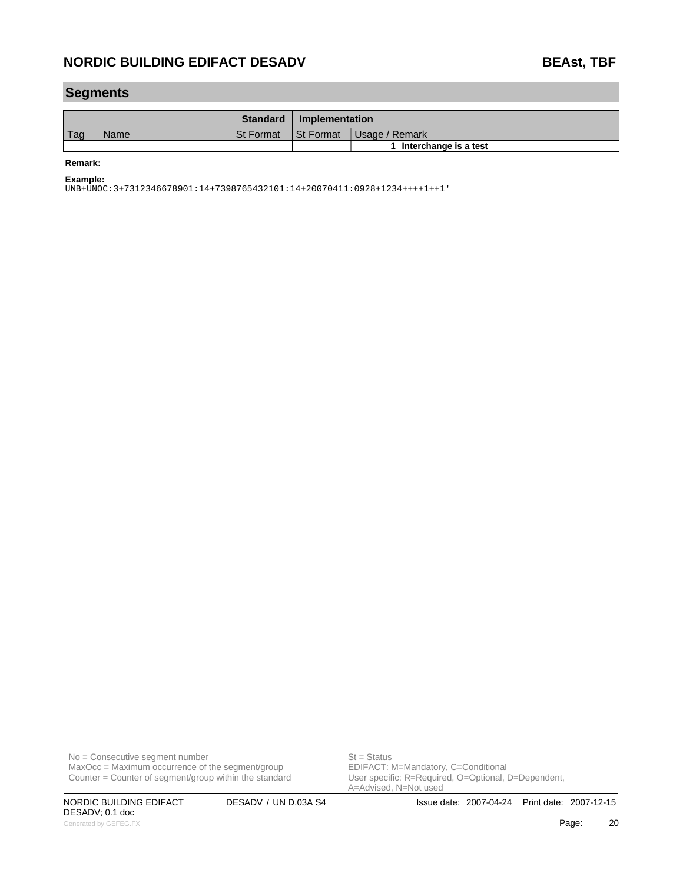### **Segments**

|     |             | <b>Standard</b>  | Implementation |                       |
|-----|-------------|------------------|----------------|-----------------------|
| Taq | <b>Name</b> | <b>St Format</b> | St Format      | Usage / Remark        |
|     |             |                  |                | Interchange is a test |

#### **Remark:**

**Example:**

UNB+UNOC:3+7312346678901:14+7398765432101:14+20070411:0928+1234++++1++1'

No = Consecutive segment number<br>
MaxOcc = Maximum occurrence of the segment/group<br>
EDIFACT: M=Mandatory, C=Conditional  $MaxOcc = Maximum$  occurrence of the segment/group Counter = Counter of segment/group within the standard

NORDIC BUILDING EDIFACT DESADV / UN D.03A S4 Issue date: 2007-04-24 Print date: 2007-12-15 DESADV; 0.1 doc Generated by GEFEG.FX **Page:** 20

User specific: R=Required, O=Optional, D=Dependent,<br>A=Advised, N=Not used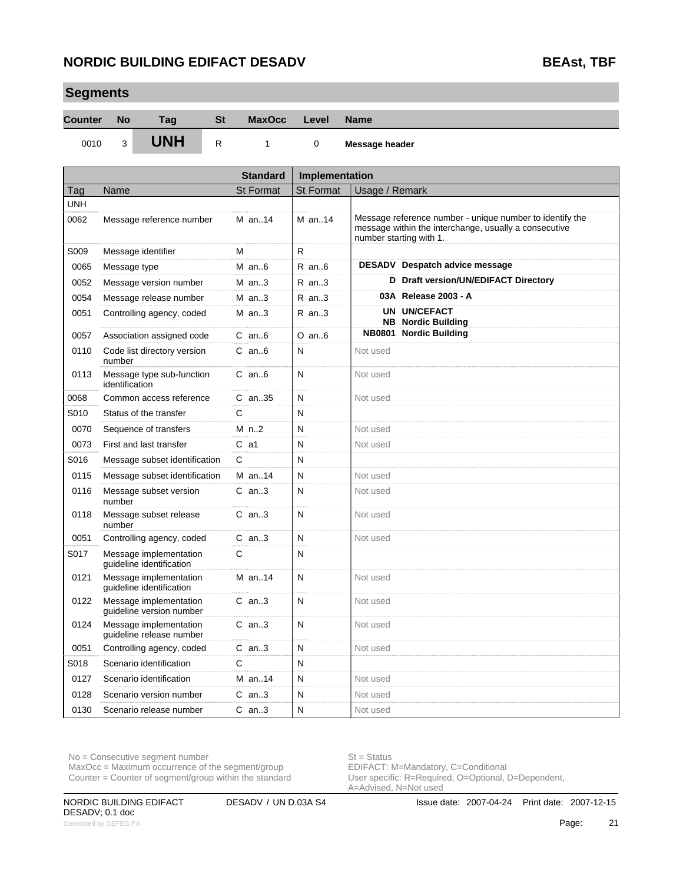| <b>Segments</b> |                |                                                    |           |                  |            |                  |                       |                                                                                                                                              |
|-----------------|----------------|----------------------------------------------------|-----------|------------------|------------|------------------|-----------------------|----------------------------------------------------------------------------------------------------------------------------------------------|
| <b>Counter</b>  | <b>No</b>      | Tag                                                | <b>St</b> | <b>MaxOcc</b>    |            | Level            | <b>Name</b>           |                                                                                                                                              |
| 0010            | 3              | <b>UNH</b>                                         | R.        | 1                |            | 0                | <b>Message header</b> |                                                                                                                                              |
|                 |                |                                                    |           | <b>Standard</b>  |            | Implementation   |                       |                                                                                                                                              |
| Tag             | Name           |                                                    |           | <b>St Format</b> |            | <b>St Format</b> | Usage / Remark        |                                                                                                                                              |
| UNH<br>0062     |                | Message reference number                           |           | M an14           |            | M an14           |                       | Message reference number - unique number to identify the<br>message within the interchange, usually a consecutive<br>number starting with 1. |
| S009            |                | Message identifier                                 |           | м                | R.         |                  |                       |                                                                                                                                              |
| 0065            | Message type   |                                                    |           | $M$ an6          | $R$ an $6$ |                  |                       | DESADV Despatch advice message                                                                                                               |
| 0052            |                | Message version number                             |           | $M$ an3          | $R$ an3    |                  |                       | D Draft version/UN/EDIFACT Directory                                                                                                         |
| 0054            |                | Message release number                             |           | $M$ an3          | $R$ an3    |                  |                       | 03A Release 2003 - A                                                                                                                         |
| 0051            |                | Controlling agency, coded                          |           | $M$ an3          | $R$ an3    |                  |                       | UN UN/CEFACT<br><b>NB</b> Nordic Building                                                                                                    |
| 0057            |                | Association assigned code                          |           | $C$ an $6$       | $O$ an $6$ |                  |                       | NB0801 Nordic Building                                                                                                                       |
| 0110            | number         | Code list directory version                        |           | $C$ an $6$       | N          |                  | Not used              |                                                                                                                                              |
| 0113            | identification | Message type sub-function                          |           | $C$ an $6$       | N          |                  | Not used              |                                                                                                                                              |
| 8800            |                | Common access reference                            |           | $C$ an. 35       | N          |                  | Not used              |                                                                                                                                              |
| S010            |                | Status of the transfer                             |           | C                | N          |                  |                       |                                                                                                                                              |
| 0070            |                | Sequence of transfers                              |           | $M$ n2           | N          |                  | Not used              |                                                                                                                                              |
| 0073            |                | First and last transfer                            |           | $C$ a1           | N          |                  | Not used              |                                                                                                                                              |
| S016            |                | Message subset identification                      |           | C                | N          |                  |                       |                                                                                                                                              |
| 0115            |                | Message subset identification                      |           | M an14           | N          |                  | Not used              |                                                                                                                                              |
| 0116            | number         | Message subset version                             |           | $C$ an3          | N          |                  | Not used              |                                                                                                                                              |
| 0118            | number         | Message subset release                             |           | $C$ an3          | N          |                  | Not used              |                                                                                                                                              |
| 0051            |                | Controlling agency, coded                          |           | $C$ an3          | N          |                  | Not used              |                                                                                                                                              |
| S017            |                | Message implementation<br>guideline identification |           | C                | N          |                  |                       |                                                                                                                                              |
| 0121            |                | Message implementation<br>guideline identification |           | M an14           | N          |                  | Not used              |                                                                                                                                              |
| 0122            |                | Message implementation<br>guideline version number |           | $C$ an3          | N          |                  | Not used              |                                                                                                                                              |
| 0124            |                | Message implementation<br>guideline release number |           | $C$ an3          | N          |                  | Not used              |                                                                                                                                              |
| 0051            |                | Controlling agency, coded                          |           | $C$ an3          | N          |                  | Not used              |                                                                                                                                              |
| S018            |                | Scenario identification                            |           | C                | ${\sf N}$  |                  |                       |                                                                                                                                              |
| 0127            |                | Scenario identification                            |           | $M$ an. 14       | N          |                  | Not used              |                                                                                                                                              |
| 0128            |                | Scenario version number                            |           | $C$ an3          | ${\sf N}$  |                  | Not used              |                                                                                                                                              |
| 0130            |                | Scenario release number                            |           | $C$ an3          | ${\sf N}$  |                  | Not used              |                                                                                                                                              |

No = Consecutive segment number<br>
MaxOcc = Maximum occurrence of the segment/group<br>
EDIFACT: M=Mandatory, C=Conditional  $MaxOcc = Maximum occurrence of the segment/group$ 

Counter = Counter of segment/group within the standard

DESADV; 0.1 doc Generated by GEFEG.FX **Page:** 21

User specific: R=Required, O=Optional, D=Dependent,<br>A=Advised, N=Not used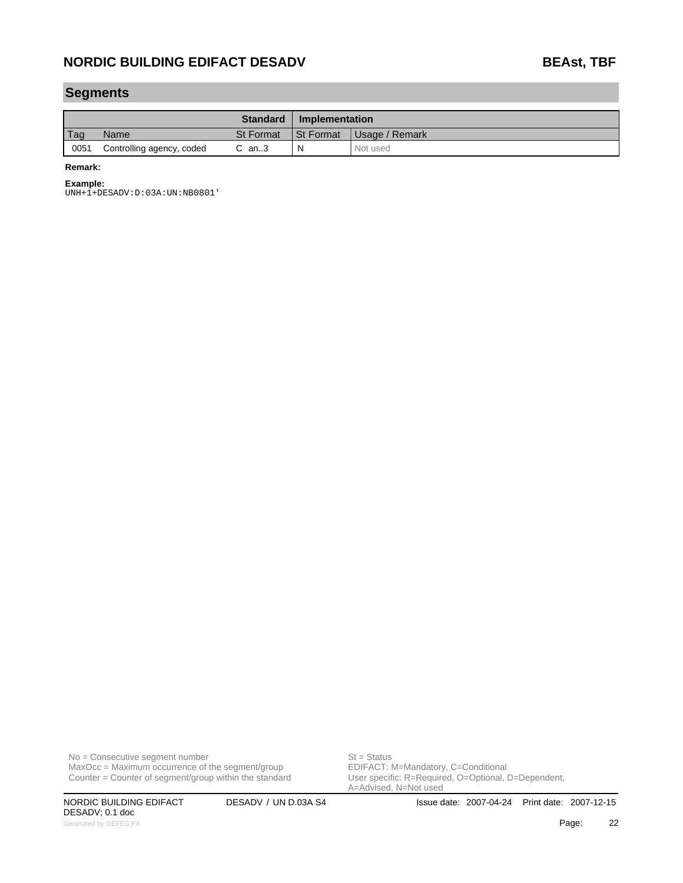#### **Segments**

|      |                           | <b>Standard</b>  | Implementation |                |
|------|---------------------------|------------------|----------------|----------------|
| Tag  | Name                      | <b>St Format</b> | St Format      | Usage / Remark |
| 0051 | Controlling agency, coded | $C$ an3          | N              | Not used       |

#### **Remark:**

#### **Example:**

UNH+1+DESADV:D:03A:UN:NB0801'

No = Consecutive segment number<br>
MaxOcc = Maximum occurrence of the segment/group<br>
EDIFACT: M=Mandatory, C=Conditional  $MaxOcc = Maximum$  occurrence of the segment/group Counter = Counter of segment/group within the standard

DESADV; 0.1 doc Generated by GEFEG.FX **Page:** 22 and the control of the control of the control of the control of the control of the control of the control of the control of the control of the control of the control of the control of the c

User specific: R=Required, O=Optional, D=Dependent,<br>A=Advised, N=Not used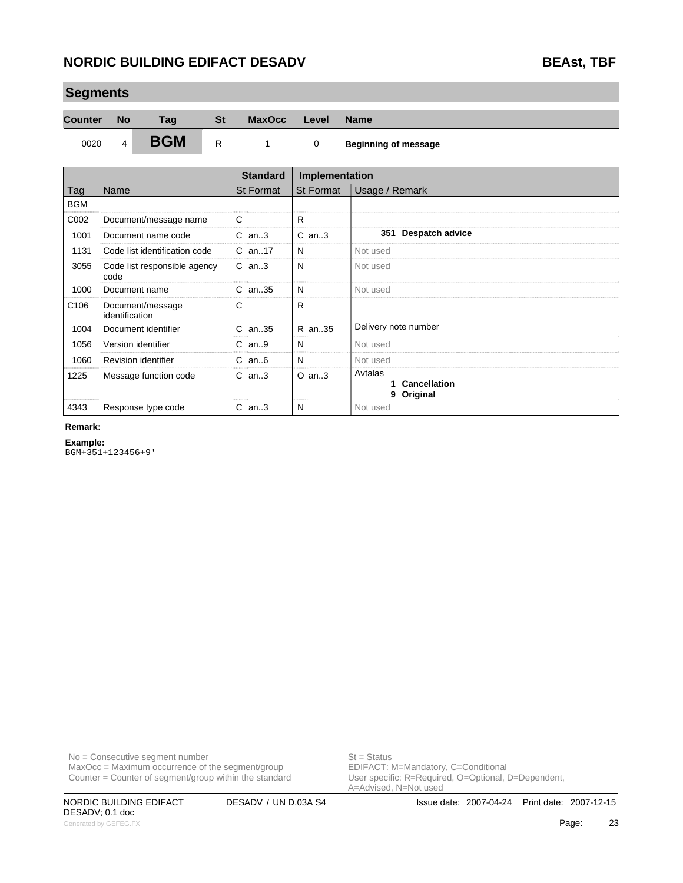| $-$ -900       |                |                               |           |                  |                |                                          |
|----------------|----------------|-------------------------------|-----------|------------------|----------------|------------------------------------------|
| <b>Counter</b> | <b>No</b>      | Taq                           | <b>St</b> | <b>MaxOcc</b>    | Level          | <b>Name</b>                              |
| 0020           | $\overline{4}$ | <b>BGM</b>                    | R         | 1                | $\mathbf 0$    | <b>Beginning of message</b>              |
|                |                |                               |           | <b>Standard</b>  | Implementation |                                          |
| Tag            | Name           |                               |           | <b>St Format</b> | St Format      | Usage / Remark                           |
| <b>BGM</b>     |                |                               |           |                  |                |                                          |
| C002           |                | Document/message name         |           | C                | R              |                                          |
| 1001           |                | Document name code            |           | $C$ an3          | $C$ an3        | 351 Despatch advice                      |
| 1131           |                | Code list identification code |           | $C$ an. 17       | N              | Not used                                 |
| 3055           | code           | Code list responsible agency  |           | $C$ an3          | N              | Not used                                 |
| 1000           |                | Document name                 |           | C an35           | N              | Not used                                 |
| C106           | identification | Document/message              |           | C                | R              |                                          |
| 1004           |                | Document identifier           |           | $C$ an. 35       | R an35         | Delivery note number                     |
| 1056           |                | Version identifier            |           | $C$ an9          | N              | Not used                                 |
| 1060           |                | Revision identifier           |           | $C$ an $6$       | N              | Not used                                 |
| 1225           |                | Message function code         |           | $C$ an3          | $O$ an3        | Avtalas<br>Cancellation<br>Original<br>9 |

### **Segments**

#### **Example:**

BGM+351+123456+9'

 $MaxOcc = Maximum$  occurrence of the segment/group Counter = Counter of segment/group within the standard

No = Consecutive segment number<br>
MaxOcc = Maximum occurrence of the segment/group<br>
EDIFACT: M=Mandatory, C=Conditional

4343 Response type code C an..3 N Not used

User specific: R=Required, O=Optional, D=Dependent,<br>A=Advised, N=Not used

DESADV; 0.1 doc Generated by GEFEG.FX **Page:** 23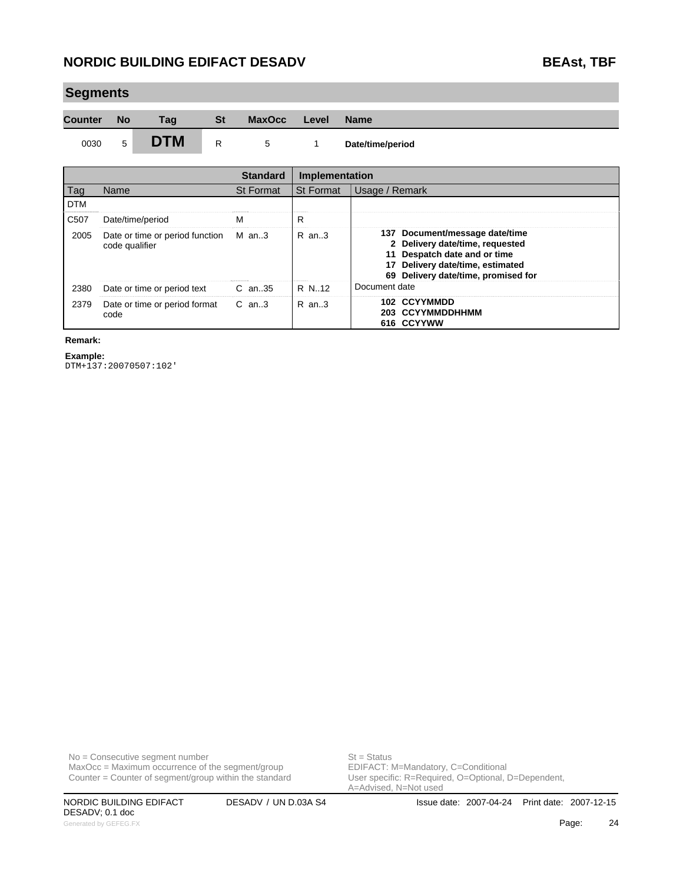| <b>Segments</b> |           |            |              |               |       |                  |  |  |  |
|-----------------|-----------|------------|--------------|---------------|-------|------------------|--|--|--|
| Counter         | <b>No</b> | Taq        | St           | <b>MaxOcc</b> | Level | <b>Name</b>      |  |  |  |
| 0030            | 5         | <b>DTM</b> | $\mathsf{R}$ | 5             |       | Date/time/period |  |  |  |

|                   |                                                   | <b>Standard</b> | <b>Implementation</b> |                                                                                                                                                                              |
|-------------------|---------------------------------------------------|-----------------|-----------------------|------------------------------------------------------------------------------------------------------------------------------------------------------------------------------|
| Tag               | Name                                              | St Format       | <b>St Format</b>      | Usage / Remark                                                                                                                                                               |
| <b>DTM</b>        |                                                   |                 |                       |                                                                                                                                                                              |
| C <sub>50</sub> 7 | Date/time/period                                  | м               | R                     |                                                                                                                                                                              |
| 2005              | Date or time or period function<br>code qualifier | M an3           | $R$ an. 3             | 137 Document/message date/time<br>2 Delivery date/time, requested<br>11 Despatch date and or time<br>17 Delivery date/time, estimated<br>69 Delivery date/time, promised for |
| 2380              | Date or time or period text                       | $C$ an. 35      | R N.12                | Document date                                                                                                                                                                |
| 2379              | Date or time or period format<br>code             | $C$ an3         | $R$ an. 3             | 102 CCYYMMDD<br>203 CCYYMMDDHHMM<br>616 CCYYWW                                                                                                                               |

#### **Remark:**

**Example:** DTM+137:20070507:102'

 $MaxOcc = Maximum$  occurrence of the segment/group Counter = Counter of segment/group within the standard

No = Consecutive segment number<br>
MaxOcc = Maximum occurrence of the segment/group<br>
EDIFACT: M=Mandatory, C=Conditional

DESADV; 0.1 doc Generated by GEFEG.FX **Page:** 24

User specific: R=Required, O=Optional, D=Dependent,<br>A=Advised, N=Not used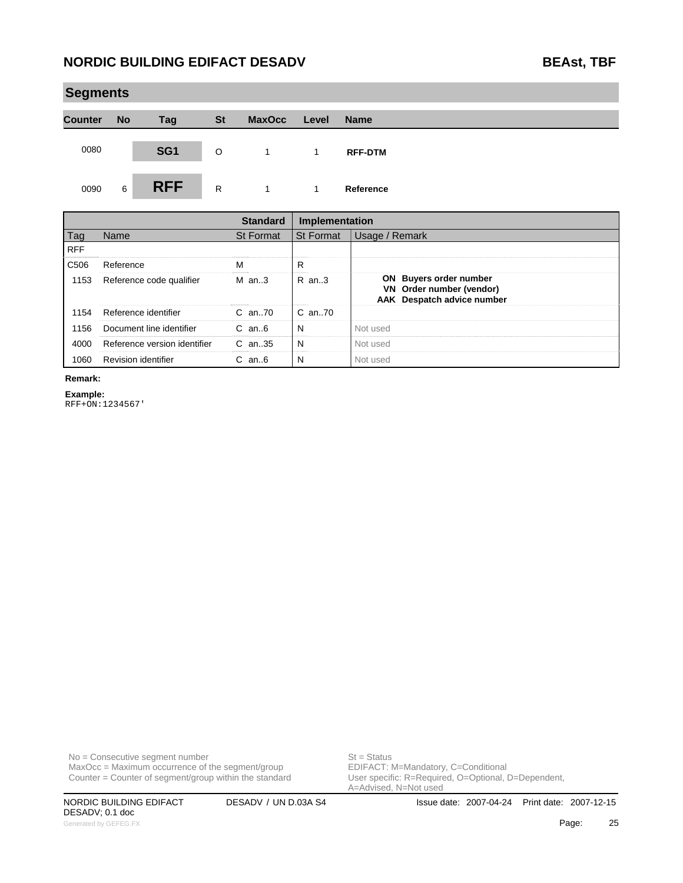| <b>Segments</b> |           |                 |           |               |       |                |  |  |
|-----------------|-----------|-----------------|-----------|---------------|-------|----------------|--|--|
| <b>Counter</b>  | <b>No</b> | <b>Tag</b>      | <b>St</b> | <b>MaxOcc</b> | Level | <b>Name</b>    |  |  |
| 0080            |           | SG <sub>1</sub> | O         | 1             | 1     | <b>RFF-DTM</b> |  |  |
| 0090            | 6         | <b>RFF</b>      | R         |               | 1     | Reference      |  |  |

|            |                              | <b>Standard</b> | Implementation |                                                                                         |
|------------|------------------------------|-----------------|----------------|-----------------------------------------------------------------------------------------|
| Tag        | <b>Name</b>                  | St Format       | l St Format    | Usage / Remark                                                                          |
| <b>RFF</b> |                              |                 |                |                                                                                         |
| C506       | Reference                    | м               | R              |                                                                                         |
| 1153       | Reference code qualifier     | $M$ an3         | $R$ an. 3      | <b>ON</b> Buyers order number<br>VN Order number (vendor)<br>AAK Despatch advice number |
| 1154       | Reference identifier         | $C$ an. $70$    | $C$ an. $70$   |                                                                                         |
| 1156       | Document line identifier     | $C$ an $6$      | N              | Not used                                                                                |
| 4000       | Reference version identifier | $C$ an. 35      | N              | Not used                                                                                |
| 1060       | Revision identifier          | $C$ an $6$      | N              | Not used                                                                                |

#### **Remark:**

**Example:**

RFF+ON:1234567'

 $MaxOcc = Maximum$  occurrence of the segment/group Counter = Counter of segment/group within the standard

No = Consecutive segment number<br>
MaxOcc = Maximum occurrence of the segment/group<br>
EDIFACT: M=Mandatory, C=Conditional User specific: R=Required, O=Optional, D=Dependent,<br>A=Advised, N=Not used

DESADV; 0.1 doc Generated by GEFEG.FX **Page:** 25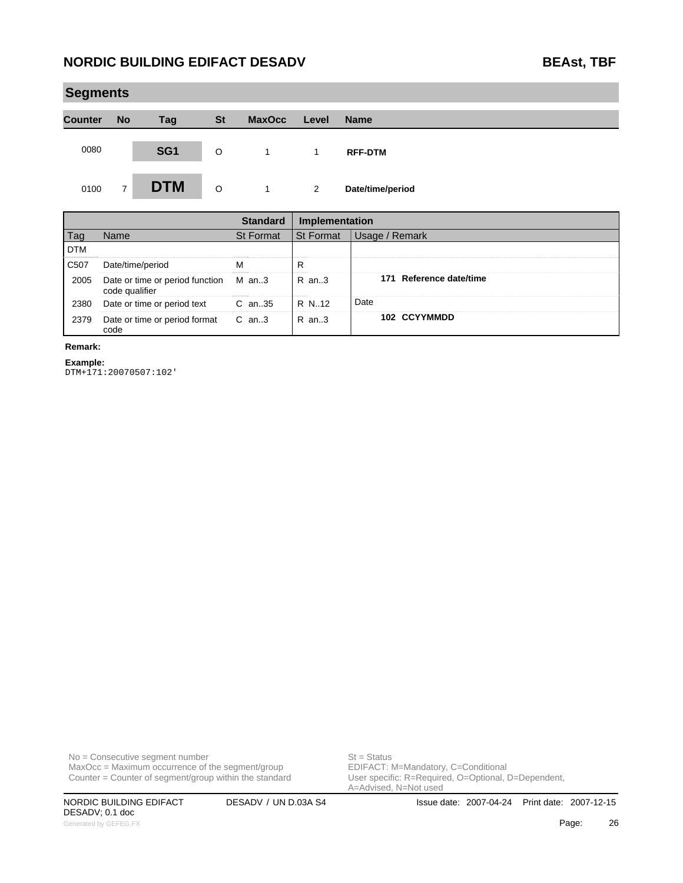| <b>Segments</b> |                |                 |           |               |       |                  |  |  |
|-----------------|----------------|-----------------|-----------|---------------|-------|------------------|--|--|
| <b>Counter</b>  | <b>No</b>      | <b>Tag</b>      | <b>St</b> | <b>MaxOcc</b> | Level | <b>Name</b>      |  |  |
| 0080            |                | SG <sub>1</sub> | O         | 1             | 1     | <b>RFF-DTM</b>   |  |  |
| 0100            | $\overline{7}$ | <b>DTM</b>      | $\circ$   |               | 2     | Date/time/period |  |  |

|            |                                                         |                  | Implementation   |                         |
|------------|---------------------------------------------------------|------------------|------------------|-------------------------|
| Tag        | Name                                                    | <b>St Format</b> | <b>St Format</b> | Usage / Remark          |
| <b>DTM</b> |                                                         |                  |                  |                         |
| C507       | Date/time/period                                        |                  |                  |                         |
| 2005       | Date or time or period function M an3<br>code qualifier |                  | $R$ an3          | 171 Reference date/time |
| 2380       | Date or time or period text                             | C an35           | <b>R</b> N.12    | Date                    |
| 2379       | Date or time or period format C an3<br>code             |                  | R an3            | 102 CCYYMMDD            |

#### **Remark:**

**Example:**

DTM+171:20070507:102'

No = Consecutive segment number<br>
MaxOcc = Maximum occurrence of the segment/group<br>
EDIFACT: M=Mandatory, C=Conditional  $MaxOcc = Maximum$  occurrence of the segment/group Counter = Counter of segment/group within the standard

DESADV; 0.1 doc Generated by GEFEG.FX **Page:** 26

User specific: R=Required, O=Optional, D=Dependent,<br>A=Advised, N=Not used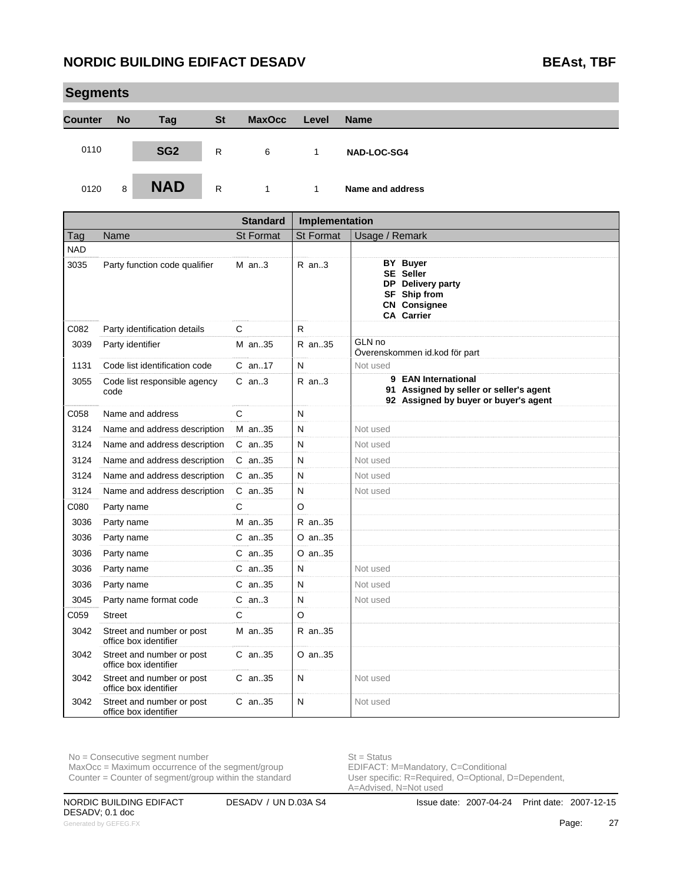| <b>Segments</b> |                                          |                  |                               |           |                  |                                                                                                                                   |                                          |  |  |  |
|-----------------|------------------------------------------|------------------|-------------------------------|-----------|------------------|-----------------------------------------------------------------------------------------------------------------------------------|------------------------------------------|--|--|--|
| <b>Counter</b>  | <b>No</b>                                |                  | Tag                           | <b>St</b> | <b>MaxOcc</b>    | Level                                                                                                                             | <b>Name</b>                              |  |  |  |
| 0110            |                                          |                  | SG <sub>2</sub>               | R         | 6                | 1                                                                                                                                 | <b>NAD-LOC-SG4</b>                       |  |  |  |
| 0120            | 8                                        |                  | <b>NAD</b>                    | R         | 1                | 1                                                                                                                                 | Name and address                         |  |  |  |
|                 |                                          |                  |                               |           | <b>Standard</b>  |                                                                                                                                   | Implementation                           |  |  |  |
| <b>Tag</b>      | Name                                     |                  |                               |           | <b>St Format</b> | <b>St Format</b>                                                                                                                  | Usage / Remark                           |  |  |  |
| <b>NAD</b>      |                                          |                  |                               |           |                  |                                                                                                                                   |                                          |  |  |  |
| 3035            | Party function code qualifier<br>$M$ an3 |                  |                               |           | $R$ an3          | <b>BY Buyer</b><br><b>SE Seller</b><br>DP<br><b>Delivery party</b><br>Ship from<br>SF<br><b>CN</b> Consignee<br><b>CA Carrier</b> |                                          |  |  |  |
| C082            |                                          |                  | Party identification details  |           | C                | R                                                                                                                                 |                                          |  |  |  |
| 3039            |                                          | Party identifier |                               |           | M an35           | R an35                                                                                                                            | GLN no<br>Overenskommen id. kod för part |  |  |  |
| 1131            |                                          |                  | Code list identification code |           | $C$ an. 17       | N                                                                                                                                 | Not used                                 |  |  |  |

| 3039 | Party identifier                                   | M an35      | R an35   | טוו צוםט<br>Overenskommen id. kod för part                                                              |
|------|----------------------------------------------------|-------------|----------|---------------------------------------------------------------------------------------------------------|
| 1131 | Code list identification code                      | $C$ an. 17  | N        | Not used                                                                                                |
| 3055 | Code list responsible agency<br>code               | $C$ an. $3$ | $R$ an3  | 9 EAN International<br>91 Assigned by seller or seller's agent<br>92 Assigned by buyer or buyer's agent |
| C058 | Name and address                                   | C           | N        |                                                                                                         |
| 3124 | Name and address description                       | M an35      | N        | Not used                                                                                                |
| 3124 | Name and address description                       | $C$ an. 35  | N        | Not used                                                                                                |
| 3124 | Name and address description                       | $C$ an. 35  | N        | Not used                                                                                                |
| 3124 | Name and address description                       | $C$ an. 35  | N        | Not used                                                                                                |
| 3124 | Name and address description                       | $C$ an. 35  | N        | Not used                                                                                                |
| C080 | Party name                                         | C           | O        |                                                                                                         |
| 3036 | Party name                                         | M an35      | R an35   |                                                                                                         |
| 3036 | Party name                                         | $C$ an. 35  | O an35   |                                                                                                         |
| 3036 | Party name                                         | $C$ an. 35  | O an35   |                                                                                                         |
| 3036 | Party name                                         | C an35      | N        | Not used                                                                                                |
| 3036 | Party name                                         | C an35      | N        | Not used                                                                                                |
| 3045 | Party name format code                             | $C$ an3     | N        | Not used                                                                                                |
| C059 | <b>Street</b>                                      | C           | $\Omega$ |                                                                                                         |
| 3042 | Street and number or post<br>office box identifier | M an35      | R an35   |                                                                                                         |
| 3042 | Street and number or post<br>office box identifier | $C$ an. 35  | O an35   |                                                                                                         |
| 3042 | Street and number or post<br>office box identifier | $C$ an. 35  | N        | Not used                                                                                                |
| 3042 | Street and number or post<br>office box identifier | C an35      | N        | Not used                                                                                                |

No = Consecutive segment number<br>
MaxOcc = Maximum occurrence of the segment/group<br>
EDIFACT: M=Mandatory, C=Conditional  $MaxOcc = Maximum occurrence of the segment/group$ Counter = Counter of segment/group within the standard

User specific: R=Required, O=Optional, D=Dependent,<br>A=Advised, N=Not used

DESADV; 0.1 doc Generated by GEFEG.FX **Page:** 27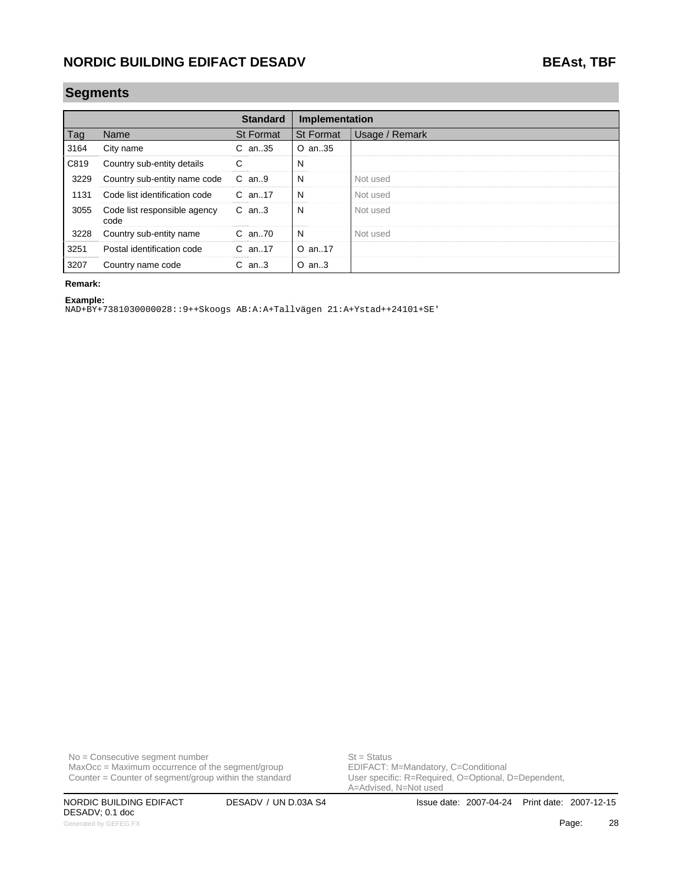#### **Segments**

|      |                                      | <b>Standard</b>  | Implementation   |                |  |  |
|------|--------------------------------------|------------------|------------------|----------------|--|--|
| Tag  | Name                                 | <b>St Format</b> | <b>St Format</b> | Usage / Remark |  |  |
| 3164 | City name                            | $C$ an. 35       | O an35           |                |  |  |
| C819 | Country sub-entity details           | C                | N                |                |  |  |
| 3229 | Country sub-entity name code         | $C$ an9          | N                | Not used       |  |  |
| 1131 | Code list identification code        | $C$ an. 17       | N                | Not used       |  |  |
| 3055 | Code list responsible agency<br>code | $C$ an3          | N                | Not used       |  |  |
| 3228 | Country sub-entity name              | $C$ an. $70$     | N                | Not used       |  |  |
| 3251 | Postal identification code           | $C$ an. 17       | O an17           |                |  |  |
| 3207 | Country name code                    | $C$ an3          | $O$ an3          |                |  |  |

#### **Remark:**

#### **Example:**

NAD+BY+7381030000028::9++Skoogs AB:A:A+Tallvägen 21:A+Ystad++24101+SE'

 $MaxOcc = Maximum$  occurrence of the segment/group Counter = Counter of segment/group within the standard

No = Consecutive segment number<br>
MaxOcc = Maximum occurrence of the segment/group<br>
EDIFACT: M=Mandatory, C=Conditional User specific: R=Required, O=Optional, D=Dependent,<br>A=Advised, N=Not used

DESADV; 0.1 doc Generated by GEFEG.FX **28**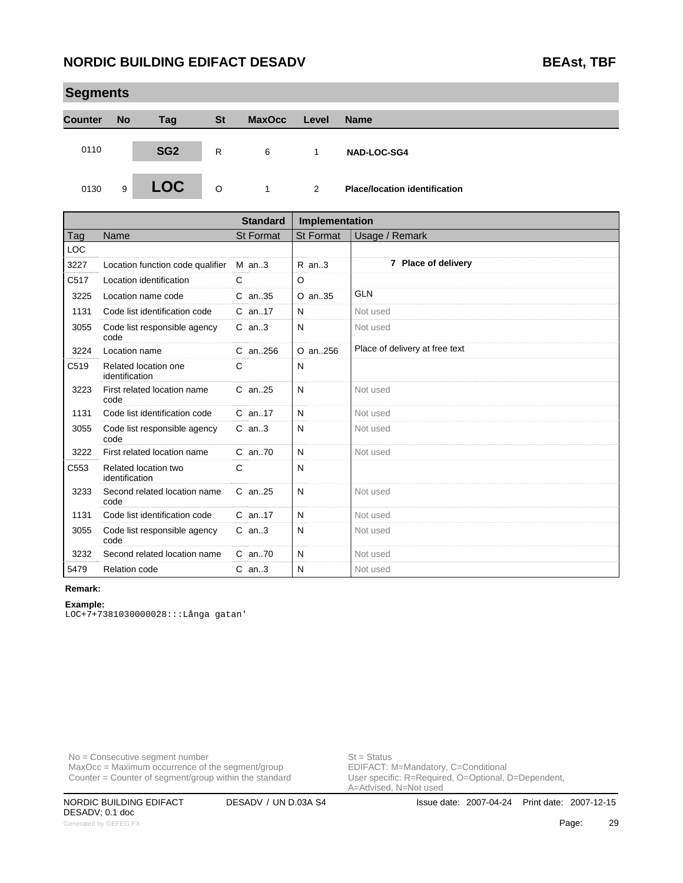**Segments**

| <b>Segments</b> |           |                 |           |               |       |                                      |  |  |
|-----------------|-----------|-----------------|-----------|---------------|-------|--------------------------------------|--|--|
| <b>Counter</b>  | <b>No</b> | <b>Tag</b>      | <b>St</b> | <b>MaxOcc</b> | Level | <b>Name</b>                          |  |  |
| 0110            |           | SG <sub>2</sub> | R         | 6             |       | <b>NAD-LOC-SG4</b>                   |  |  |
| 0130            | 9         | <b>LOC</b>      | O         | $\mathbf{1}$  | 2     | <b>Place/location identification</b> |  |  |

|            |                                        | <b>Standard</b>  | Implementation   |                                |
|------------|----------------------------------------|------------------|------------------|--------------------------------|
| Tag        | Name                                   | <b>St Format</b> | <b>St Format</b> | Usage / Remark                 |
| <b>LOC</b> |                                        |                  |                  |                                |
| 3227       | Location function code qualifier       | $M$ an3          | $R$ an3          | 7 Place of delivery            |
| C517       | Location identification                | C                | $\circ$          |                                |
| 3225       | Location name code                     | C an35           | O an35           | <b>GLN</b>                     |
| 1131       | Code list identification code          | C an17           | N                | Not used                       |
| 3055       | Code list responsible agency<br>code   | $C$ an3          | N                | Not used                       |
| 3224       | Location name                          | $C$ an. 256      | O an.,256        | Place of delivery at free text |
| C519       | Related location one<br>identification | C                | N                |                                |
| 3223       | First related location name<br>code    | $C$ an. 25       | N                | Not used                       |
| 1131       | Code list identification code          | C an17           | N                | Not used                       |
| 3055       | Code list responsible agency<br>code   | $C$ an3          | N                | Not used                       |
| 3222       | First related location name            | C an70           | N                | Not used                       |
| C553       | Related location two<br>identification | C                | N                |                                |
| 3233       | Second related location name<br>code   | $C$ an. 25       | N                | Not used                       |
| 1131       | Code list identification code          | $C$ an. 17       | N                | Not used                       |
| 3055       | Code list responsible agency<br>code   | $C$ an. $3$      | N                | Not used                       |
| 3232       | Second related location name           | C an70           | N                | Not used                       |
| 5479       | <b>Relation code</b>                   | $C$ an3          | N                | Not used                       |

# **Remark:**

**Example:** LOC+7+7381030000028:::Långa gatan'

No = Consecutive segment number<br>
MaxOcc = Maximum occurrence of the segment/group<br>
EDIFACT: M=Mandatory, C=Conditional  $MaxOcc = Maximum occurrence of the segment/group$ Counter = Counter of segment/group within the standard

User specific: R=Required, O=Optional, D=Dependent,<br>A=Advised, N=Not used

DESADV; 0.1 doc Generated by GEFEG.FX **Page:** 29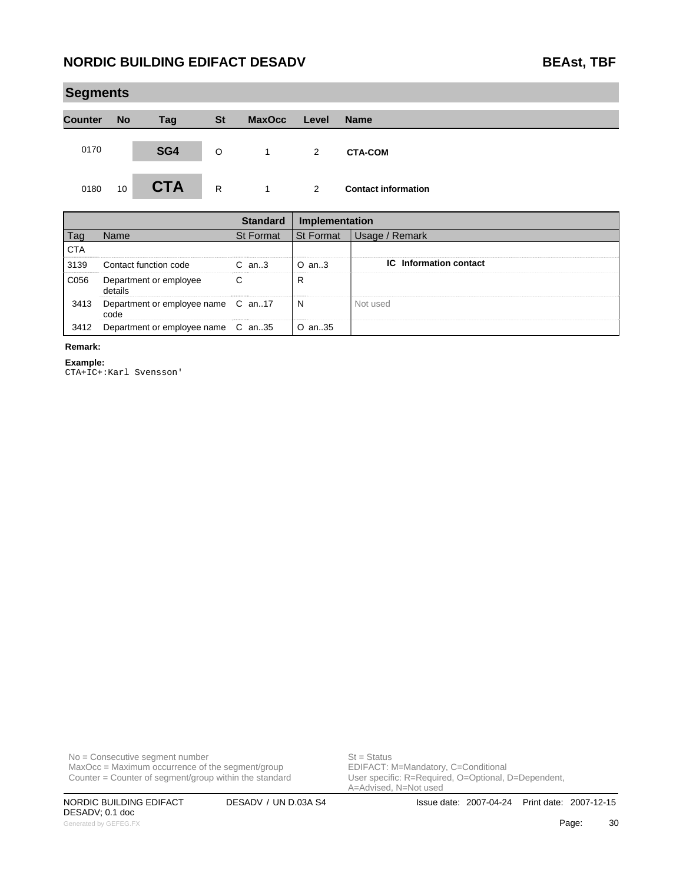| <b>Segments</b> |           |            |           |               |                      |                            |  |  |  |  |  |
|-----------------|-----------|------------|-----------|---------------|----------------------|----------------------------|--|--|--|--|--|
| <b>Counter</b>  | <b>No</b> | <b>Tag</b> | <b>St</b> | <b>MaxOcc</b> | Level                | <b>Name</b>                |  |  |  |  |  |
| 0170            |           | SG4        | O         |               | $\mathbf{2}^{\circ}$ | <b>CTA-COM</b>             |  |  |  |  |  |
| 0180            | 10        | <b>CTA</b> | R         |               | 2                    | <b>Contact information</b> |  |  |  |  |  |

|            |                                            | standard  | Implementation   |                               |
|------------|--------------------------------------------|-----------|------------------|-------------------------------|
| Tag        | Name                                       | St Format | <b>St Format</b> | Usage / Remark                |
| <b>CTA</b> |                                            |           |                  |                               |
| 3139       | Contact function code                      | $C$ an3   | $O$ an3          | <b>IC</b> Information contact |
| C056       | Department or employee<br>details          |           |                  |                               |
| 3413       | Department or employee name C an17<br>code |           | N                | Not used                      |
| 3412       | Department or employee name C an35         |           | O an35           |                               |

#### **Remark:**

**Example:**

CTA+IC+:Karl Svensson'

No = Consecutive segment number<br>
MaxOcc = Maximum occurrence of the segment/group<br>
EDIFACT: M=Mandatory, C=Conditional  $MaxOcc = Maximum$  occurrence of the segment/group Counter = Counter of segment/group within the standard

DESADV; 0.1 doc Generated by GEFEG.FX **Page:** 20

User specific: R=Required, O=Optional, D=Dependent,<br>A=Advised, N=Not used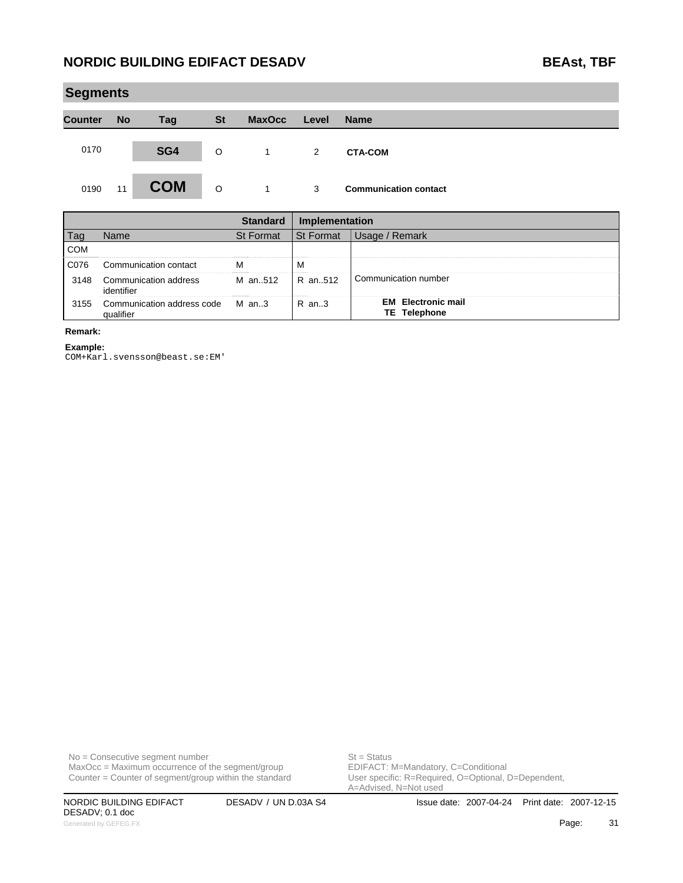|                | <b>Segments</b> |            |           |                |                |                              |  |  |  |  |  |
|----------------|-----------------|------------|-----------|----------------|----------------|------------------------------|--|--|--|--|--|
| <b>Counter</b> | <b>No</b>       | Tag        | <b>St</b> | <b>MaxOcc</b>  | Level          | <b>Name</b>                  |  |  |  |  |  |
| 0170           |                 | SG4        | O         | $\mathbf{1}$   | $\overline{2}$ | <b>CTA-COM</b>               |  |  |  |  |  |
| 0190           | 11              | <b>COM</b> | $\circ$   | $\overline{1}$ | 3              | <b>Communication contact</b> |  |  |  |  |  |

|            |                                               |                 | Implementation   |                                           |
|------------|-----------------------------------------------|-----------------|------------------|-------------------------------------------|
|            | lame                                          | St Format.      | <b>St Format</b> | Remark                                    |
| <b>COM</b> |                                               |                 |                  |                                           |
| C076       | Communication contact                         |                 | м                |                                           |
| 3148       | Communication address<br>identifier           | M an512 R an512 |                  | Communication number                      |
| 3155       | Communication address code M an3<br>qualifier |                 | R an3            | <b>EM</b> Electronic mail<br>TE Telephone |

### **Remark:**

**Example:**

COM+Karl.svensson@beast.se:EM'

 $MaxOcc = Maximum$  occurrence of the segment/group Counter = Counter of segment/group within the standard

No = Consecutive segment number<br>
MaxOcc = Maximum occurrence of the segment/group<br>
EDIFACT: M=Mandatory, C=Conditional User specific: R=Required, O=Optional, D=Dependent,<br>A=Advised, N=Not used

DESADV; 0.1 doc Generated by GEFEG.FX **Page:** 31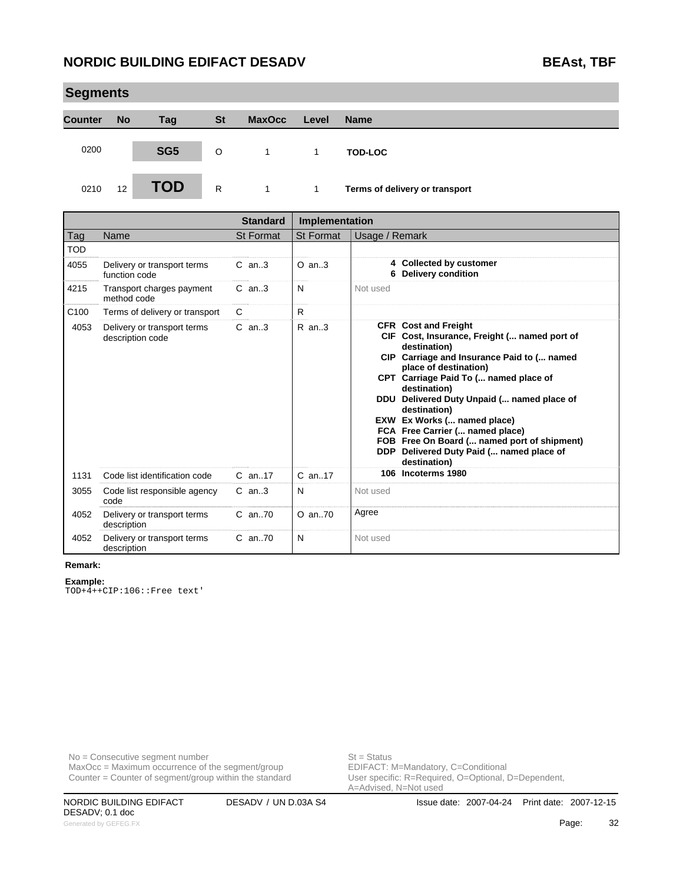| <b>Segments</b> |           |                 |           |                |       |                                |  |  |  |  |  |
|-----------------|-----------|-----------------|-----------|----------------|-------|--------------------------------|--|--|--|--|--|
| <b>Counter</b>  | <b>No</b> | Tag             | <b>St</b> | <b>MaxOcc</b>  | Level | <b>Name</b>                    |  |  |  |  |  |
| 0200            |           | SG <sub>5</sub> | O         | $\overline{1}$ | 1     | <b>TOD-LOC</b>                 |  |  |  |  |  |
| 0210            | 12        | <b>TOD</b>      | R         | 1              | 1     | Terms of delivery or transport |  |  |  |  |  |

|                  |                                                 | <b>Standard</b>  | Implementation   |                                                                                                                                                                                                                                                                                                                                                                                                                                                                        |
|------------------|-------------------------------------------------|------------------|------------------|------------------------------------------------------------------------------------------------------------------------------------------------------------------------------------------------------------------------------------------------------------------------------------------------------------------------------------------------------------------------------------------------------------------------------------------------------------------------|
| Tag              | Name                                            | <b>St Format</b> | <b>St Format</b> | Usage / Remark                                                                                                                                                                                                                                                                                                                                                                                                                                                         |
| <b>TOD</b>       |                                                 |                  |                  |                                                                                                                                                                                                                                                                                                                                                                                                                                                                        |
| 4055             | Delivery or transport terms<br>function code    | $C$ an3          | $O$ an3          | 4 Collected by customer<br><b>Delivery condition</b><br>6.                                                                                                                                                                                                                                                                                                                                                                                                             |
| 4215             | Transport charges payment<br>method code        | $C$ an. $3$      | N                | Not used                                                                                                                                                                                                                                                                                                                                                                                                                                                               |
| C <sub>100</sub> | Terms of delivery or transport                  | C                | R                |                                                                                                                                                                                                                                                                                                                                                                                                                                                                        |
| 4053             | Delivery or transport terms<br>description code | $C$ an. $3$      | $R$ an. $3$      | <b>CFR</b> Cost and Freight<br>CIF Cost, Insurance, Freight ( named port of<br>destination)<br>CIP Carriage and Insurance Paid to ( named<br>place of destination)<br>CPT Carriage Paid To ( named place of<br>destination)<br>DDU Delivered Duty Unpaid ( named place of<br>destination)<br>EXW Ex Works ( named place)<br>FCA Free Carrier ( named place)<br>FOB Free On Board ( named port of shipment)<br>DDP Delivered Duty Paid ( named place of<br>destination) |
| 1131             | Code list identification code                   | $C$ an. 17       | $C$ an. 17       | 106 Incoterms 1980                                                                                                                                                                                                                                                                                                                                                                                                                                                     |
| 3055             | Code list responsible agency<br>code            | $C$ an. $3$      | N                | Not used                                                                                                                                                                                                                                                                                                                                                                                                                                                               |
| 4052             | Delivery or transport terms<br>description      | $C$ an. $70$     | $O$ an. $70$     | Agree                                                                                                                                                                                                                                                                                                                                                                                                                                                                  |
| 4052             | Delivery or transport terms<br>description      | $C$ an70         | N                | Not used                                                                                                                                                                                                                                                                                                                                                                                                                                                               |

#### **Remark:**

**Example:** TOD+4++CIP:106::Free text'

No = Consecutive segment number<br>
MaxOcc = Maximum occurrence of the segment/group<br>
EDIFACT: M=Mandatory, C=Conditional  $MaxOcc = Maximum$  occurrence of the segment/group Counter = Counter of segment/group within the standard

User specific: R=Required, O=Optional, D=Dependent,<br>A=Advised, N=Not used

DESADV; 0.1 doc Generated by GEFEG.FX **22 Page:** 32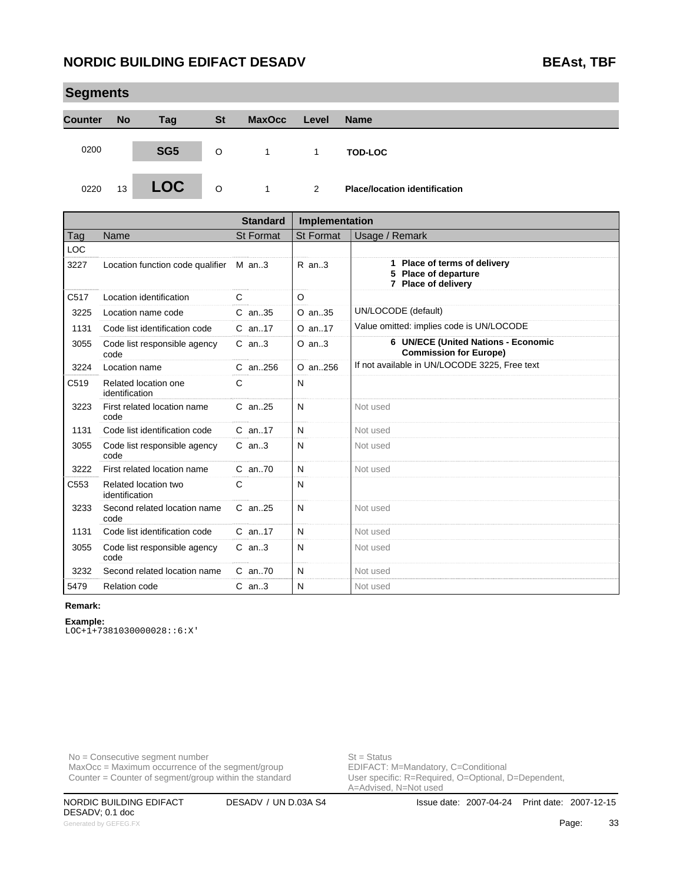|                | <b>Segments</b> |                 |         |               |              |                                      |  |  |  |  |  |  |
|----------------|-----------------|-----------------|---------|---------------|--------------|--------------------------------------|--|--|--|--|--|--|
| <b>Counter</b> | <b>No</b>       | <b>Tag</b>      | St      | <b>MaxOcc</b> | Level        | <b>Name</b>                          |  |  |  |  |  |  |
| 0200           |                 | SG <sub>5</sub> | $\circ$ | 1.            | $\mathbf{1}$ | <b>TOD-LOC</b>                       |  |  |  |  |  |  |
| 0220           | 13              | <b>LOC</b>      | $\circ$ |               | 2            | <b>Place/location identification</b> |  |  |  |  |  |  |

|                  |                                        | <b>Standard</b>  | <b>Implementation</b> |                                                                             |
|------------------|----------------------------------------|------------------|-----------------------|-----------------------------------------------------------------------------|
| Tag              | Name                                   | <b>St Format</b> | <b>St Format</b>      | Usage / Remark                                                              |
| <b>LOC</b>       |                                        |                  |                       |                                                                             |
| 3227             | Location function code qualifier       | M an3            | $R$ an. $3$           | 1 Place of terms of delivery<br>5 Place of departure<br>7 Place of delivery |
| C517             | Location identification                | $\mathsf{C}$     | O                     |                                                                             |
| 3225             | Location name code                     | $C$ an. 35       | O an35                | UN/LOCODE (default)                                                         |
| 1131             | Code list identification code          | $C$ an. 17       | $O$ an17              | Value omitted: implies code is UN/LOCODE                                    |
| 3055             | Code list responsible agency<br>code   | $C$ an. $3$      | $O$ an3               | 6 UN/ECE (United Nations - Economic<br><b>Commission for Europe)</b>        |
| 3224             | Location name                          | C an256          | O an256               | If not available in UN/LOCODE 3225. Free text                               |
| C <sub>519</sub> | Related location one<br>identification | C                | N                     |                                                                             |
| 3223             | First related location name<br>code    | $C$ an. 25       | N                     | Not used                                                                    |
| 1131             | Code list identification code          | $C$ an. 17       | N                     | Not used                                                                    |
| 3055             | Code list responsible agency<br>code   | $C$ an. $3$      | N                     | Not used                                                                    |
| 3222             | First related location name            | $C$ an. $70$     | N                     | Not used                                                                    |
| C553             | Related location two<br>identification | C                | N                     |                                                                             |
| 3233             | Second related location name<br>code   | $C$ an. 25       | N                     | Not used                                                                    |
| 1131             | Code list identification code          | $C$ an. 17       | N                     | Not used                                                                    |
| 3055             | Code list responsible agency<br>code   | $C$ an. $3$      | N                     | Not used                                                                    |
| 3232             | Second related location name           | $C$ an. $70$     | N                     | Not used                                                                    |
| 5479             | <b>Relation code</b>                   | $C$ an3          | N                     | Not used                                                                    |

#### **Remark:**

**Example:**

LOC+1+7381030000028::6:X'

No = Consecutive segment number<br>
MaxOcc = Maximum occurrence of the segment/group<br>
EDIFACT: M=Mandatory, C=Conditional  $MaxOcc = Maximum$  occurrence of the segment/group Counter = Counter of segment/group within the standard

User specific: R=Required, O=Optional, D=Dependent,<br>A=Advised, N=Not used

DESADV; 0.1 doc Generated by GEFEG.FX **23 Page:** 23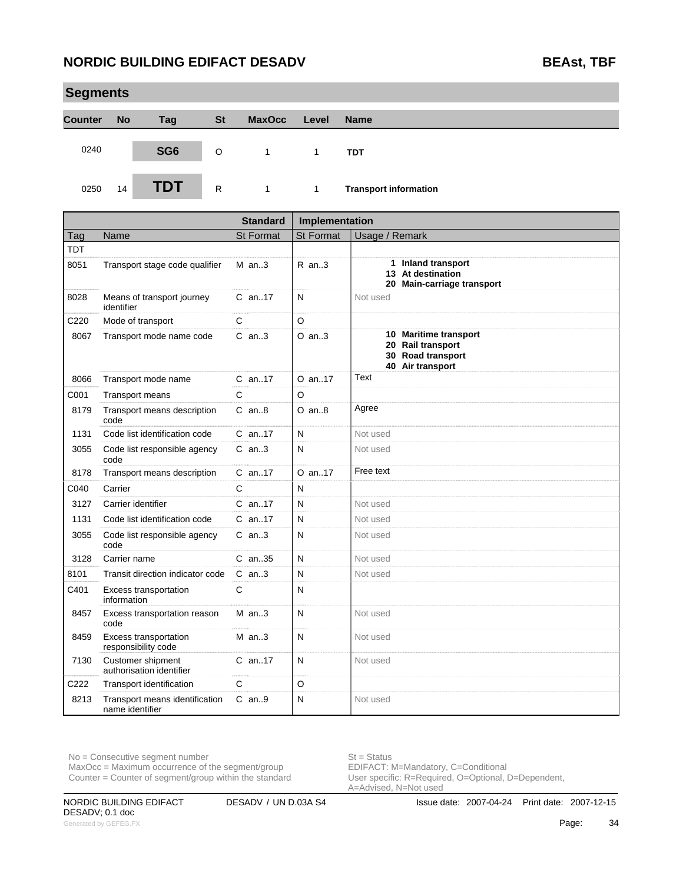| <b>Segments</b> |           |                 |           |               |       |                              |  |  |  |  |  |
|-----------------|-----------|-----------------|-----------|---------------|-------|------------------------------|--|--|--|--|--|
| <b>Counter</b>  | <b>No</b> | <b>Tag</b>      | <b>St</b> | <b>MaxOcc</b> | Level | <b>Name</b>                  |  |  |  |  |  |
| 0240            |           | SG <sub>6</sub> | $\circ$   |               | 1     | <b>TDT</b>                   |  |  |  |  |  |
| 0250            | 14        | <b>TDT</b>      | R         | 1             | 1     | <b>Transport information</b> |  |  |  |  |  |

|            |                                                      | <b>Standard</b>  | Implementation   |                                                                                     |
|------------|------------------------------------------------------|------------------|------------------|-------------------------------------------------------------------------------------|
| Tag        | Name                                                 | <b>St Format</b> | <b>St Format</b> | Usage / Remark                                                                      |
| <b>TDT</b> |                                                      |                  |                  |                                                                                     |
| 8051       | Transport stage code qualifier                       | $M$ an. 3        | $R$ an3          | 1 Inland transport<br>13 At destination<br>20 Main-carriage transport               |
| 8028       | Means of transport journey<br>identifier             | C an17           | N                | Not used                                                                            |
| C220       | Mode of transport                                    | $\mathsf{C}$     | O                |                                                                                     |
| 8067       | Transport mode name code                             | $C$ an3          | $O$ an3          | 10 Maritime transport<br>20 Rail transport<br>30 Road transport<br>40 Air transport |
| 8066       | Transport mode name                                  | $C$ an. 17       | $O$ an. 17       | Text                                                                                |
| C001       | Transport means                                      | C                | $\Omega$         |                                                                                     |
| 8179       | Transport means description<br>code                  | $C$ an $8$       | $O$ an $8$       | Agree                                                                               |
| 1131       | Code list identification code                        | $C$ an. 17       | N                | Not used                                                                            |
| 3055       | Code list responsible agency<br>code                 | $C$ an3          | N                | Not used                                                                            |
| 8178       | Transport means description                          | $C$ an17         | $O$ an17         | Free text                                                                           |
| C040       | Carrier                                              | C                | N                |                                                                                     |
| 3127       | Carrier identifier                                   | $C$ an. 17       | N                | Not used                                                                            |
| 1131       | Code list identification code                        | $C$ an. 17       | N                | Not used                                                                            |
| 3055       | Code list responsible agency<br>code                 | $C$ an3          | N                | Not used                                                                            |
| 3128       | Carrier name                                         | $C$ an. 35       | N                | Not used                                                                            |
| 8101       | Transit direction indicator code                     | $C$ an3          | N                | Not used                                                                            |
| C401       | Excess transportation<br>information                 | C                | N                |                                                                                     |
| 8457       | Excess transportation reason<br>code                 | $M$ an3          | N                | Not used                                                                            |
| 8459       | <b>Excess transportation</b><br>responsibility code  | $M$ an. 3        | N                | Not used                                                                            |
| 7130       | <b>Customer shipment</b><br>authorisation identifier | $C$ an17         | N                | Not used                                                                            |
| C222       | Transport identification                             | $\mathsf{C}$     | O                |                                                                                     |
| 8213       | Transport means identification<br>name identifier    | $C$ an. 9        | N                | Not used                                                                            |

No = Consecutive segment number<br>
MaxOcc = Maximum occurrence of the segment/group<br>
EDIFACT: M=Mandatory, C=Conditional  $MaxOcc = Maximum occurrence of the segment/group$ 

Counter = Counter of segment/group within the standard

User specific: R=Required, O=Optional, D=Dependent,<br>A=Advised, N=Not used

DESADV; 0.1 doc Generated by GEFEG.FX **Page:** 34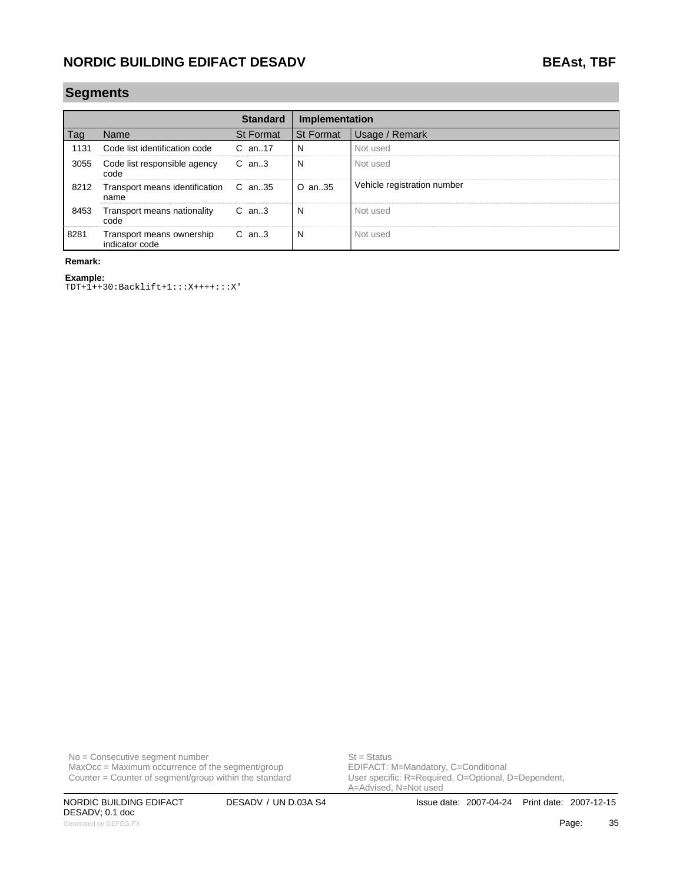#### **Segments**

|      |                                               | <b>Standard</b>  | Implementation   |                             |
|------|-----------------------------------------------|------------------|------------------|-----------------------------|
| I aq | Name                                          | <b>St Format</b> | <b>St Format</b> | Usage / Remark              |
| 1131 | Code list identification code                 | $C$ an. 17       | N                | Not used                    |
| 3055 | Code list responsible agency<br>code          | $C$ an3          | N                | Not used                    |
| 8212 | Transport means identification C an35<br>name |                  | O an35           | Vehicle registration number |
| 8453 | Transport means nationality<br>code           | $C$ an3          | N                | Not used                    |
| 8281 | Transport means ownership<br>indicator code   | $C$ an3          | N                | Not used                    |

#### **Remark:**

**Example:**

TDT+1++30:Backlift+1:::X++++:::X'

No = Consecutive segment number<br>
MaxOcc = Maximum occurrence of the segment/group<br>
EDIFACT: M=Mandatory, C=Conditional  $MaxOcc = Maximum$  occurrence of the segment/group Counter = Counter of segment/group within the standard

DESADV; 0.1 doc Generated by GEFEG.FX **Page:** 35

User specific: R=Required, O=Optional, D=Dependent,<br>A=Advised, N=Not used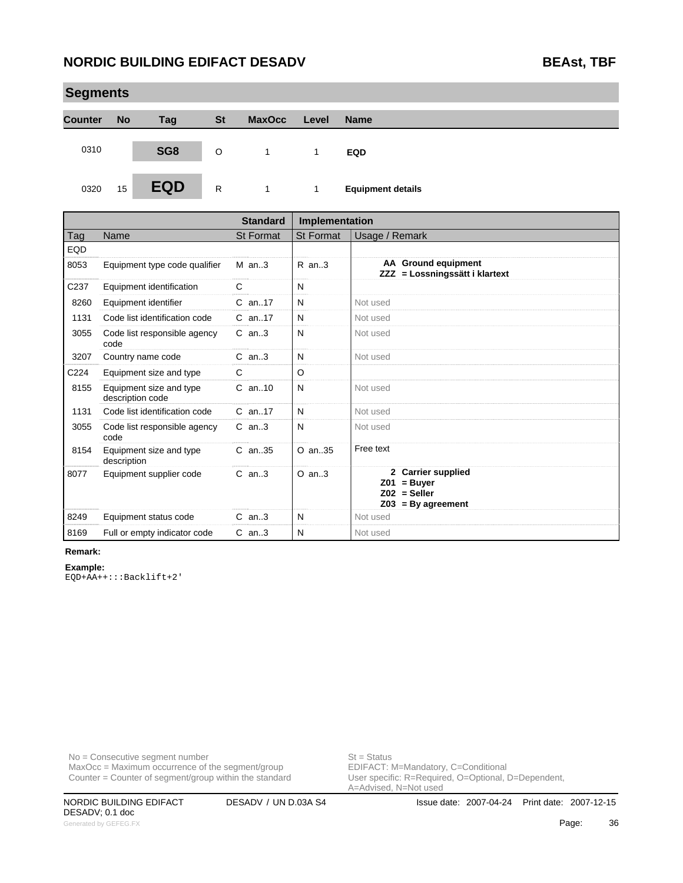|                | <b>Segments</b> |            |           |               |              |                          |  |  |  |  |  |
|----------------|-----------------|------------|-----------|---------------|--------------|--------------------------|--|--|--|--|--|
| <b>Counter</b> | <b>No</b>       | Tag        | <b>St</b> | <b>MaxOcc</b> | Level        | <b>Name</b>              |  |  |  |  |  |
| 0310           |                 | SG8        | $\circ$   | 1             | $\mathbf{1}$ | <b>EQD</b>               |  |  |  |  |  |
| 0320           | 15              | <b>EQD</b> | R         | $\mathbf{1}$  | $\mathbf{1}$ | <b>Equipment details</b> |  |  |  |  |  |

|            |                                             | <b>Standard</b>  | <b>Implementation</b> |                                                                               |
|------------|---------------------------------------------|------------------|-----------------------|-------------------------------------------------------------------------------|
| Tag        | Name                                        | <b>St Format</b> | <b>St Format</b>      | Usage / Remark                                                                |
| <b>EQD</b> |                                             |                  |                       |                                                                               |
| 8053       | Equipment type code qualifier               | $M$ an3          | $R$ an. $3$           | AA Ground equipment<br>ZZZ = Lossningssätt i klartext                         |
| C237       | Equipment identification                    | C                | N                     |                                                                               |
| 8260       | Equipment identifier                        | C an17           | N                     | Not used                                                                      |
| 1131       | Code list identification code               | $C$ an. 17       | N                     | Not used                                                                      |
| 3055       | Code list responsible agency<br>code        | $C$ an3          | N                     | Not used                                                                      |
| 3207       | Country name code                           | $C$ an3          | N                     | Not used                                                                      |
| C224       | Equipment size and type                     | C                | O                     |                                                                               |
| 8155       | Equipment size and type<br>description code | $C$ an. 10       | N                     | Not used                                                                      |
| 1131       | Code list identification code               | $C$ an. 17       | N                     | Not used                                                                      |
| 3055       | Code list responsible agency<br>code        | $C$ an3          | N                     | Not used                                                                      |
| 8154       | Equipment size and type<br>description      | $C$ an. 35       | O an. 35              | Free text                                                                     |
| 8077       | Equipment supplier code                     | $C$ an3          | $O$ an. $3$           | 2 Carrier supplied<br>$Z01 = Buyer$<br>$Z02 = Seller$<br>$Z03 = By agreement$ |
| 8249       | Equipment status code                       | $C$ an. $3$      | N                     | Not used                                                                      |
| 8169       | Full or empty indicator code                | $C$ an3          | N                     | Not used                                                                      |

#### **Remark:**

**Example:** EQD+AA++:::Backlift+2'

No = Consecutive segment number<br>
MaxOcc = Maximum occurrence of the segment/group<br>
EDIFACT: M=Mandatory, C=Conditional  $MaxOcc = Maximum$  occurrence of the segment/group Counter = Counter of segment/group within the standard

User specific: R=Required, O=Optional, D=Dependent,<br>A=Advised, N=Not used

DESADV; 0.1 doc Generated by GEFEG.FX **Page:** 36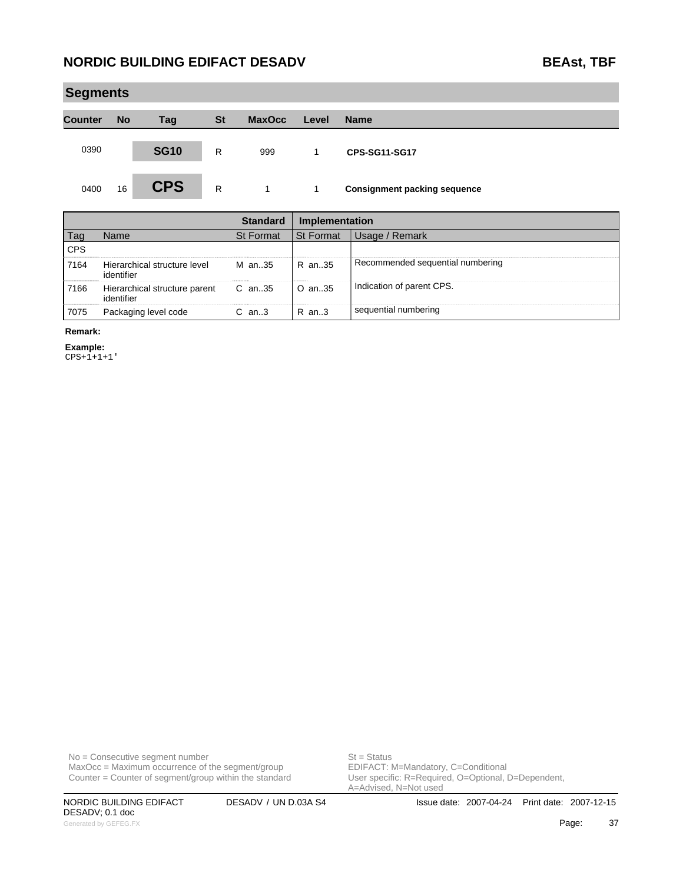|                | <b>Segments</b> |             |           |               |              |                                     |  |  |  |
|----------------|-----------------|-------------|-----------|---------------|--------------|-------------------------------------|--|--|--|
| <b>Counter</b> | <b>No</b>       | <b>Tag</b>  | <b>St</b> | <b>MaxOcc</b> | Level        | <b>Name</b>                         |  |  |  |
| 0390           |                 | <b>SG10</b> | R         | 999           | 1            | <b>CPS-SG11-SG17</b>                |  |  |  |
| 0400           | 16              | <b>CPS</b>  | R         | $\mathbf{1}$  | $\mathbf{1}$ | <b>Consignment packing sequence</b> |  |  |  |

|            |                                             | Standard         | Implementation   |                                  |
|------------|---------------------------------------------|------------------|------------------|----------------------------------|
| Tag        | Name                                        | <b>St Format</b> | <b>St Format</b> | Usage / Remark                   |
| <b>CPS</b> |                                             |                  |                  |                                  |
| 7164       | Hierarchical structure level<br>identifier  | M an35           | R an35           | Recommended sequential numbering |
| 7166       | Hierarchical structure parent<br>identifier | C an35           | O an35           | Indication of parent CPS.        |
| 7075       | Packaging level code                        | $C$ an3          | R an3            | sequential numbering             |

#### **Remark:**

**Example:** CPS+1+1+1'

 $MaxOcc = Maximum$  occurrence of the segment/group Counter = Counter of segment/group within the standard

No = Consecutive segment number<br>
MaxOcc = Maximum occurrence of the segment/group<br>
EDIFACT: M=Mandatory, C=Conditional User specific: R=Required, O=Optional, D=Dependent,<br>A=Advised, N=Not used

DESADV; 0.1 doc Generated by GEFEG.FX **Page:** 37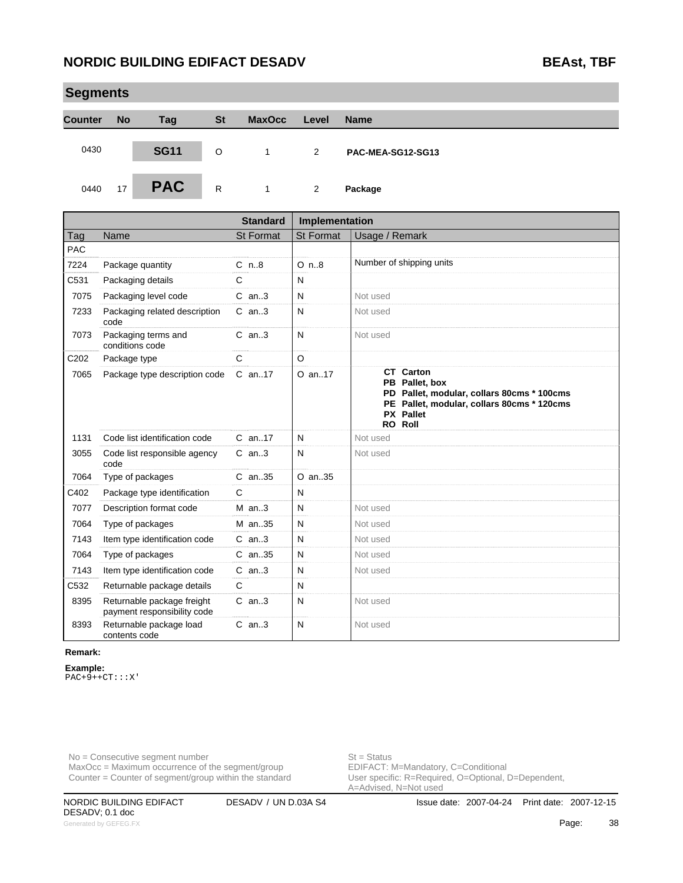**Segments**

|                | <b>Seginents</b> |             |           |               |       |                   |  |  |  |  |
|----------------|------------------|-------------|-----------|---------------|-------|-------------------|--|--|--|--|
| <b>Counter</b> | <b>No</b>        | Tag         | <b>St</b> | <b>MaxOcc</b> | Level | <b>Name</b>       |  |  |  |  |
| 0430           |                  | <b>SG11</b> | $\circ$   | 1             | 2     | PAC-MEA-SG12-SG13 |  |  |  |  |
| 0440           | 17               | <b>PAC</b>  | R         | 1             | 2     | Package           |  |  |  |  |

|                  |                                                           | <b>Standard</b>  | Implementation   |                                                                                                                                                                      |
|------------------|-----------------------------------------------------------|------------------|------------------|----------------------------------------------------------------------------------------------------------------------------------------------------------------------|
| Tag              | Name                                                      | <b>St Format</b> | <b>St Format</b> | Usage / Remark                                                                                                                                                       |
| PAC              |                                                           |                  |                  |                                                                                                                                                                      |
| 7224             | Package quantity                                          | $C$ n8           | $O$ n. $.8$      | Number of shipping units                                                                                                                                             |
| C531             | Packaging details                                         | C                | N                |                                                                                                                                                                      |
| 7075             | Packaging level code                                      | $C$ an3          | N                | Not used                                                                                                                                                             |
| 7233             | Packaging related description<br>code                     | $C$ an. $3$      | N                | Not used                                                                                                                                                             |
| 7073             | Packaging terms and<br>conditions code                    | $C$ an3          | N                | Not used                                                                                                                                                             |
| C <sub>202</sub> | Package type                                              | $\mathsf{C}$     | $\circ$          |                                                                                                                                                                      |
| 7065             | Package type description code                             | C an17           | O an17           | <b>CT</b> Carton<br>PB Pallet, box<br>PD Pallet, modular, collars 80cms * 100cms<br>PE Pallet, modular, collars 80cms * 120cms<br><b>PX</b> Pallet<br><b>RO Roll</b> |
| 1131             | Code list identification code                             | $C$ an. 17       | N                | Not used                                                                                                                                                             |
| 3055             | Code list responsible agency<br>code                      | $C$ an3          | N                | Not used                                                                                                                                                             |
| 7064             | Type of packages                                          | $C$ an. 35       | $O$ an. 35       |                                                                                                                                                                      |
| C402             | Package type identification                               | $\mathsf{C}$     | N                |                                                                                                                                                                      |
| 7077             | Description format code                                   | $M$ an3          | N                | Not used                                                                                                                                                             |
| 7064             | Type of packages                                          | M an.35          | N                | Not used                                                                                                                                                             |
| 7143             | Item type identification code                             | $C$ an. $3$      | N                | Not used                                                                                                                                                             |
| 7064             | Type of packages                                          | $C$ an. 35       | N                | Not used                                                                                                                                                             |
| 7143             | Item type identification code                             | $C$ an3          | N                | Not used                                                                                                                                                             |
| C532             | Returnable package details                                | $\mathsf{C}$     | N                |                                                                                                                                                                      |
| 8395             | Returnable package freight<br>payment responsibility code | $C$ an3          | N                | Not used                                                                                                                                                             |
| 8393             | Returnable package load<br>contents code                  | $C$ an3          | N                | Not used                                                                                                                                                             |

#### **Remark:**

**Example:**

PAC+9++CT:::X'

No = Consecutive segment number<br>
MaxOcc = Maximum occurrence of the segment/group<br>
EDIFACT: M=Mandatory, C=Conditional  $MaxOcc = Maximum occurrence of the segment/group$ Counter = Counter of segment/group within the standard

User specific: R=Required, O=Optional, D=Dependent,<br>A=Advised, N=Not used

DESADV; 0.1 doc Generated by GEFEG.FX **28**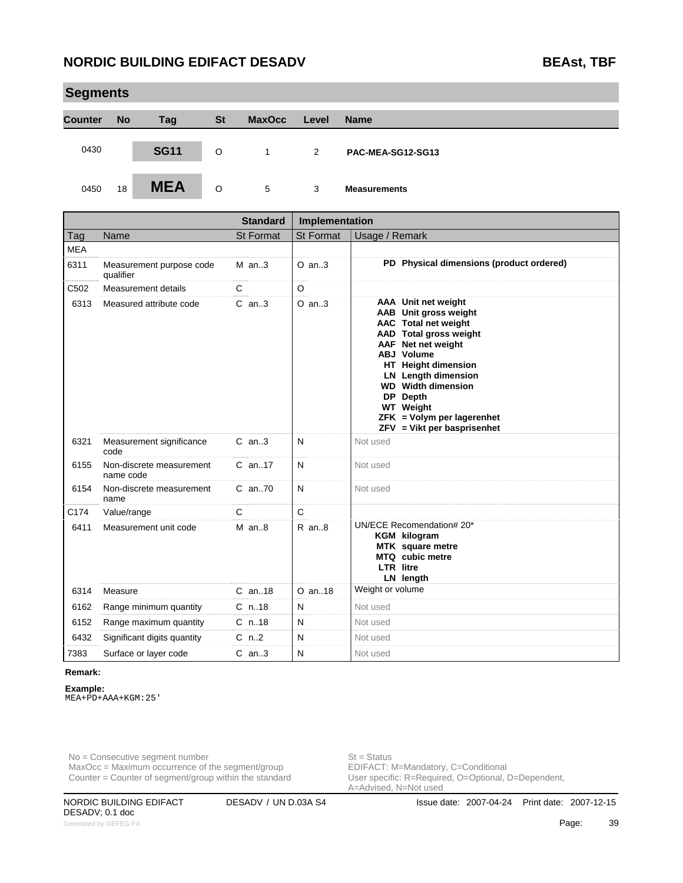| <b>Segments</b> |           |             |           |               |       |                     |  |  |
|-----------------|-----------|-------------|-----------|---------------|-------|---------------------|--|--|
| <b>Counter</b>  | <b>No</b> | <b>Tag</b>  | <b>St</b> | <b>MaxOcc</b> | Level | <b>Name</b>         |  |  |
| 0430            |           | <b>SG11</b> | O         | $\mathbf{1}$  | 2     | PAC-MEA-SG12-SG13   |  |  |
| 0450            | 18        | <b>MEA</b>  | O         | 5             | 3     | <b>Measurements</b> |  |  |

|            |                                       | <b>Standard</b>  | Implementation |                                                                                                                                                                                                                                                                                                                     |
|------------|---------------------------------------|------------------|----------------|---------------------------------------------------------------------------------------------------------------------------------------------------------------------------------------------------------------------------------------------------------------------------------------------------------------------|
| Tag        | Name                                  | <b>St Format</b> | St Format      | Usage / Remark                                                                                                                                                                                                                                                                                                      |
| <b>MEA</b> |                                       |                  |                |                                                                                                                                                                                                                                                                                                                     |
| 6311       | Measurement purpose code<br>qualifier | $M$ an3          | $O$ an3        | PD Physical dimensions (product ordered)                                                                                                                                                                                                                                                                            |
| C502       | Measurement details                   | C                | $\circ$        |                                                                                                                                                                                                                                                                                                                     |
| 6313       | Measured attribute code               | $C$ an3          | $O$ an3        | AAA Unit net weight<br>AAB Unit gross weight<br>AAC Total net weight<br>AAD Total gross weight<br>AAF Net net weight<br><b>ABJ</b> Volume<br>HT Height dimension<br><b>LN</b> Length dimension<br><b>WD</b> Width dimension<br>DP Depth<br>WT Weight<br>$ZFK = Volym per lagerenhet$<br>ZFV = Vikt per basprisenhet |
| 6321       | Measurement significance<br>code      | $C$ an3          | N              | Not used                                                                                                                                                                                                                                                                                                            |
| 6155       | Non-discrete measurement<br>name code | C an17           | N              | Not used                                                                                                                                                                                                                                                                                                            |
| 6154       | Non-discrete measurement<br>name      | $C$ an. $70$     | N              | Not used                                                                                                                                                                                                                                                                                                            |
| C174       | Value/range                           | C                | $\mathbf C$    |                                                                                                                                                                                                                                                                                                                     |
| 6411       | Measurement unit code                 | $M$ an. $8$      | $R$ an $8$     | UN/ECE Recomendation# 20*<br>KGM kilogram<br>MTK square metre<br>MTQ cubic metre<br><b>LTR</b> litre<br>LN length                                                                                                                                                                                                   |
| 6314       | Measure                               | $C$ an. 18       | $O$ an. 18     | Weight or volume                                                                                                                                                                                                                                                                                                    |
| 6162       | Range minimum quantity                | $C$ n. 18        | N              | Not used                                                                                                                                                                                                                                                                                                            |
| 6152       | Range maximum quantity                | $C$ n. 18        | N              | Not used                                                                                                                                                                                                                                                                                                            |
| 6432       | Significant digits quantity           | $C_n$ .2         | N              | Not used                                                                                                                                                                                                                                                                                                            |
| 7383       | Surface or layer code                 | $C$ an3          | N              | Not used                                                                                                                                                                                                                                                                                                            |

#### **Remark:**

**Example:** MEA+PD+AAA+KGM:25'

No = Consecutive segment number<br>
MaxOcc = Maximum occurrence of the segment/group<br>
EDIFACT: M=Mandatory, C=Conditional  $MaxOcc = Maximum$  occurrence of the segment/group Counter = Counter of segment/group within the standard

User specific: R=Required, O=Optional, D=Dependent,<br>A=Advised, N=Not used

DESADV; 0.1 doc Generated by GEFEG.FX **Page:** 39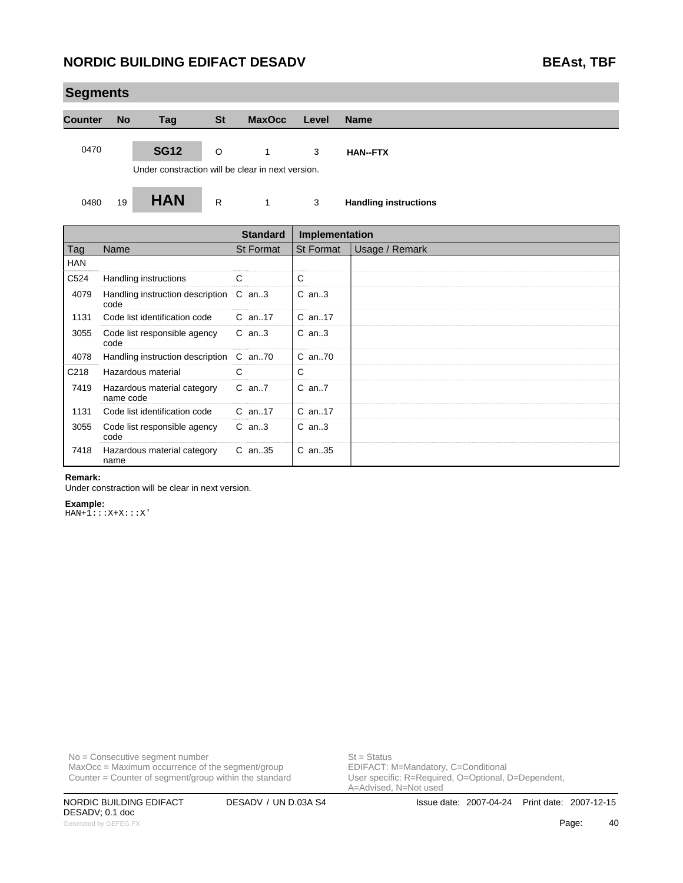| <b>Segments</b>  |           |                                                   |              |                  |                  |                              |
|------------------|-----------|---------------------------------------------------|--------------|------------------|------------------|------------------------------|
| <b>Counter</b>   | <b>No</b> | Tag                                               | <b>St</b>    | <b>MaxOcc</b>    | Level            | <b>Name</b>                  |
| 0470             |           |                                                   |              |                  |                  |                              |
|                  |           | <b>SG12</b>                                       | $\circ$      | 1                | 3                | <b>HAN--FTX</b>              |
|                  |           | Under constraction will be clear in next version. |              |                  |                  |                              |
| 0480             | 19        | <b>HAN</b>                                        | $\mathsf{R}$ | $\mathbf{1}$     | 3                | <b>Handling instructions</b> |
|                  |           |                                                   |              | <b>Standard</b>  | Implementation   |                              |
| Tag              | Name      |                                                   |              | <b>St Format</b> | <b>St Format</b> | Usage / Remark               |
| <b>HAN</b>       |           |                                                   |              |                  |                  |                              |
| C524             |           | Handling instructions                             |              | $\mathsf{C}$     | $\mathsf{C}$     |                              |
| 4079             | code      | Handling instruction description                  |              | $C$ an3          | $C$ an3          |                              |
| 1131             |           | Code list identification code                     |              | $C$ an. 17       | C an17           |                              |
| 3055             | code      | Code list responsible agency                      |              | $C$ an3          | $C$ an3          |                              |
| 4078             |           | Handling instruction description                  |              | C an70           | $C$ an. $70$     |                              |
| C <sub>218</sub> |           | Hazardous material                                |              | $\mathsf{C}$     | C                |                              |
| 7419             | name code | Hazardous material category                       |              | $C$ an $7$       | $C$ an $7$       |                              |
| 1131             |           | Code list identification code                     |              | C an17           | C an17           |                              |
| 3055             | code      | Code list responsible agency                      |              | $C$ an3          | $C$ an3          |                              |
| 7418             | name      | Hazardous material category                       |              | $C$ an. 35       | C an35           |                              |

#### **Remark:**

Under constraction will be clear in next version.

#### **Example:**

 $HAN+1::X+X::X'$ 

 $MaxOcc = Maximum$  occurrence of the segment/group Counter = Counter of segment/group within the standard

No = Consecutive segment number<br>
MaxOcc = Maximum occurrence of the segment/group<br>
EDIFACT: M=Mandatory, C=Conditional User specific: R=Required, O=Optional, D=Dependent,<br>A=Advised, N=Not used

DESADV; 0.1 doc Generated by GEFEG.FX **ADVERSION CONTROL** CONTROLLER THE SECTION OF THE SECTION OF THE SECTION OF THE SECTION OF THE SECTION OF THE SECTION OF THE SECTION OF THE SECTION OF THE SECTION OF THE SECTION OF THE SECTION OF THE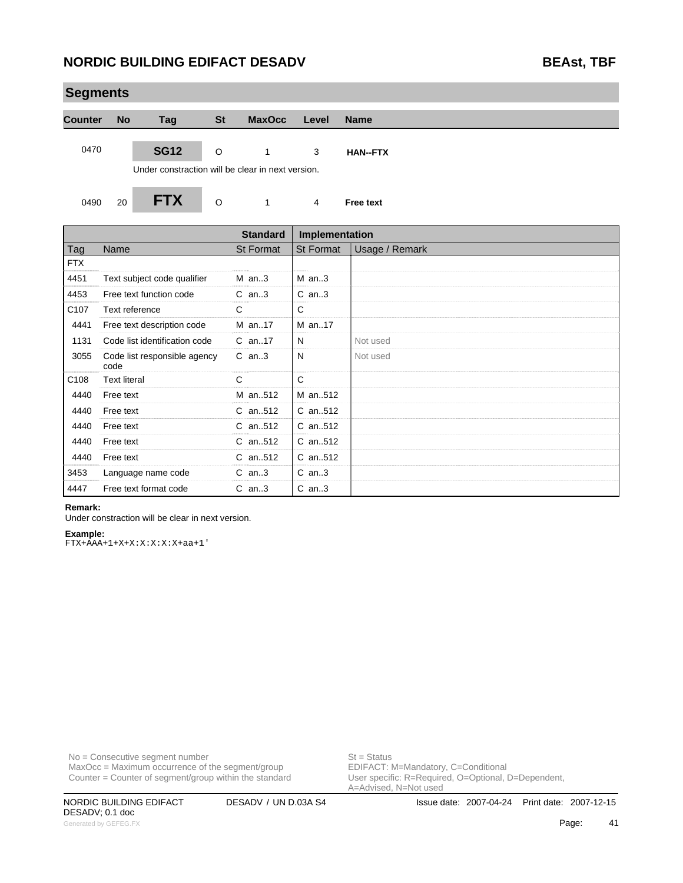| <b>Segments</b>  |                     |                                                                  |           |                 |                  |                  |
|------------------|---------------------|------------------------------------------------------------------|-----------|-----------------|------------------|------------------|
| <b>Counter</b>   | <b>No</b>           | Tag                                                              | <b>St</b> | <b>MaxOcc</b>   | Level            | <b>Name</b>      |
| 0470             |                     | <b>SG12</b><br>Under constraction will be clear in next version. | $\circ$   | $\mathbf{1}$    | 3                | <b>HAN--FTX</b>  |
| 0490             | 20                  | <b>FTX</b>                                                       | $\circ$   | $\mathbf{1}$    | $\overline{4}$   | <b>Free text</b> |
|                  |                     |                                                                  |           | <b>Standard</b> | Implementation   |                  |
| Tag              | Name                |                                                                  |           | St Format       | <b>St Format</b> | Usage / Remark   |
| <b>FTX</b>       |                     |                                                                  |           |                 |                  |                  |
| 4451             |                     | Text subject code qualifier                                      |           | $M$ an3         | $M$ an3          |                  |
| 4453             |                     | Free text function code                                          |           | $C$ an3         | $C$ an3          |                  |
| C <sub>107</sub> |                     | Text reference                                                   |           | $\mathsf{C}$    | $\mathsf{C}$     |                  |
| 4441             |                     | Free text description code                                       |           | M an17          | M an17           |                  |
| 1131             |                     | Code list identification code                                    |           | C an17          | N                | Not used         |
| 3055             | code                | Code list responsible agency                                     |           | $C$ an3         | N                | Not used         |
| C108             | <b>Text literal</b> |                                                                  |           | C               | $\mathsf C$      |                  |
| 4440             | Free text           |                                                                  |           | M an.,512       | M an512          |                  |
| 4440             | Free text           |                                                                  |           | C an.,512       | C an512          |                  |
| 4440             | Free text           |                                                                  |           | C an512         | C an512          |                  |
| 4440             | Free text           |                                                                  |           | C an512         | C an., 512       |                  |
| 4440             | Free text           |                                                                  |           | C an512         | C an512          |                  |
| 3453             |                     | Language name code                                               |           | $C$ an3         | $C$ an3          |                  |
| 4447             |                     | Free text format code                                            |           | $C$ an3         | $C$ an3          |                  |

#### **Remark:**

Under constraction will be clear in next version.

#### **Example:**

FTX+AAA+1+X+X:X:X:X:X+aa+1'

No = Consecutive segment number<br>
MaxOcc = Maximum occurrence of the segment/group<br>
EDIFACT: M=Mandatory, C=Conditional  $MaxOcc = Maximum$  occurrence of the segment/group Counter = Counter of segment/group within the standard

User specific: R=Required, O=Optional, D=Dependent,<br>A=Advised, N=Not used

DESADV; 0.1 doc Generated by GEFEG.FX **And Alternative Control of the Case of the Case of the Case of the Case of the Case of the Case of the Case of the Case of the Case of the Case of the Case of the Case of the Case of the Case of the**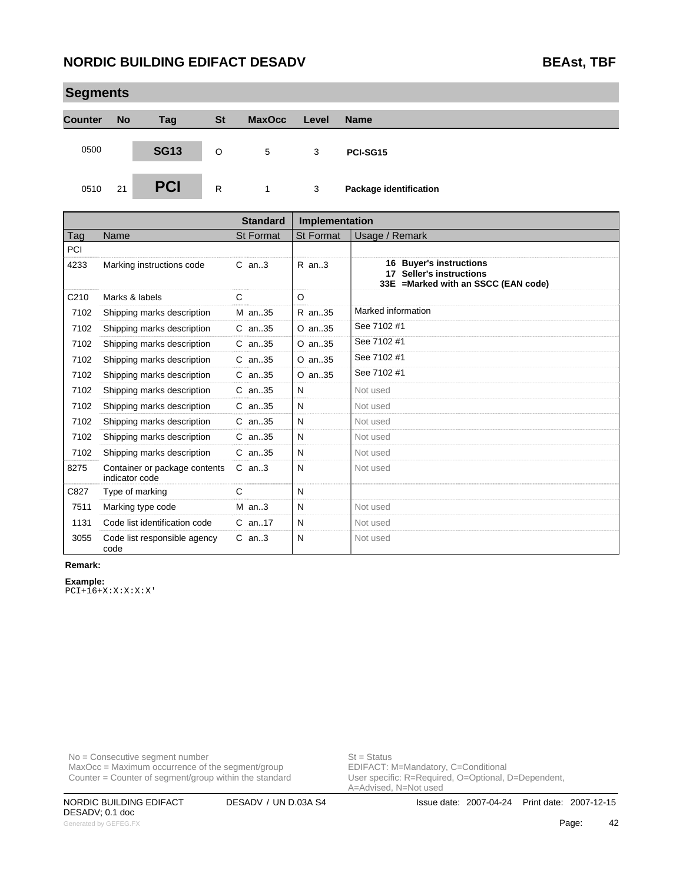**Segments**

|                | Segments  |             |           |               |       |                               |  |  |  |  |
|----------------|-----------|-------------|-----------|---------------|-------|-------------------------------|--|--|--|--|
| <b>Counter</b> | <b>No</b> | Tag         | <b>St</b> | <b>MaxOcc</b> | Level | <b>Name</b>                   |  |  |  |  |
| 0500           |           | <b>SG13</b> | O         | 5             | 3     | PCI-SG15                      |  |  |  |  |
| 0510           | 21        | <b>PCI</b>  | R         | 1.            | 3     | <b>Package identification</b> |  |  |  |  |

|      |                                                 | <b>Standard</b>  | Implementation   |                                                                                             |
|------|-------------------------------------------------|------------------|------------------|---------------------------------------------------------------------------------------------|
| Tag  | Name                                            | <b>St Format</b> | <b>St Format</b> | Usage / Remark                                                                              |
| PCI  |                                                 |                  |                  |                                                                                             |
| 4233 | Marking instructions code                       | $C$ an. $3$      | $R$ an3          | 16 Buyer's instructions<br>17 Seller's instructions<br>33E = Marked with an SSCC (EAN code) |
| C210 | Marks & labels                                  | C                | O                |                                                                                             |
| 7102 | Shipping marks description                      | M an35           | R an35           | Marked information                                                                          |
| 7102 | Shipping marks description                      | $C$ an. 35       | O an35           | See 7102 #1                                                                                 |
| 7102 | Shipping marks description                      | $C$ an. 35       | $O$ an. 35       | See 7102 #1                                                                                 |
| 7102 | Shipping marks description                      | $C$ an. 35       | $O$ an. 35       | See 7102 #1                                                                                 |
| 7102 | Shipping marks description                      | $C$ an. 35       | $O$ an. 35       | See 7102 #1                                                                                 |
| 7102 | Shipping marks description                      | C an35           | N                | Not used                                                                                    |
| 7102 | Shipping marks description                      | $C$ an. 35       | N                | Not used                                                                                    |
| 7102 | Shipping marks description                      | C an35           | N                | Not used                                                                                    |
| 7102 | Shipping marks description                      | C an35           | N                | Not used                                                                                    |
| 7102 | Shipping marks description                      | $C$ an. 35       | N                | Not used                                                                                    |
| 8275 | Container or package contents<br>indicator code | $C$ an3          | N                | Not used                                                                                    |
| C827 | Type of marking                                 | C                | N                |                                                                                             |
| 7511 | Marking type code                               | $M$ an3          | N                | Not used                                                                                    |
| 1131 | Code list identification code                   | C an17           | N                | Not used                                                                                    |
| 3055 | Code list responsible agency<br>code            | $C$ an3          | N                | Not used                                                                                    |

#### **Remark:**

**Example:**

PCI+16+X:X:X:X:X'

No = Consecutive segment number<br>
MaxOcc = Maximum occurrence of the segment/group<br>
EDIFACT: M=Mandatory, C=Conditional  $MaxOcc = Maximum$  occurrence of the segment/group Counter = Counter of segment/group within the standard

User specific: R=Required, O=Optional, D=Dependent,<br>A=Advised, N=Not used

DESADV; 0.1 doc Generated by GEFEG.FX **42**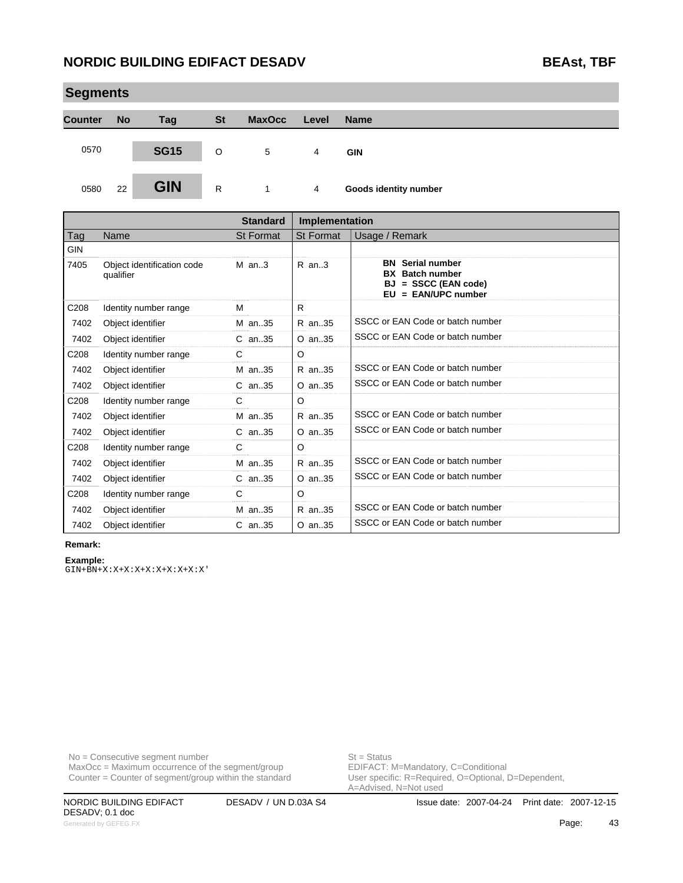| <b>Segments</b> |           |             |              |               |       |                              |  |  |  |
|-----------------|-----------|-------------|--------------|---------------|-------|------------------------------|--|--|--|
| <b>Counter</b>  | <b>No</b> | Tag         | <b>St</b>    | <b>MaxOcc</b> | Level | <b>Name</b>                  |  |  |  |
| 0570            |           | <b>SG15</b> | O            | 5             | 4     | <b>GIN</b>                   |  |  |  |
| 0580            | 22        | <b>GIN</b>  | $\mathsf{R}$ |               | 4     | <b>Goods identity number</b> |  |  |  |

|                  |                                         | <b>Standard</b> | <b>Implementation</b> |                                                                                                         |  |
|------------------|-----------------------------------------|-----------------|-----------------------|---------------------------------------------------------------------------------------------------------|--|
| Tag              | Name                                    | St Format       | St Format             | Usage / Remark                                                                                          |  |
| <b>GIN</b>       |                                         |                 |                       |                                                                                                         |  |
| 7405             | Object identification code<br>qualifier | $M$ an. 3       | $R$ an3               | <b>BN</b> Serial number<br><b>BX</b> Batch number<br>$=$ SSCC (EAN code)<br>BJ<br>$EU = EAN/UPC number$ |  |
| C <sub>208</sub> | Identity number range                   | м               | R.                    |                                                                                                         |  |
| 7402             | Object identifier                       | M an35          | R an35                | SSCC or EAN Code or batch number                                                                        |  |
| 7402             | Object identifier                       | C an. 35        | $O$ an. 35            | SSCC or EAN Code or batch number                                                                        |  |
| C <sub>208</sub> | Identity number range                   | C               | $\circ$               |                                                                                                         |  |
| 7402             | Object identifier                       | M an35          | R an35                | SSCC or EAN Code or batch number                                                                        |  |
| 7402             | Object identifier                       | C an35          | $O$ an. 35            | SSCC or EAN Code or batch number                                                                        |  |
| C <sub>208</sub> | Identity number range                   | C               | O                     |                                                                                                         |  |
| 7402             | Object identifier                       | M an35          | R an35                | SSCC or EAN Code or batch number                                                                        |  |
| 7402             | Object identifier                       | $C$ an. 35      | $O$ an. 35            | SSCC or EAN Code or batch number                                                                        |  |
| C <sub>208</sub> | Identity number range                   | C               | O                     |                                                                                                         |  |
| 7402             | Object identifier                       | M an35          | R an35                | SSCC or EAN Code or batch number                                                                        |  |
| 7402             | Object identifier                       | C an35          | $O$ an. 35            | SSCC or EAN Code or batch number                                                                        |  |
| C <sub>208</sub> | Identity number range                   | C               | $\circ$               |                                                                                                         |  |
| 7402             | Object identifier                       | M an35          | R an35                | SSCC or EAN Code or batch number                                                                        |  |
| 7402             | Object identifier                       | $C$ an. 35      | $O$ an. 35            | SSCC or EAN Code or batch number                                                                        |  |

#### **Remark:**

#### **Example:**

 $\mathtt{GIN+BN+X:X+X:X+X:X+X:X+X:X+Y}$ 

No = Consecutive segment number<br>
MaxOcc = Maximum occurrence of the segment/group<br>
EDIFACT: M=Mandatory, C=Conditional  $MaxOcc = Maximum$  occurrence of the segment/group Counter = Counter of segment/group within the standard

User specific: R=Required, O=Optional, D=Dependent,<br>A=Advised, N=Not used

DESADV; 0.1 doc Generated by GEFEG.FX **43**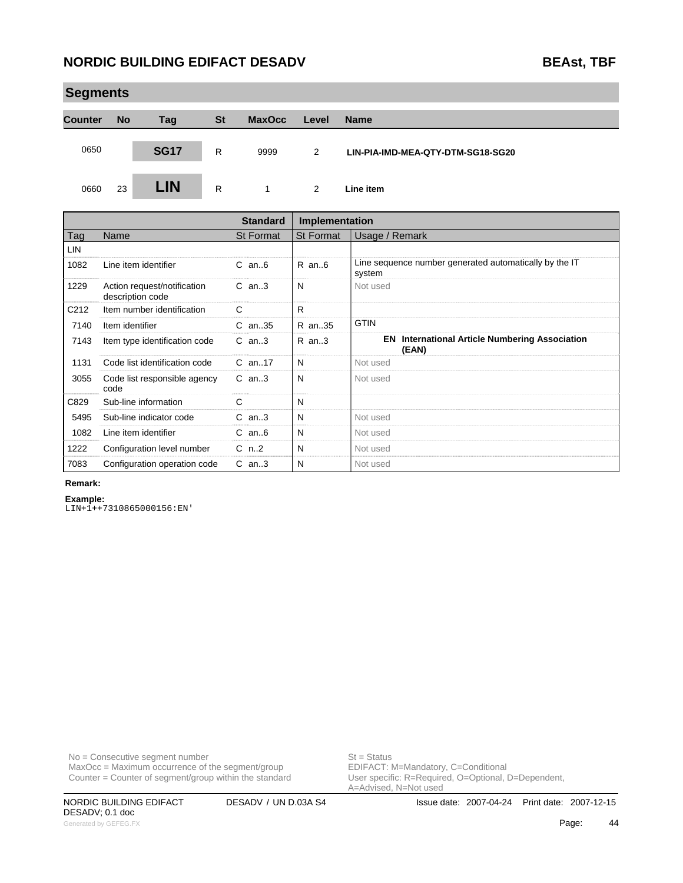# **Segments Counter No Tag St MaxOcc Level Name** 0650 **SG17** R 9999 2 **LIN-PIA-IMD-MEA-QTY-DTM-SG18-SG20** 0660 23 **LIN** R 1 2 **Line item**

|      |                                                 | <b>Standard</b>  | Implementation              |                                                                  |
|------|-------------------------------------------------|------------------|-----------------------------|------------------------------------------------------------------|
| Tag  | Name                                            | <b>St Format</b> | St Format<br>Usage / Remark |                                                                  |
| LIN  |                                                 |                  |                             |                                                                  |
| 1082 | Line item identifier                            | $C$ an $6$       | R an6                       | Line sequence number generated automatically by the IT<br>system |
| 1229 | Action request/notification<br>description code | $C$ an3          | N                           | Not used                                                         |
| C212 | Item number identification                      | C                | R                           |                                                                  |
| 7140 | Item identifier                                 | $C$ an. 35       | R an35                      | <b>GTIN</b>                                                      |
| 7143 | Item type identification code                   | $C$ an3          | R an3                       | <b>EN</b> International Article Numbering Association<br>(EAN)   |
| 1131 | Code list identification code                   | $C$ an. 17       | N                           | Not used                                                         |
| 3055 | Code list responsible agency<br>code            | $C$ an. $3$      | N                           | Not used                                                         |
| C829 | Sub-line information                            | C                | N                           |                                                                  |
| 5495 | Sub-line indicator code                         | $C$ an3          | N                           | Not used                                                         |
| 1082 | Line item identifier                            | $C$ an $6$       | N                           | Not used                                                         |
| 1222 | Configuration level number                      | $C_n$ n2         | N                           | Not used                                                         |
| 7083 | Configuration operation code                    | $C$ an. $3$      | N                           | Not used                                                         |

#### **Remark:**

**Example:** LIN+1++7310865000156:EN'

No = Consecutive segment number<br>
MaxOcc = Maximum occurrence of the segment/group<br>
EDIFACT: M=Mandatory, C=Conditional  $MaxOcc = Maximum occurrence of the segment/group$ Counter = Counter of segment/group within the standard

User specific: R=Required, O=Optional, D=Dependent,<br>A=Advised, N=Not used

DESADV; 0.1 doc Generated by GEFEG.FX **Advertised by Accord Accord Accord Page:** Advertised by GEFEG.FX **Advertised by GEFEG.FX**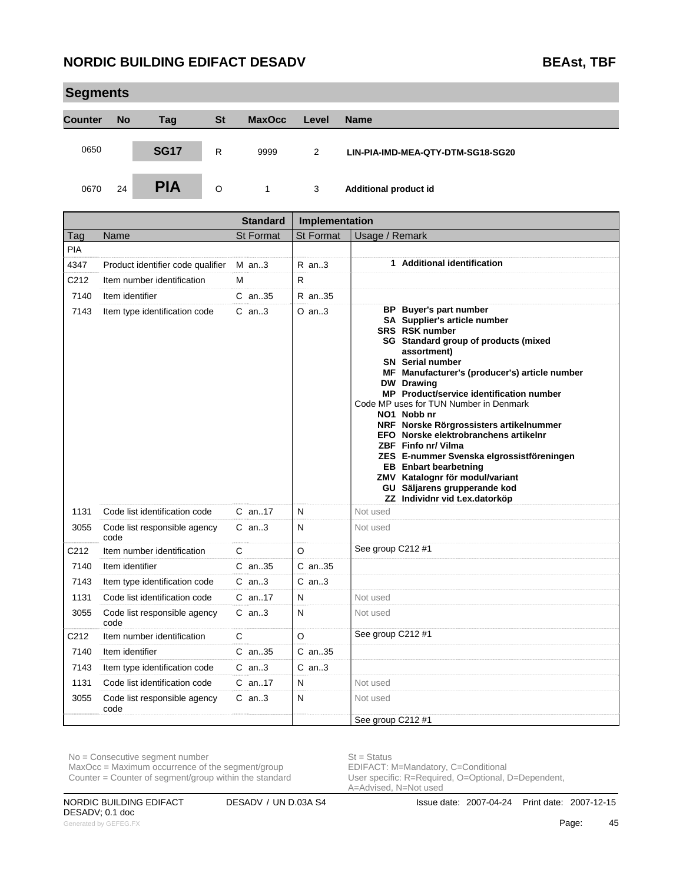| <b>Segments</b> |                                 |                                   |              |                  |                   |                                                                                                                                                                                                                                                                                                                                                                                                                                                                                                                                                                                                                                                         |
|-----------------|---------------------------------|-----------------------------------|--------------|------------------|-------------------|---------------------------------------------------------------------------------------------------------------------------------------------------------------------------------------------------------------------------------------------------------------------------------------------------------------------------------------------------------------------------------------------------------------------------------------------------------------------------------------------------------------------------------------------------------------------------------------------------------------------------------------------------------|
| <b>Counter</b>  | <b>No</b>                       | Tag                               | <b>St</b>    | <b>MaxOcc</b>    | Level             | <b>Name</b>                                                                                                                                                                                                                                                                                                                                                                                                                                                                                                                                                                                                                                             |
| 0650            |                                 | <b>SG17</b>                       | $\mathsf{R}$ | 9999             | 2                 | LIN-PIA-IMD-MEA-QTY-DTM-SG18-SG20                                                                                                                                                                                                                                                                                                                                                                                                                                                                                                                                                                                                                       |
| 0670            | 24                              | <b>PIA</b>                        | $\circ$      | $\mathbf{1}$     | 3                 | Additional product id                                                                                                                                                                                                                                                                                                                                                                                                                                                                                                                                                                                                                                   |
|                 |                                 |                                   |              | <b>Standard</b>  | Implementation    |                                                                                                                                                                                                                                                                                                                                                                                                                                                                                                                                                                                                                                                         |
| Tag             | Name                            |                                   |              | <b>St Format</b> | St Format         | Usage / Remark                                                                                                                                                                                                                                                                                                                                                                                                                                                                                                                                                                                                                                          |
| PIA             |                                 |                                   |              |                  |                   |                                                                                                                                                                                                                                                                                                                                                                                                                                                                                                                                                                                                                                                         |
| 4347            |                                 | Product identifier code qualifier |              | $M$ an3          | $R$ an3           | 1 Additional identification                                                                                                                                                                                                                                                                                                                                                                                                                                                                                                                                                                                                                             |
| C212            |                                 | Item number identification        |              | м                | R                 |                                                                                                                                                                                                                                                                                                                                                                                                                                                                                                                                                                                                                                                         |
| 7140            | Item identifier                 |                                   |              | $C$ an35         | R an35            |                                                                                                                                                                                                                                                                                                                                                                                                                                                                                                                                                                                                                                                         |
| 7143            |                                 | Item type identification code     |              | $C$ an3          | $O$ an3           | BP Buyer's part number<br>SA Supplier's article number<br><b>SRS RSK number</b><br>SG Standard group of products (mixed<br>assortment)<br><b>SN</b> Serial number<br>MF Manufacturer's (producer's) article number<br><b>DW</b> Drawing<br><b>MP</b> Product/service identification number<br>Code MP uses for TUN Number in Denmark<br>NO1 Nobb nr<br>NRF Norske Rörgrossisters artikelnummer<br>EFO Norske elektrobranchens artikelnr<br><b>ZBF</b> Finfo nr/ Vilma<br>ZES E-nummer Svenska elgrossistföreningen<br><b>EB</b> Enbart bearbetning<br>ZMV Katalognr för modul/variant<br>GU Säljarens grupperande kod<br>ZZ Individnr vid t.ex.datorköp |
| 1131            |                                 | Code list identification code     |              | $C$ an. 17       | N                 | Not used                                                                                                                                                                                                                                                                                                                                                                                                                                                                                                                                                                                                                                                |
| 3055            | code                            | Code list responsible agency      |              | $C$ an3          | N                 | Not used                                                                                                                                                                                                                                                                                                                                                                                                                                                                                                                                                                                                                                                |
| C212            |                                 | Item number identification        |              | С                | O                 | See group C212 #1                                                                                                                                                                                                                                                                                                                                                                                                                                                                                                                                                                                                                                       |
| 7140            | Item identifier                 |                                   |              | $C$ an35         | C an35            |                                                                                                                                                                                                                                                                                                                                                                                                                                                                                                                                                                                                                                                         |
| 7143            |                                 | Item type identification code     |              | C an3            | $C$ an3           |                                                                                                                                                                                                                                                                                                                                                                                                                                                                                                                                                                                                                                                         |
| 1131            |                                 | Code list identification code     |              | C an17           | N                 | Not used                                                                                                                                                                                                                                                                                                                                                                                                                                                                                                                                                                                                                                                |
| 3055            | code                            | Code list responsible agency      |              | $C$ an3          | N                 | Not used                                                                                                                                                                                                                                                                                                                                                                                                                                                                                                                                                                                                                                                |
| C212            | Item number identification<br>С |                                   |              | $\mathsf O$      | See group C212 #1 |                                                                                                                                                                                                                                                                                                                                                                                                                                                                                                                                                                                                                                                         |
| 7140            | Item identifier                 |                                   |              | C an35           | C an35            |                                                                                                                                                                                                                                                                                                                                                                                                                                                                                                                                                                                                                                                         |
| 7143            |                                 | Item type identification code     |              | $C$ an3          | $C$ an3           |                                                                                                                                                                                                                                                                                                                                                                                                                                                                                                                                                                                                                                                         |
| 1131            |                                 | Code list identification code     |              | C an17           | Ν                 | Not used                                                                                                                                                                                                                                                                                                                                                                                                                                                                                                                                                                                                                                                |
| 3055            | code                            | Code list responsible agency      |              | $C$ an3          | N                 | Not used                                                                                                                                                                                                                                                                                                                                                                                                                                                                                                                                                                                                                                                |
|                 |                                 |                                   |              |                  |                   | See group C212 #1                                                                                                                                                                                                                                                                                                                                                                                                                                                                                                                                                                                                                                       |

 $MaxOcc = Maximum occurrence of the segment/group$ 

Counter = Counter of segment/group within the standard

No = Consecutive segment number<br>
MaxOcc = Maximum occurrence of the segment/group<br>
EDIFACT: M=Mandatory, C=Conditional User specific: R=Required, O=Optional, D=Dependent,<br>A=Advised, N=Not used

DESADV; 0.1 doc Generated by GEFEG.FX **45**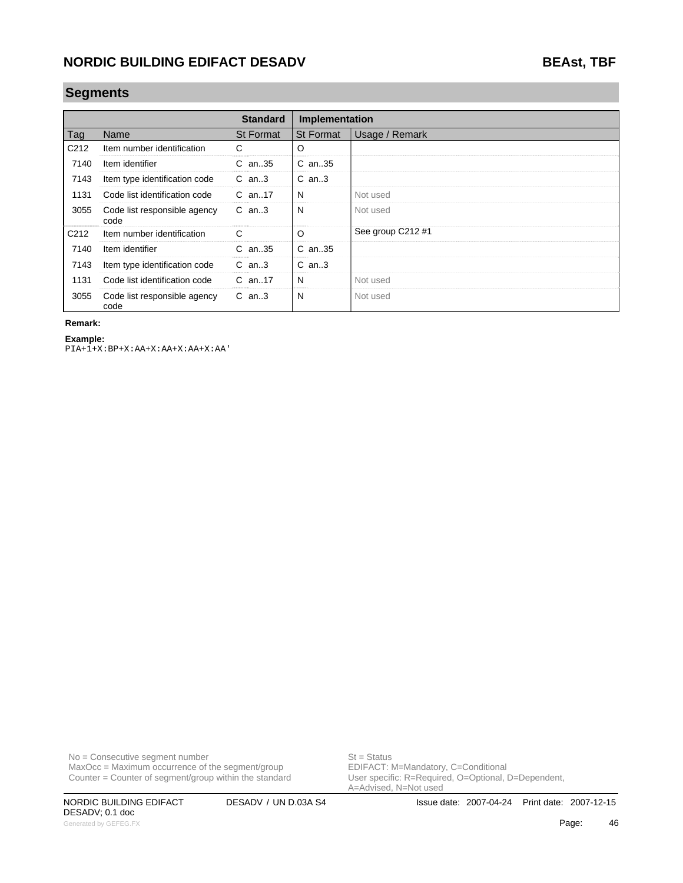### **Segments**

|                  |                                      | <b>Standard</b>  | <b>Implementation</b> |                   |
|------------------|--------------------------------------|------------------|-----------------------|-------------------|
| Tag              | Name                                 | <b>St Format</b> | St Format             | Usage / Remark    |
| C <sub>212</sub> | Item number identification           | C                | O                     |                   |
| 7140             | Item identifier                      | $C$ an. 35       | $C$ an. 35            |                   |
| 7143             | Item type identification code        | $C$ an. $3$      | $C$ an. $3$           |                   |
| 1131             | Code list identification code        | $C$ an. 17       | N                     | Not used          |
| 3055             | Code list responsible agency<br>code | $C$ an. $3$      | N                     | Not used          |
| C <sub>212</sub> | Item number identification           | C.               | $\circ$               | See group C212 #1 |
| 7140             | Item identifier                      | $C$ an. 35       | C an. 35              |                   |
| 7143             | Item type identification code        | $C$ an. $3$      | $C$ an. $3$           |                   |
| 1131             | Code list identification code        | $C$ an. 17       | N                     | Not used          |
| 3055             | Code list responsible agency<br>code | $C$ an3          | N                     | Not used          |

#### **Remark:**

#### **Example:**

PIA+1+X:BP+X:AA+X:AA+X:AA+X:AA'

 $MaxOcc = Maximum$  occurrence of the segment/group Counter = Counter of segment/group within the standard

No = Consecutive segment number<br>
MaxOcc = Maximum occurrence of the segment/group<br>
EDIFACT: M=Mandatory, C=Conditional User specific: R=Required, O=Optional, D=Dependent,<br>A=Advised, N=Not used

DESADV; 0.1 doc Generated by GEFEG.FX **Additional Page:** Additional Page: 46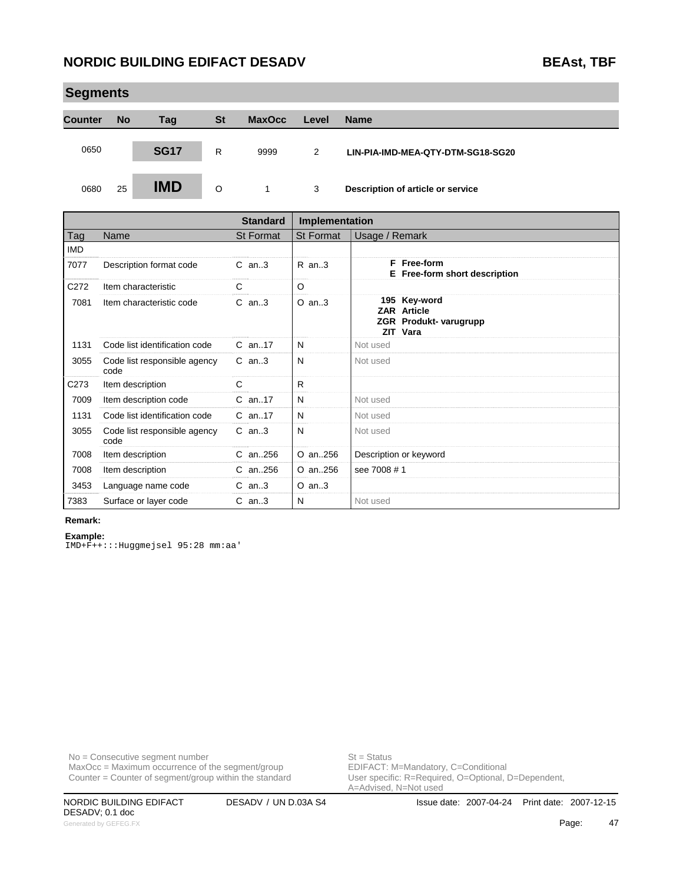| <b>Segments</b> |           |             |           |               |       |                                   |  |
|-----------------|-----------|-------------|-----------|---------------|-------|-----------------------------------|--|
| <b>Counter</b>  | <b>No</b> | Tag         | <b>St</b> | <b>MaxOcc</b> | Level | <b>Name</b>                       |  |
| 0650            |           | <b>SG17</b> | R         | 9999          | 2     | LIN-PIA-IMD-MEA-QTY-DTM-SG18-SG20 |  |
| 0680            | 25        | <b>IMD</b>  | $\circ$   | 1             | 3     | Description of article or service |  |

|            |                                      | <b>Standard</b>  | Implementation   |                                                                          |  |
|------------|--------------------------------------|------------------|------------------|--------------------------------------------------------------------------|--|
| Tag        | Name                                 | <b>St Format</b> | <b>St Format</b> | Usage / Remark                                                           |  |
| <b>IMD</b> |                                      |                  |                  |                                                                          |  |
| 7077       | Description format code              | $C$ an. $3$      | $R$ an. $3$      | F Free-form<br>E Free-form short description                             |  |
| C272       | Item characteristic                  | C                | $\circ$          |                                                                          |  |
| 7081       | Item characteristic code             | $C$ an. $3$      | $O$ an. $3$      | 195 Key-word<br><b>ZAR Article</b><br>ZGR Produkt- varugrupp<br>ZIT Vara |  |
| 1131       | Code list identification code        | $C$ an. 17       | N                | Not used                                                                 |  |
| 3055       | Code list responsible agency<br>code | $C$ an3          | N                | Not used                                                                 |  |
| C273       | Item description                     | C                | R                |                                                                          |  |
| 7009       | Item description code                | C an17           | N                | Not used                                                                 |  |
| 1131       | Code list identification code        | $C$ an. 17       | N                | Not used                                                                 |  |
| 3055       | Code list responsible agency<br>code | $C$ an. $3$      | N                | Not used                                                                 |  |
| 7008       | Item description                     | C an256          | O an256          | Description or keyword                                                   |  |
| 7008       | Item description                     | $C$ an. 256      | O an256          | see 7008 # 1                                                             |  |
| 3453       | Language name code                   | $C$ an3          | $O$ an3          |                                                                          |  |
| 7383       | Surface or layer code                | $C$ an3          | N                | Not used                                                                 |  |

#### **Remark:**

**Example:** IMD+F++:::Huggmejsel 95:28 mm:aa'

No = Consecutive segment number<br>
MaxOcc = Maximum occurrence of the segment/group<br>
EDIFACT: M=Mandatory, C=Conditional

 $MaxOcc = Maximum$  occurrence of the segment/group Counter = Counter of segment/group within the standard User specific: R=Required, O=Optional, D=Dependent,<br>A=Advised, N=Not used

DESADV; 0.1 doc Generated by GEFEG.FX **And Account and Account and Account and Account and Account and Account and Account and Account and Account and Account and Account and Account and Account and Account and Account and Account and Acc**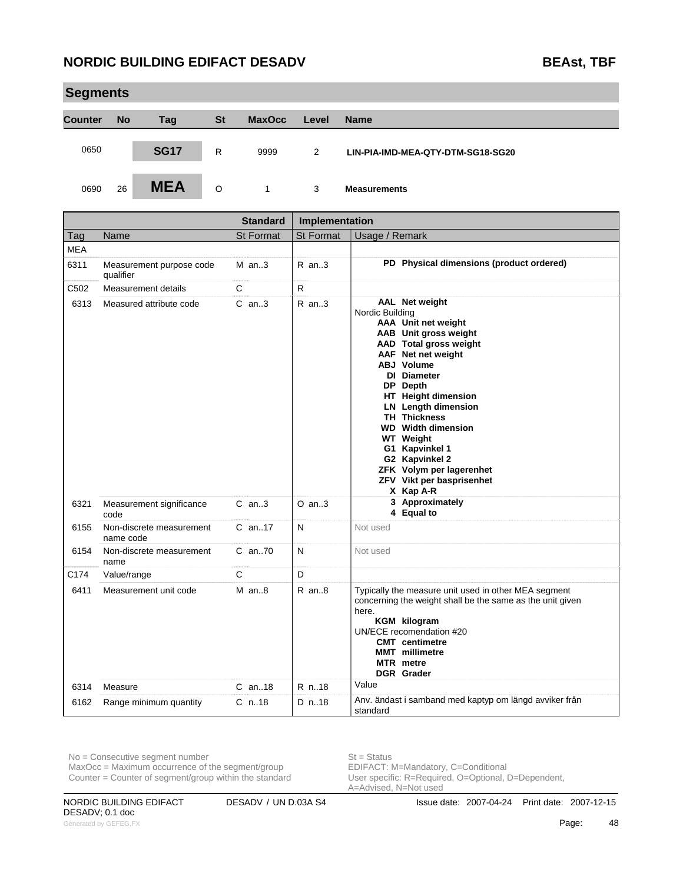| <b>Segments</b> |           |             |           |               |       |                                   |  |  |
|-----------------|-----------|-------------|-----------|---------------|-------|-----------------------------------|--|--|
| <b>Counter</b>  | <b>No</b> | Tag         | <b>St</b> | <b>MaxOcc</b> | Level | <b>Name</b>                       |  |  |
| 0650            |           | <b>SG17</b> | R         | 9999          | 2     | LIN-PIA-IMD-MEA-QTY-DTM-SG18-SG20 |  |  |
| 0690            | 26        | <b>MEA</b>  | O         | 1             | 3     | <b>Measurements</b>               |  |  |

|            |                                       | <b>Standard</b>  | Implementation |                                                                                                                                                                                                                                                                                                                                                                                                                          |  |
|------------|---------------------------------------|------------------|----------------|--------------------------------------------------------------------------------------------------------------------------------------------------------------------------------------------------------------------------------------------------------------------------------------------------------------------------------------------------------------------------------------------------------------------------|--|
| Tag        | Name                                  | <b>St Format</b> | St Format      | Usage / Remark                                                                                                                                                                                                                                                                                                                                                                                                           |  |
| <b>MEA</b> |                                       |                  |                |                                                                                                                                                                                                                                                                                                                                                                                                                          |  |
| 6311       | Measurement purpose code<br>qualifier | $M$ an3          | $R$ an $3$     | PD Physical dimensions (product ordered)                                                                                                                                                                                                                                                                                                                                                                                 |  |
| C502       | Measurement details                   | $\mathbf C$      | $\mathsf{R}$   |                                                                                                                                                                                                                                                                                                                                                                                                                          |  |
| 6313       | Measured attribute code               | $C$ an3          | R an3          | AAL Net weight<br>Nordic Building<br>AAA Unit net weight<br>AAB Unit gross weight<br>AAD Total gross weight<br>AAF Net net weight<br><b>ABJ</b> Volume<br>DI Diameter<br>DP Depth<br>HT Height dimension<br><b>LN</b> Length dimension<br><b>TH Thickness</b><br><b>WD</b> Width dimension<br><b>WT</b> Weight<br>G1 Kapvinkel 1<br>G2 Kapvinkel 2<br>ZFK Volym per lagerenhet<br>ZFV Vikt per basprisenhet<br>X Kap A-R |  |
| 6321       | Measurement significance<br>code      | $C$ an3          | $O$ an3        | 3 Approximately<br>4 Equal to                                                                                                                                                                                                                                                                                                                                                                                            |  |
| 6155       | Non-discrete measurement<br>name code | $C$ an. 17       | N              | Not used                                                                                                                                                                                                                                                                                                                                                                                                                 |  |
| 6154       | Non-discrete measurement<br>name      | $C$ an. $70$     | N              | Not used                                                                                                                                                                                                                                                                                                                                                                                                                 |  |
| C174       | Value/range                           | C                | D              |                                                                                                                                                                                                                                                                                                                                                                                                                          |  |
| 6411       | Measurement unit code                 | $M$ an $8$       | $R$ an $8$     | Typically the measure unit used in other MEA segment<br>concerning the weight shall be the same as the unit given<br>here.<br><b>KGM</b> kilogram<br>UN/ECE recomendation #20<br><b>CMT</b> centimetre<br><b>MMT</b> millimetre<br><b>MTR</b> metre<br><b>DGR</b> Grader                                                                                                                                                 |  |
| 6314       | Measure                               | $C$ an. 18       | R n.18         | Value                                                                                                                                                                                                                                                                                                                                                                                                                    |  |
| 6162       | Range minimum quantity                | C n18            | D n18          | Anv. ändast i samband med kaptyp om längd avviker från<br>standard                                                                                                                                                                                                                                                                                                                                                       |  |

No = Consecutive segment number<br>
MaxOcc = Maximum occurrence of the segment/group<br>
EDIFACT: M=Mandatory, C=Conditional  $MaxOcc = Maximum occurrence of the segment/group$ 

Counter = Counter of segment/group within the standard

User specific: R=Required, O=Optional, D=Dependent,<br>A=Advised, N=Not used

DESADV; 0.1 doc Generated by GEFEG.FX **AS Page:** 48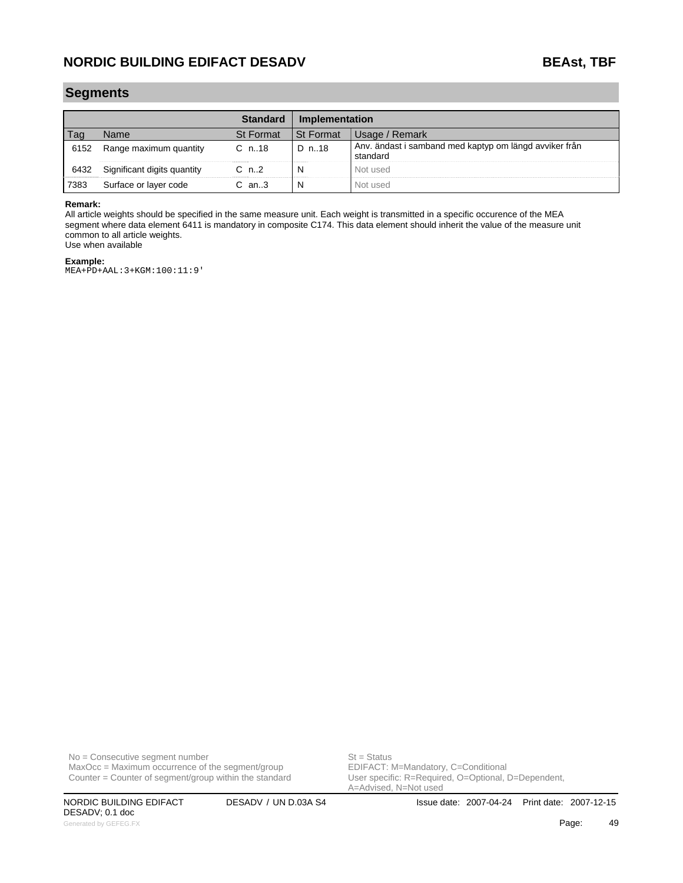#### **Segments**

| <b>Standard</b> |                             |                  | Implementation                |                                                                    |  |
|-----------------|-----------------------------|------------------|-------------------------------|--------------------------------------------------------------------|--|
|                 | Name                        | <b>St Format</b> | I St Format<br>Usage / Remark |                                                                    |  |
| 6152            | Range maximum quantity      | $C_{n.18}$       | D n18                         | Anv. ändast i samband med kaptyp om längd avviker från<br>standard |  |
| 6432            | Significant digits quantity | C n2             |                               | Not used                                                           |  |
| 7383            | Surface or layer code       | C an3            |                               | Not used                                                           |  |

#### **Remark:**

All article weights should be specified in the same measure unit. Each weight is transmitted in a specific occurence of the MEA segment where data element 6411 is mandatory in composite C174. This data element should inherit the value of the measure unit common to all article weights. Use when available

#### **Example:**

MEA+PD+AAL:3+KGM:100:11:9'

No = Consecutive segment number<br>
MaxOcc = Maximum occurrence of the segment/group<br>
EDIFACT: M=Mandatory, C=Conditional Counter = Counter of segment/group within the standard

DESADV; 0.1 doc

MaxOcc = Maximum occurrence of the segment/group <br>
Counter = Counter of segment/group within the standard User specific: R=Required, O=Optional, D=Dependent, A=Advised, N=Not used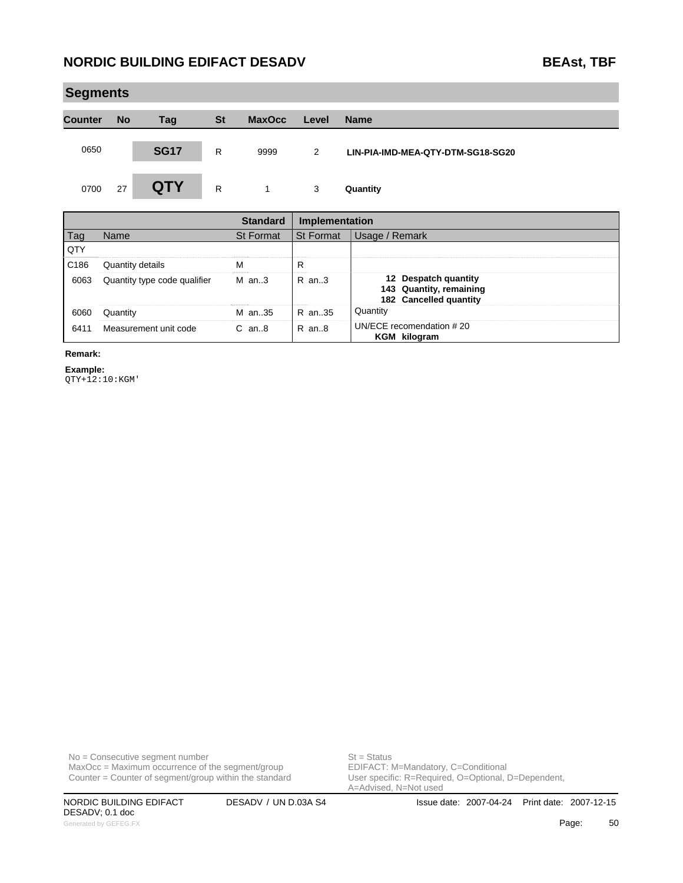| <b>BEAst. TBF</b> |  |
|-------------------|--|
|                   |  |

| <b>Segments</b> |           |             |           |               |       |                                   |  |  |
|-----------------|-----------|-------------|-----------|---------------|-------|-----------------------------------|--|--|
| <b>Counter</b>  | <b>No</b> | <b>Tag</b>  | <b>St</b> | <b>MaxOcc</b> | Level | <b>Name</b>                       |  |  |
| 0650            |           | <b>SG17</b> | R         | 9999          | 2     | LIN-PIA-IMD-MEA-QTY-DTM-SG18-SG20 |  |  |
| 0700            | 27        | <b>QTY</b>  | R         |               | 3     | Quantity                          |  |  |

|                  |                              | <b>Standard</b>  | <b>Implementation</b> |                                                                           |  |  |
|------------------|------------------------------|------------------|-----------------------|---------------------------------------------------------------------------|--|--|
| Tag              | Name                         | <b>St Format</b> | St Format             | Usage / Remark                                                            |  |  |
| <b>QTY</b>       |                              |                  |                       |                                                                           |  |  |
| C <sub>186</sub> | Quantity details             |                  | R                     |                                                                           |  |  |
| 6063             | Quantity type code qualifier | M an3            | $R$ an3               | 12 Despatch quantity<br>143 Quantity, remaining<br>182 Cancelled quantity |  |  |
| 6060             | Quantity                     | M an35           | R an35                | Quantity                                                                  |  |  |
| 6411             | Measurement unit code        | $C$ an. $8$      | $R$ an. $8$           | UN/ECE recomendation #20<br><b>KGM</b> kilogram                           |  |  |

#### **Remark:**

m.

**Example:**

QTY+12:10:KGM'

No = Consecutive segment number<br>
MaxOcc = Maximum occurrence of the segment/group<br>
EDIFACT: M=Mandatory, C=Conditional  $MaxOcc = Maximum occurrence of the segment/group$ Counter = Counter of segment/group within the standard

User specific: R=Required, O=Optional, D=Dependent,<br>A=Advised, N=Not used

DESADV; 0.1 doc Generated by GEFEG.FX **Page:** 50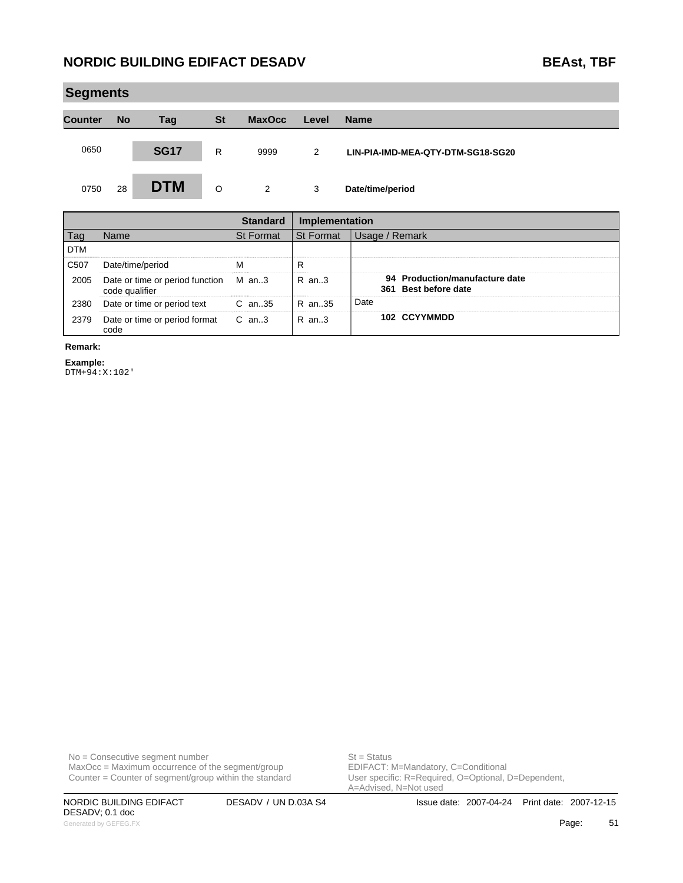| BEAst. TBF |  |
|------------|--|
|            |  |

| Segments       |           |             |              |               |       |                                   |  |  |  |
|----------------|-----------|-------------|--------------|---------------|-------|-----------------------------------|--|--|--|
| <b>Counter</b> | <b>No</b> | Tag         | <b>St</b>    | <b>MaxOcc</b> | Level | <b>Name</b>                       |  |  |  |
| 0650           |           | <b>SG17</b> | $\mathsf{R}$ | 9999          | 2     | LIN-PIA-IMD-MEA-QTY-DTM-SG18-SG20 |  |  |  |
| 0750           | 28        | <b>DTM</b>  | $\circ$      | 2             | 3     | Date/time/period                  |  |  |  |

|                   |                                                         |                  | Implementation   |                                                        |
|-------------------|---------------------------------------------------------|------------------|------------------|--------------------------------------------------------|
| Tag               | Name                                                    | <b>St Format</b> | <b>St Format</b> | Usage / Remark                                         |
| <b>DTM</b>        |                                                         |                  |                  |                                                        |
| C <sub>50</sub> 7 | Date/time/period                                        |                  | R                |                                                        |
| 2005              | Date or time or period function M an3<br>code qualifier |                  | $R$ an. 3        | 94 Production/manufacture date<br>361 Best before date |
| 2380              | Date or time or period text                             | $C$ an $35$      | R an35           | Date                                                   |
| 2379              | Date or time or period format<br>code                   | C an3            | $R$ an. 3        | 102 CCYYMMDD                                           |

#### **Remark:**

**Example:** DTM+94:X:102'

**Segments**

 $MaxOcc = Maximum occurrence of the segment/group$ Counter = Counter of segment/group within the standard

No = Consecutive segment number<br>
MaxOcc = Maximum occurrence of the segment/group<br>
EDIFACT: M=Mandatory, C=Conditional User specific: R=Required, O=Optional, D=Dependent,<br>A=Advised, N=Not used

DESADV; 0.1 doc Generated by GEFEG.FX **Fage:** 51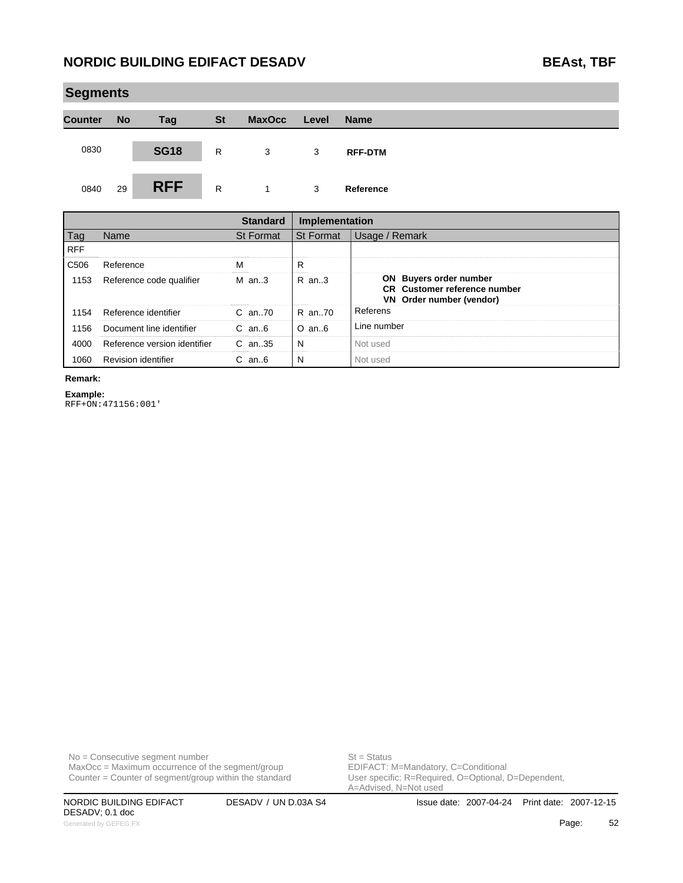|                | <b>Segments</b> |             |           |               |       |                |  |  |  |  |
|----------------|-----------------|-------------|-----------|---------------|-------|----------------|--|--|--|--|
| <b>Counter</b> | <b>No</b>       | <b>Tag</b>  | <b>St</b> | <b>MaxOcc</b> | Level | <b>Name</b>    |  |  |  |  |
| 0830           |                 | <b>SG18</b> | R         | 3             | 3     | <b>RFF-DTM</b> |  |  |  |  |
| 0840           | 29              | <b>RFF</b>  | R         |               | 3     | Reference      |  |  |  |  |

|            |                              | <b>Standard</b> | Implementation   |                                                                                           |  |  |
|------------|------------------------------|-----------------|------------------|-------------------------------------------------------------------------------------------|--|--|
| Taq        | Name                         | St Format       | <b>St Format</b> | Usage / Remark                                                                            |  |  |
| <b>RFF</b> |                              |                 |                  |                                                                                           |  |  |
| C506       | Reference                    |                 | R                |                                                                                           |  |  |
| 1153       | Reference code qualifier     | $M$ an. 3       | $R$ an. 3        | ON Buyers order number<br><b>CR</b> Customer reference number<br>VN Order number (vendor) |  |  |
| 1154       | Reference identifier         | $C$ an. $70$    | R an70           | Referens                                                                                  |  |  |
| 1156       | Document line identifier     | $C$ an. $6$     | $O$ an $6$       | Line number                                                                               |  |  |
| 4000       | Reference version identifier | $C$ an. 35      | N                | Not used                                                                                  |  |  |
| 1060       | Revision identifier          | $C$ an $6$      | N                | Not used                                                                                  |  |  |

#### **Remark:**

**Example:** RFF+ON:471156:001'

 $MaxOcc = Maximum$  occurrence of the segment/group Counter = Counter of segment/group within the standard

No = Consecutive segment number<br>
MaxOcc = Maximum occurrence of the segment/group<br>
EDIFACT: M=Mandatory, C=Conditional User specific: R=Required, O=Optional, D=Dependent,<br>A=Advised, N=Not used

DESADV; 0.1 doc Generated by GEFEG.FX **Fage:** 52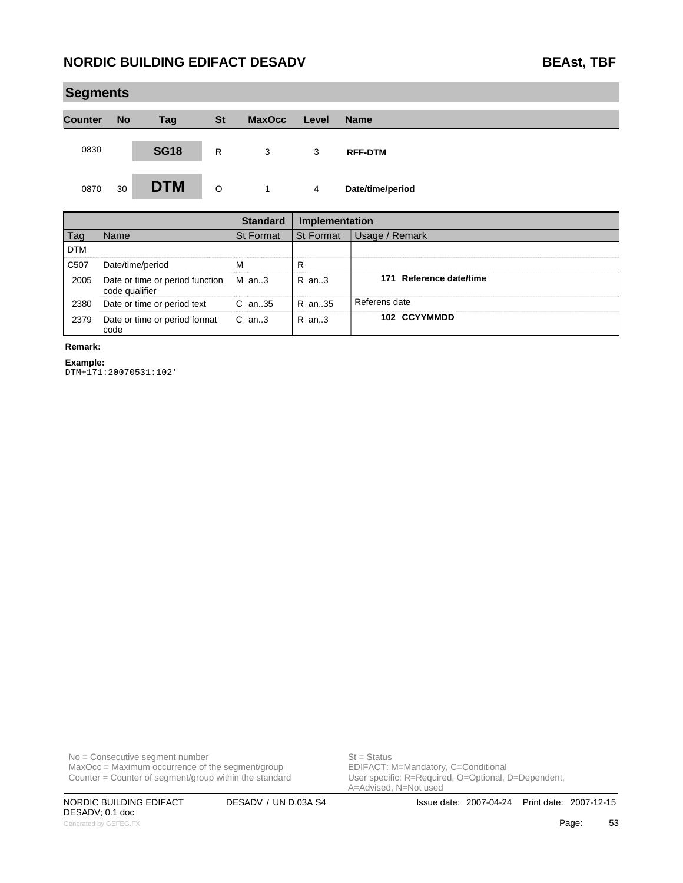| <b>Segments</b> |           |             |           |               |       |                  |  |  |  |
|-----------------|-----------|-------------|-----------|---------------|-------|------------------|--|--|--|
| <b>Counter</b>  | <b>No</b> | <b>Tag</b>  | <b>St</b> | <b>MaxOcc</b> | Level | <b>Name</b>      |  |  |  |
| 0830            |           | <b>SG18</b> | R         | 3             | 3     | <b>RFF-DTM</b>   |  |  |  |
| 0870            | 30        | <b>DTM</b>  | O         | 1             | 4     | Date/time/period |  |  |  |

|            |                                                         | Standard         | Implementation   |                         |  |  |
|------------|---------------------------------------------------------|------------------|------------------|-------------------------|--|--|
|            | Name                                                    | <b>St Format</b> | <b>St Format</b> | Usage / Remark          |  |  |
| <b>DTM</b> |                                                         |                  |                  |                         |  |  |
| C507       | Date/time/period                                        |                  |                  |                         |  |  |
| 2005       | Date or time or period function M an3<br>code qualifier |                  | R an3            | 171 Reference date/time |  |  |
| 2380       | Date or time or period text                             | $C$ an. 35       | R an35           | Referens date           |  |  |
| 2379       | Date or time or period format<br>code                   | C an3            | $R$ an. 3        | 102 CCYYMMDD            |  |  |

#### **Remark:**

**Example:**

DTM+171:20070531:102'

No = Consecutive segment number<br>
MaxOcc = Maximum occurrence of the segment/group<br>
EDIFACT: M=Mandatory, C=Conditional  $MaxOcc = Maximum$  occurrence of the segment/group Counter = Counter of segment/group within the standard

DESADV; 0.1 doc Generated by GEFEG.FX **Fage:** 53

User specific: R=Required, O=Optional, D=Dependent,<br>A=Advised, N=Not used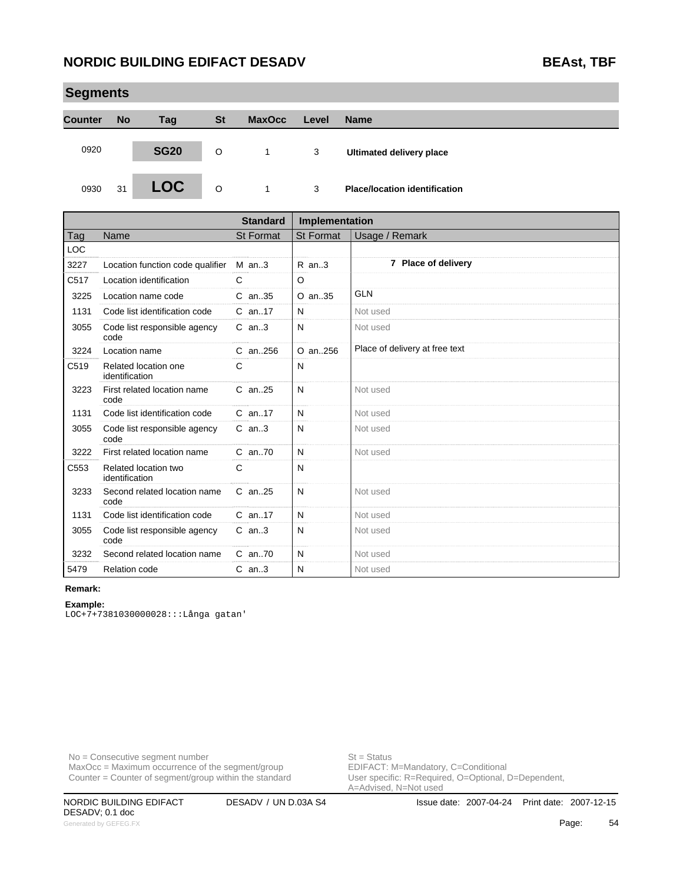| <b>Segments</b> |           |             |           |               |       |                                      |  |  |  |
|-----------------|-----------|-------------|-----------|---------------|-------|--------------------------------------|--|--|--|
| <b>Counter</b>  | <b>No</b> | Tag         | <b>St</b> | <b>MaxOcc</b> | Level | <b>Name</b>                          |  |  |  |
| 0920            |           | <b>SG20</b> | O         |               | 3     | <b>Ultimated delivery place</b>      |  |  |  |
| 0930            | 31        | <b>LOC</b>  | O         |               | 3     | <b>Place/location identification</b> |  |  |  |

|                  |                                        | <b>Standard</b>  | Implementation   |                                |
|------------------|----------------------------------------|------------------|------------------|--------------------------------|
| Tag              | Name                                   | <b>St Format</b> | <b>St Format</b> | Usage / Remark                 |
| <b>LOC</b>       |                                        |                  |                  |                                |
| 3227             | Location function code qualifier       | $M$ an3          | $R$ an3          | 7 Place of delivery            |
| C517             | Location identification                | C                | $\circ$          |                                |
| 3225             | Location name code                     | C an35           | O an35           | <b>GLN</b>                     |
| 1131             | Code list identification code          | $C$ an. 17       | N                | Not used                       |
| 3055             | Code list responsible agency<br>code   | $C$ an3          | N                | Not used                       |
| 3224             | Location name                          | $C$ an. 256      | O an.,256        | Place of delivery at free text |
| C519             | Related location one<br>identification | C                | N                |                                |
| 3223             | First related location name<br>code    | $C$ an. 25       | N                | Not used                       |
| 1131             | Code list identification code          | C an17           | N                | Not used                       |
| 3055             | Code list responsible agency<br>code   | $C$ an3          | N                | Not used                       |
| 3222             | First related location name            | $C$ an. $70$     | N                | Not used                       |
| C <sub>553</sub> | Related location two<br>identification | C                | N                |                                |
| 3233             | Second related location name<br>code   | $C$ an. 25       | N                | Not used                       |
| 1131             | Code list identification code          | $C$ an. 17       | N                | Not used                       |
| 3055             | Code list responsible agency<br>code   | $C$ an. $3$      | N                | Not used                       |
| 3232             | Second related location name           | C an70           | N                | Not used                       |
| 5479             | <b>Relation code</b>                   | $C$ an3          | N                | Not used                       |

### **Remark:**

**Example:** LOC+7+7381030000028:::Långa gatan'

No = Consecutive segment number<br>
MaxOcc = Maximum occurrence of the segment/group<br>
EDIFACT: M=Mandatory, C=Conditional  $MaxOcc = Maximum$  occurrence of the segment/group Counter = Counter of segment/group within the standard

User specific: R=Required, O=Optional, D=Dependent,<br>A=Advised, N=Not used

DESADV; 0.1 doc Generated by GEFEG.FX **Fage:** 54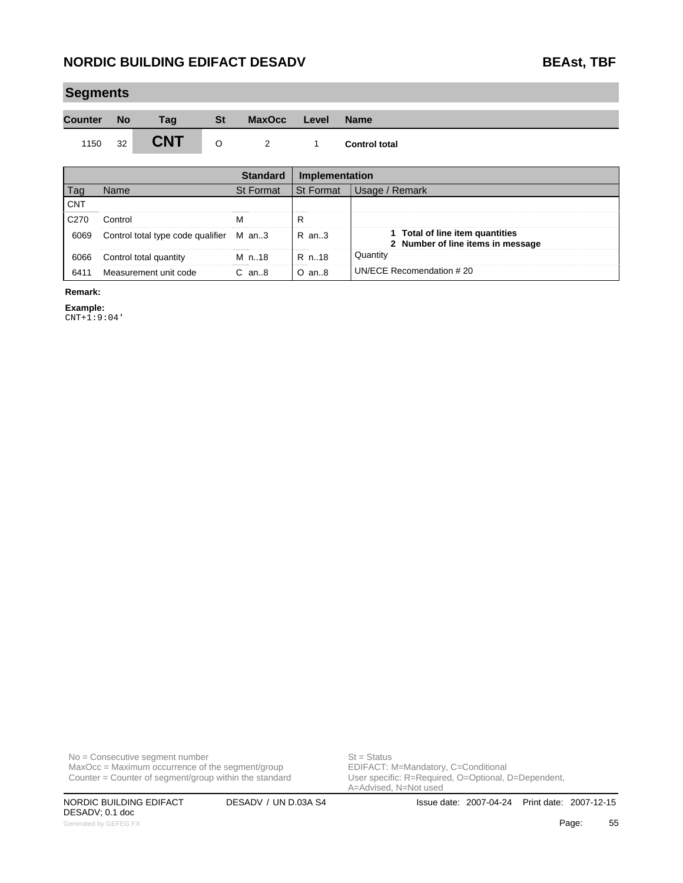#### **Segments**

| <b>Counter</b> | No.             | Taɑ        | St | MaxOcc Level Name |                      |
|----------------|-----------------|------------|----|-------------------|----------------------|
| 1150           | 32 <sup>1</sup> | <b>CNT</b> |    |                   | <b>Control total</b> |

|                  |                                         | <b>Standard</b>  | <b>Implementation</b> |                                                                      |  |
|------------------|-----------------------------------------|------------------|-----------------------|----------------------------------------------------------------------|--|
| l ag             | Name                                    | <b>St Format</b> | <b>St Format</b>      | Usage / Remark                                                       |  |
| <b>CNT</b>       |                                         |                  |                       |                                                                      |  |
| C <sub>270</sub> | Control                                 |                  |                       |                                                                      |  |
| 6069             | Control total type code qualifier M an3 |                  | $R$ an. 3             | 1 Total of line item quantities<br>2 Number of line items in message |  |
| 6066             | Control total quantity                  | M n. 18          | R n. 18               | Quantity                                                             |  |
| 6411             | Measurement unit code                   | C an8            | $O$ an $8$            | UN/ECE Recomendation # 20                                            |  |

**Remark:**

**Example:**

CNT+1:9:04'

No = Consecutive segment number<br>
MaxOcc = Maximum occurrence of the segment/group<br>
EDIFACT: M=Mandatory, C=Conditional  $MaxOcc = Maximum$  occurrence of the segment/group Counter = Counter of segment/group within the standard

User specific: R=Required, O=Optional, D=Dependent,<br>A=Advised, N=Not used

DESADV; 0.1 doc Generated by GEFEG.FX **Page:** 55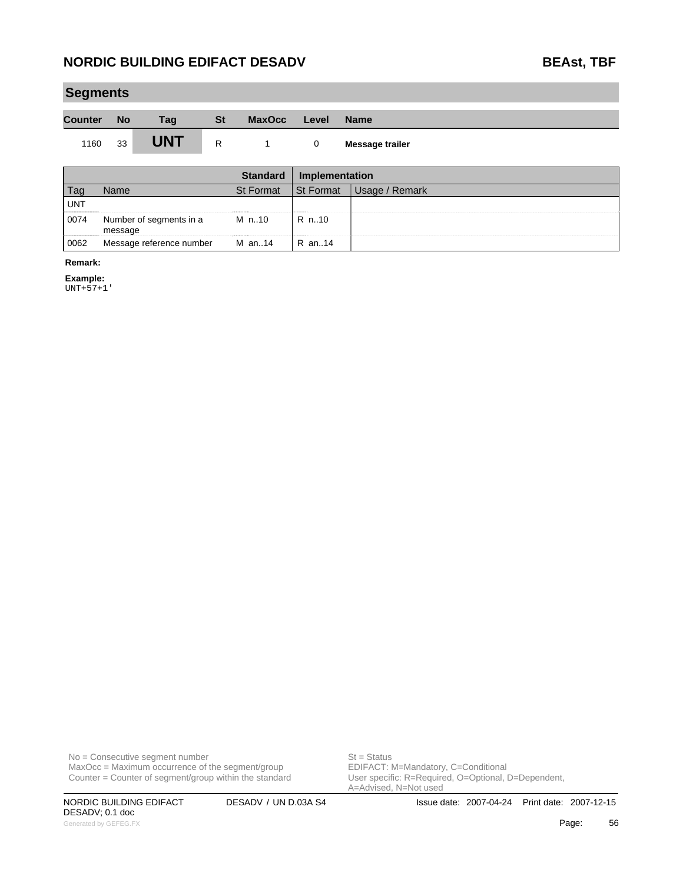#### **Segments**

| <b>Counter</b> | <b>No</b> | Taɑ        | St | <b>MaxOcc</b> | Level | <b>Name</b>     |
|----------------|-----------|------------|----|---------------|-------|-----------------|
| 1160           | 33        | <b>UNT</b> |    |               |       | Message trailer |

|            |                                    |                  | Implementation   |        |  |
|------------|------------------------------------|------------------|------------------|--------|--|
|            | vame                               | <b>St Format</b> | <b>St Format</b> | Remark |  |
| <b>UNT</b> |                                    |                  |                  |        |  |
| 0074       | Number of segments in a<br>message | M n10            | R n10            |        |  |
| 0062       | Message reference number           | M an14           | R an14           |        |  |

#### **Remark:**

**Example:**

UNT+57+1'

No = Consecutive segment number<br>
MaxOcc = Maximum occurrence of the segment/group<br>
EDIFACT: M=Mandatory, C=Conditional  $MaxOcc = Maximum$  occurrence of the segment/group Counter = Counter of segment/group within the standard

DESADV; 0.1 doc Generated by GEFEG.FX **Page:** 56

User specific: R=Required, O=Optional, D=Dependent,<br>A=Advised, N=Not used